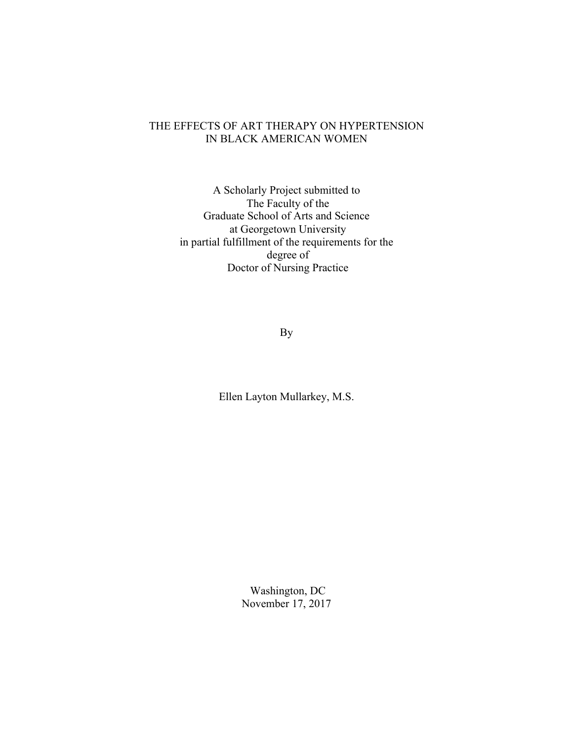# THE EFFECTS OF ART THERAPY ON HYPERTENSION IN BLACK AMERICAN WOMEN

A Scholarly Project submitted to The Faculty of the Graduate School of Arts and Science at Georgetown University in partial fulfillment of the requirements for the degree of Doctor of Nursing Practice

By

Ellen Layton Mullarkey, M.S.

Washington, DC November 17, 2017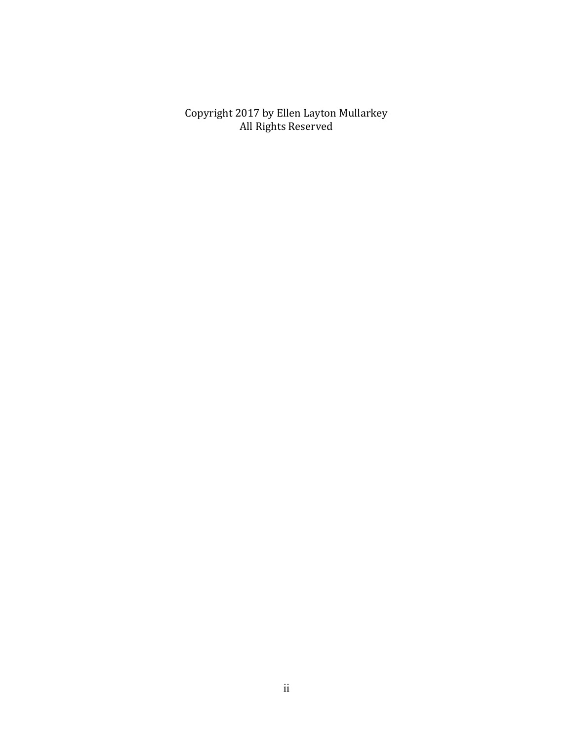Copyright 2017 by Ellen Layton Mullarkey All Rights Reserved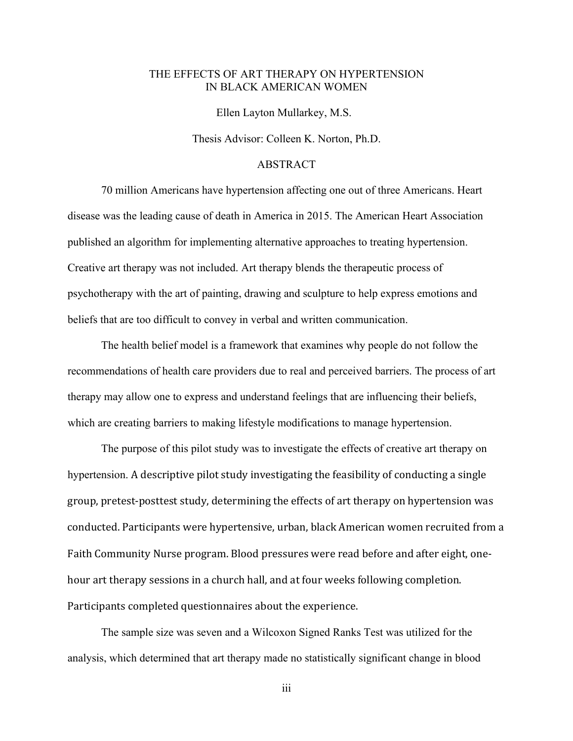## THE EFFECTS OF ART THERAPY ON HYPERTENSION IN BLACK AMERICAN WOMEN

Ellen Layton Mullarkey, M.S.

Thesis Advisor: Colleen K. Norton, Ph.D.

## ABSTRACT

70 million Americans have hypertension affecting one out of three Americans. Heart disease was the leading cause of death in America in 2015. The American Heart Association published an algorithm for implementing alternative approaches to treating hypertension. Creative art therapy was not included. Art therapy blends the therapeutic process of psychotherapy with the art of painting, drawing and sculpture to help express emotions and beliefs that are too difficult to convey in verbal and written communication.

The health belief model is a framework that examines why people do not follow the recommendations of health care providers due to real and perceived barriers. The process of art therapy may allow one to express and understand feelings that are influencing their beliefs, which are creating barriers to making lifestyle modifications to manage hypertension.

The purpose of this pilot study was to investigate the effects of creative art therapy on hypertension. A descriptive pilot study investigating the feasibility of conducting a single group, pretest-posttest study, determining the effects of art therapy on hypertension was conducted. Participants were hypertensive, urban, black American women recruited from a Faith Community Nurse program. Blood pressures were read before and after eight, onehour art therapy sessions in a church hall, and at four weeks following completion. Participants completed questionnaires about the experience.

The sample size was seven and a Wilcoxon Signed Ranks Test was utilized for the analysis, which determined that art therapy made no statistically significant change in blood

iii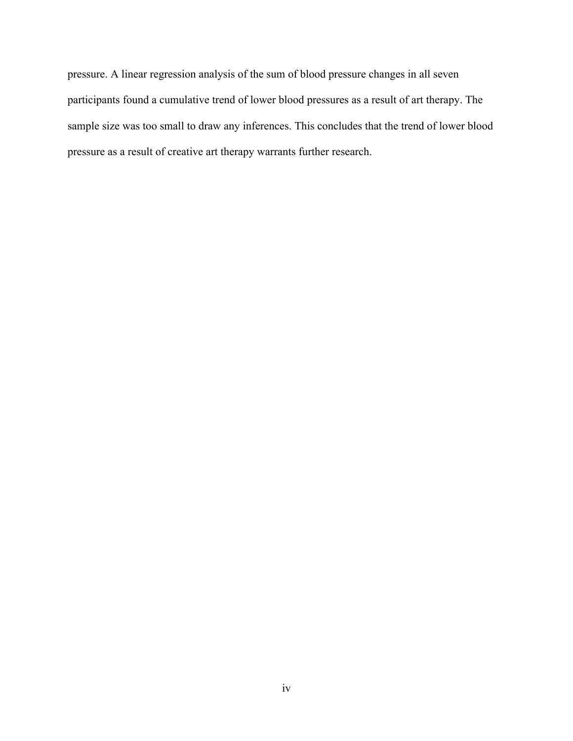pressure. A linear regression analysis of the sum of blood pressure changes in all seven participants found a cumulative trend of lower blood pressures as a result of art therapy. The sample size was too small to draw any inferences. This concludes that the trend of lower blood pressure as a result of creative art therapy warrants further research.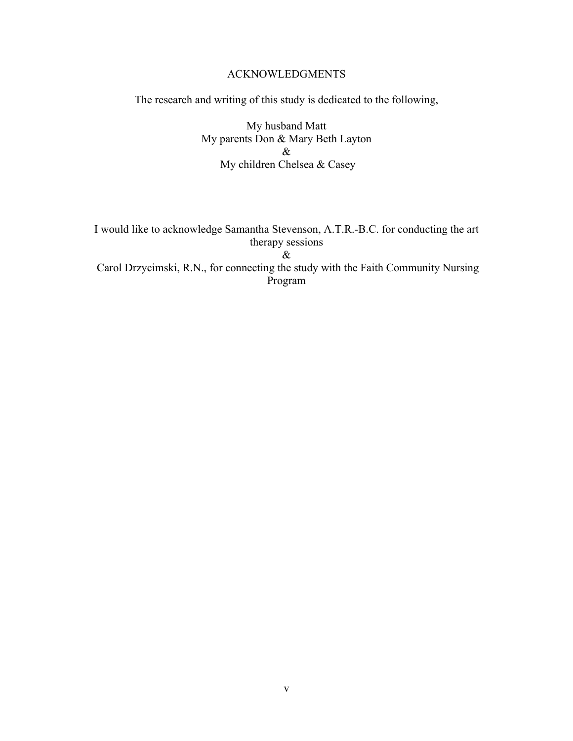## ACKNOWLEDGMENTS

The research and writing of this study is dedicated to the following,

My husband Matt My parents Don & Mary Beth Layton & My children Chelsea & Casey

I would like to acknowledge Samantha Stevenson, A.T.R.-B.C. for conducting the art therapy sessions

&

Carol Drzycimski, R.N., for connecting the study with the Faith Community Nursing Program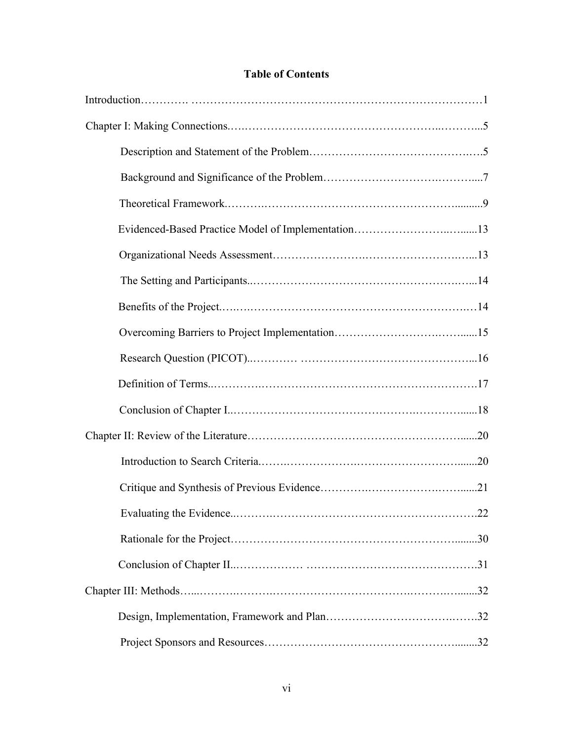# **Table of Contents**

| 22 |
|----|
|    |
|    |
|    |
|    |
|    |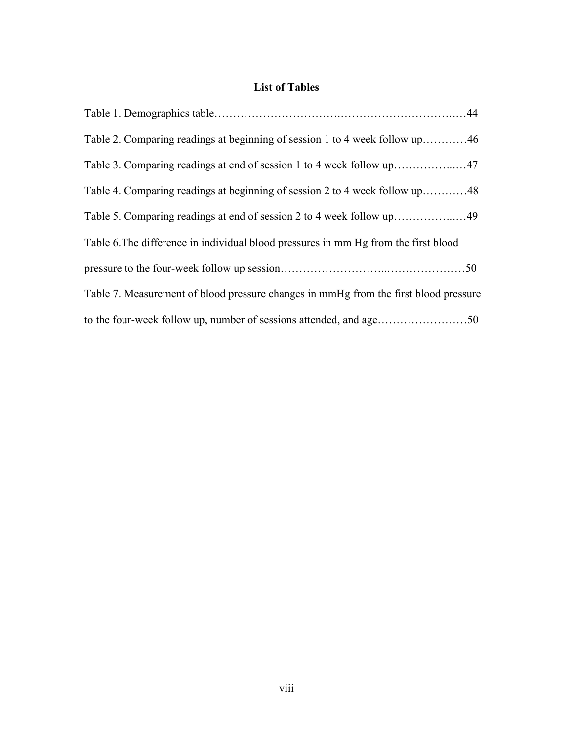# **List of Tables**

| Table 2. Comparing readings at beginning of session 1 to 4 week follow up46          |
|--------------------------------------------------------------------------------------|
|                                                                                      |
| Table 4. Comparing readings at beginning of session 2 to 4 week follow up48          |
|                                                                                      |
| Table 6. The difference in individual blood pressures in mm Hg from the first blood  |
|                                                                                      |
| Table 7. Measurement of blood pressure changes in mmHg from the first blood pressure |
|                                                                                      |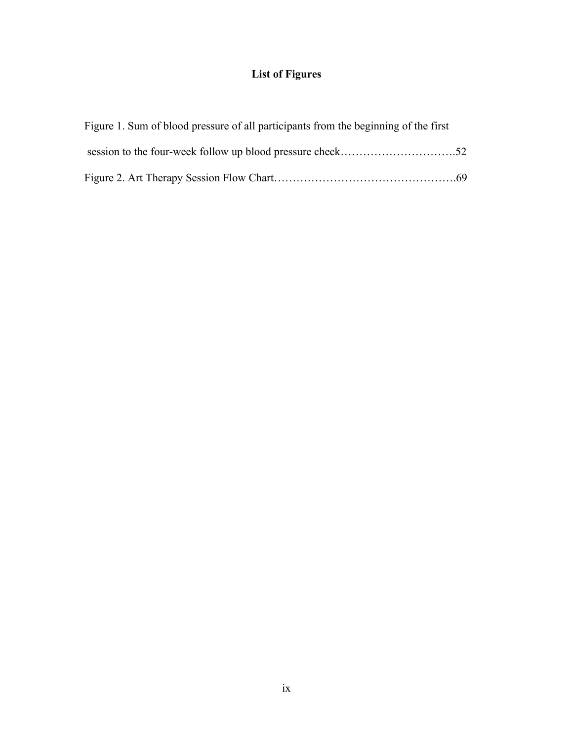# **List of Figures**

| Figure 1. Sum of blood pressure of all participants from the beginning of the first |  |
|-------------------------------------------------------------------------------------|--|
|                                                                                     |  |
|                                                                                     |  |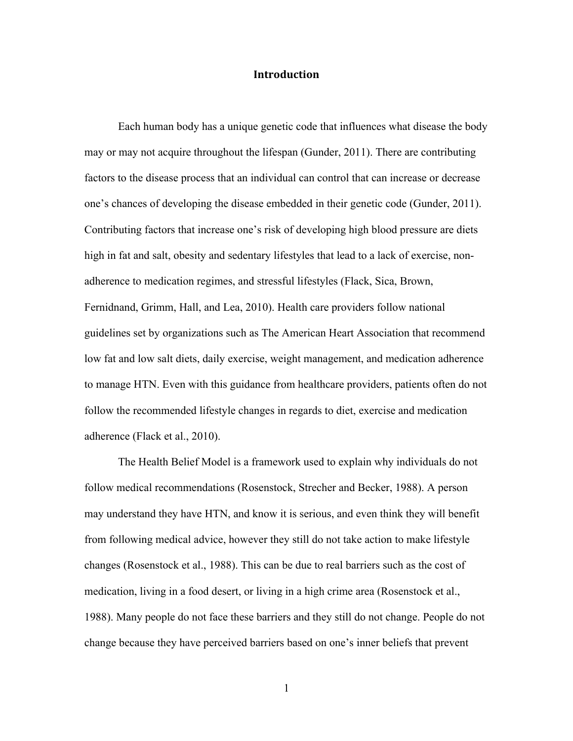#### **Introduction**

Each human body has a unique genetic code that influences what disease the body may or may not acquire throughout the lifespan (Gunder, 2011). There are contributing factors to the disease process that an individual can control that can increase or decrease one's chances of developing the disease embedded in their genetic code (Gunder, 2011). Contributing factors that increase one's risk of developing high blood pressure are diets high in fat and salt, obesity and sedentary lifestyles that lead to a lack of exercise, nonadherence to medication regimes, and stressful lifestyles (Flack, Sica, Brown, Fernidnand, Grimm, Hall, and Lea, 2010). Health care providers follow national guidelines set by organizations such as The American Heart Association that recommend low fat and low salt diets, daily exercise, weight management, and medication adherence to manage HTN. Even with this guidance from healthcare providers, patients often do not follow the recommended lifestyle changes in regards to diet, exercise and medication adherence (Flack et al., 2010).

The Health Belief Model is a framework used to explain why individuals do not follow medical recommendations (Rosenstock, Strecher and Becker, 1988). A person may understand they have HTN, and know it is serious, and even think they will benefit from following medical advice, however they still do not take action to make lifestyle changes (Rosenstock et al., 1988). This can be due to real barriers such as the cost of medication, living in a food desert, or living in a high crime area (Rosenstock et al., 1988). Many people do not face these barriers and they still do not change. People do not change because they have perceived barriers based on one's inner beliefs that prevent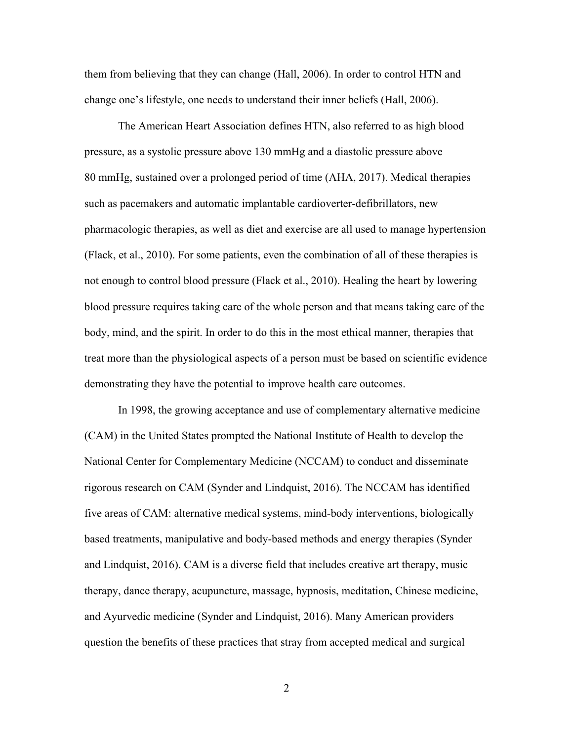them from believing that they can change (Hall, 2006). In order to control HTN and change one's lifestyle, one needs to understand their inner beliefs (Hall, 2006).

The American Heart Association defines HTN, also referred to as high blood pressure, as a systolic pressure above 130 mmHg and a diastolic pressure above 80 mmHg, sustained over a prolonged period of time (AHA, 2017). Medical therapies such as pacemakers and automatic implantable cardioverter-defibrillators, new pharmacologic therapies, as well as diet and exercise are all used to manage hypertension (Flack, et al., 2010). For some patients, even the combination of all of these therapies is not enough to control blood pressure (Flack et al., 2010). Healing the heart by lowering blood pressure requires taking care of the whole person and that means taking care of the body, mind, and the spirit. In order to do this in the most ethical manner, therapies that treat more than the physiological aspects of a person must be based on scientific evidence demonstrating they have the potential to improve health care outcomes.

In 1998, the growing acceptance and use of complementary alternative medicine (CAM) in the United States prompted the National Institute of Health to develop the National Center for Complementary Medicine (NCCAM) to conduct and disseminate rigorous research on CAM (Synder and Lindquist, 2016). The NCCAM has identified five areas of CAM: alternative medical systems, mind-body interventions, biologically based treatments, manipulative and body-based methods and energy therapies (Synder and Lindquist, 2016). CAM is a diverse field that includes creative art therapy, music therapy, dance therapy, acupuncture, massage, hypnosis, meditation, Chinese medicine, and Ayurvedic medicine (Synder and Lindquist, 2016). Many American providers question the benefits of these practices that stray from accepted medical and surgical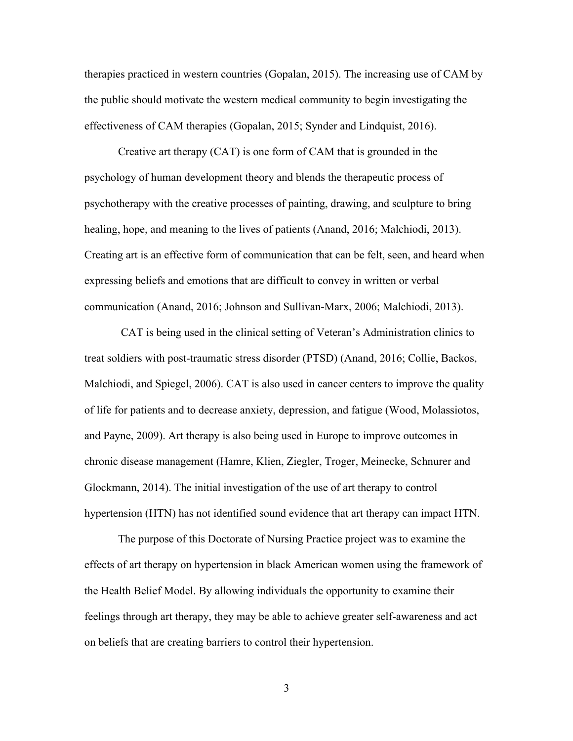therapies practiced in western countries (Gopalan, 2015). The increasing use of CAM by the public should motivate the western medical community to begin investigating the effectiveness of CAM therapies (Gopalan, 2015; Synder and Lindquist, 2016).

Creative art therapy (CAT) is one form of CAM that is grounded in the psychology of human development theory and blends the therapeutic process of psychotherapy with the creative processes of painting, drawing, and sculpture to bring healing, hope, and meaning to the lives of patients (Anand, 2016; Malchiodi, 2013). Creating art is an effective form of communication that can be felt, seen, and heard when expressing beliefs and emotions that are difficult to convey in written or verbal communication (Anand, 2016; Johnson and Sullivan-Marx, 2006; Malchiodi, 2013).

CAT is being used in the clinical setting of Veteran's Administration clinics to treat soldiers with post-traumatic stress disorder (PTSD) (Anand, 2016; Collie, Backos, Malchiodi, and Spiegel, 2006). CAT is also used in cancer centers to improve the quality of life for patients and to decrease anxiety, depression, and fatigue (Wood, Molassiotos, and Payne, 2009). Art therapy is also being used in Europe to improve outcomes in chronic disease management (Hamre, Klien, Ziegler, Troger, Meinecke, Schnurer and Glockmann, 2014). The initial investigation of the use of art therapy to control hypertension (HTN) has not identified sound evidence that art therapy can impact HTN.

The purpose of this Doctorate of Nursing Practice project was to examine the effects of art therapy on hypertension in black American women using the framework of the Health Belief Model. By allowing individuals the opportunity to examine their feelings through art therapy, they may be able to achieve greater self-awareness and act on beliefs that are creating barriers to control their hypertension.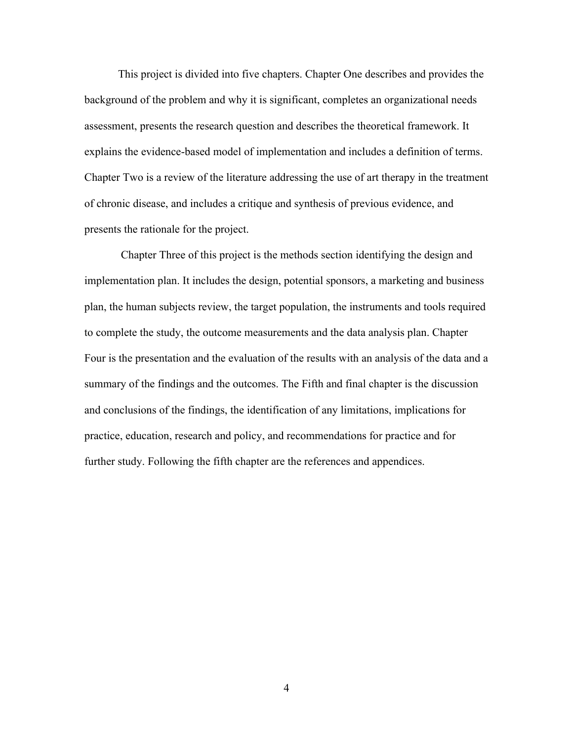This project is divided into five chapters. Chapter One describes and provides the background of the problem and why it is significant, completes an organizational needs assessment, presents the research question and describes the theoretical framework. It explains the evidence-based model of implementation and includes a definition of terms. Chapter Two is a review of the literature addressing the use of art therapy in the treatment of chronic disease, and includes a critique and synthesis of previous evidence, and presents the rationale for the project.

Chapter Three of this project is the methods section identifying the design and implementation plan. It includes the design, potential sponsors, a marketing and business plan, the human subjects review, the target population, the instruments and tools required to complete the study, the outcome measurements and the data analysis plan. Chapter Four is the presentation and the evaluation of the results with an analysis of the data and a summary of the findings and the outcomes. The Fifth and final chapter is the discussion and conclusions of the findings, the identification of any limitations, implications for practice, education, research and policy, and recommendations for practice and for further study. Following the fifth chapter are the references and appendices.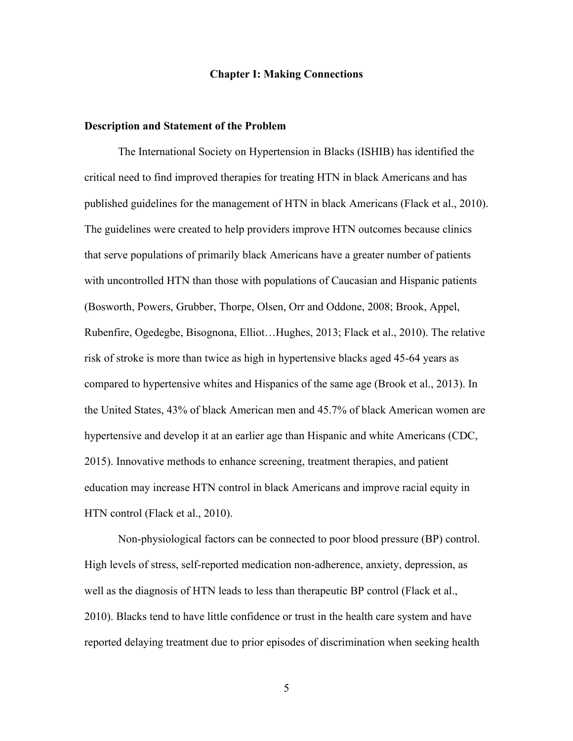#### **Chapter I: Making Connections**

#### **Description and Statement of the Problem**

The International Society on Hypertension in Blacks (ISHIB) has identified the critical need to find improved therapies for treating HTN in black Americans and has published guidelines for the management of HTN in black Americans (Flack et al., 2010). The guidelines were created to help providers improve HTN outcomes because clinics that serve populations of primarily black Americans have a greater number of patients with uncontrolled HTN than those with populations of Caucasian and Hispanic patients (Bosworth, Powers, Grubber, Thorpe, Olsen, Orr and Oddone, 2008; Brook, Appel, Rubenfire, Ogedegbe, Bisognona, Elliot…Hughes, 2013; Flack et al., 2010). The relative risk of stroke is more than twice as high in hypertensive blacks aged 45-64 years as compared to hypertensive whites and Hispanics of the same age (Brook et al., 2013). In the United States, 43% of black American men and 45.7% of black American women are hypertensive and develop it at an earlier age than Hispanic and white Americans (CDC, 2015). Innovative methods to enhance screening, treatment therapies, and patient education may increase HTN control in black Americans and improve racial equity in HTN control (Flack et al., 2010).

Non-physiological factors can be connected to poor blood pressure (BP) control. High levels of stress, self-reported medication non-adherence, anxiety, depression, as well as the diagnosis of HTN leads to less than therapeutic BP control (Flack et al., 2010). Blacks tend to have little confidence or trust in the health care system and have reported delaying treatment due to prior episodes of discrimination when seeking health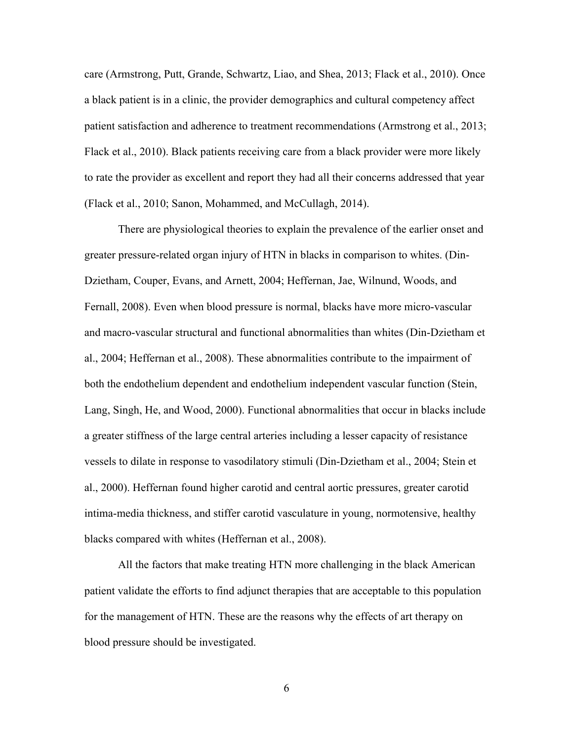care (Armstrong, Putt, Grande, Schwartz, Liao, and Shea, 2013; Flack et al., 2010). Once a black patient is in a clinic, the provider demographics and cultural competency affect patient satisfaction and adherence to treatment recommendations (Armstrong et al., 2013; Flack et al., 2010). Black patients receiving care from a black provider were more likely to rate the provider as excellent and report they had all their concerns addressed that year (Flack et al., 2010; Sanon, Mohammed, and McCullagh, 2014).

There are physiological theories to explain the prevalence of the earlier onset and greater pressure-related organ injury of HTN in blacks in comparison to whites. (Din-Dzietham, Couper, Evans, and Arnett, 2004; Heffernan, Jae, Wilnund, Woods, and Fernall, 2008). Even when blood pressure is normal, blacks have more micro-vascular and macro-vascular structural and functional abnormalities than whites (Din-Dzietham et al., 2004; Heffernan et al., 2008). These abnormalities contribute to the impairment of both the endothelium dependent and endothelium independent vascular function (Stein, Lang, Singh, He, and Wood, 2000). Functional abnormalities that occur in blacks include a greater stiffness of the large central arteries including a lesser capacity of resistance vessels to dilate in response to vasodilatory stimuli (Din-Dzietham et al., 2004; Stein et al., 2000). Heffernan found higher carotid and central aortic pressures, greater carotid intima-media thickness, and stiffer carotid vasculature in young, normotensive, healthy blacks compared with whites (Heffernan et al., 2008).

All the factors that make treating HTN more challenging in the black American patient validate the efforts to find adjunct therapies that are acceptable to this population for the management of HTN. These are the reasons why the effects of art therapy on blood pressure should be investigated.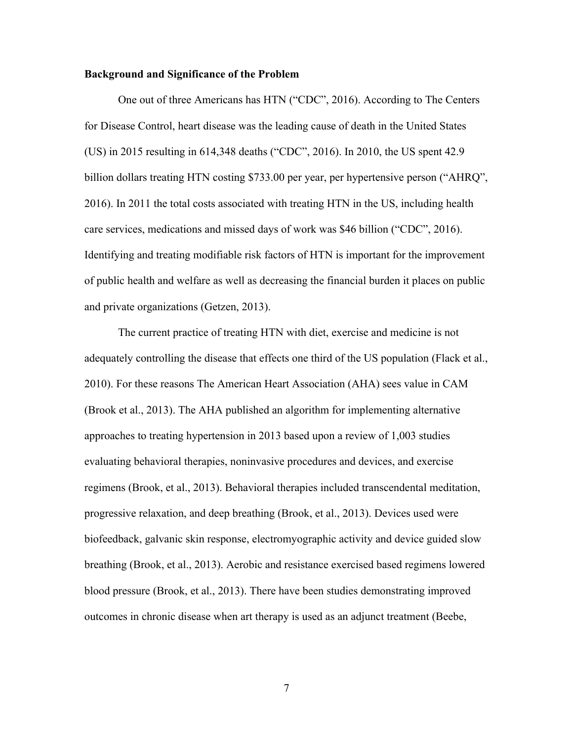#### **Background and Significance of the Problem**

One out of three Americans has HTN ("CDC", 2016). According to The Centers for Disease Control, heart disease was the leading cause of death in the United States (US) in 2015 resulting in 614,348 deaths ("CDC", 2016). In 2010, the US spent 42.9 billion dollars treating HTN costing \$733.00 per year, per hypertensive person ("AHRQ", 2016). In 2011 the total costs associated with treating HTN in the US, including health care services, medications and missed days of work was \$46 billion ("CDC", 2016). Identifying and treating modifiable risk factors of HTN is important for the improvement of public health and welfare as well as decreasing the financial burden it places on public and private organizations (Getzen, 2013).

The current practice of treating HTN with diet, exercise and medicine is not adequately controlling the disease that effects one third of the US population (Flack et al., 2010). For these reasons The American Heart Association (AHA) sees value in CAM (Brook et al., 2013). The AHA published an algorithm for implementing alternative approaches to treating hypertension in 2013 based upon a review of 1,003 studies evaluating behavioral therapies, noninvasive procedures and devices, and exercise regimens (Brook, et al., 2013). Behavioral therapies included transcendental meditation, progressive relaxation, and deep breathing (Brook, et al., 2013). Devices used were biofeedback, galvanic skin response, electromyographic activity and device guided slow breathing (Brook, et al., 2013). Aerobic and resistance exercised based regimens lowered blood pressure (Brook, et al., 2013). There have been studies demonstrating improved outcomes in chronic disease when art therapy is used as an adjunct treatment (Beebe,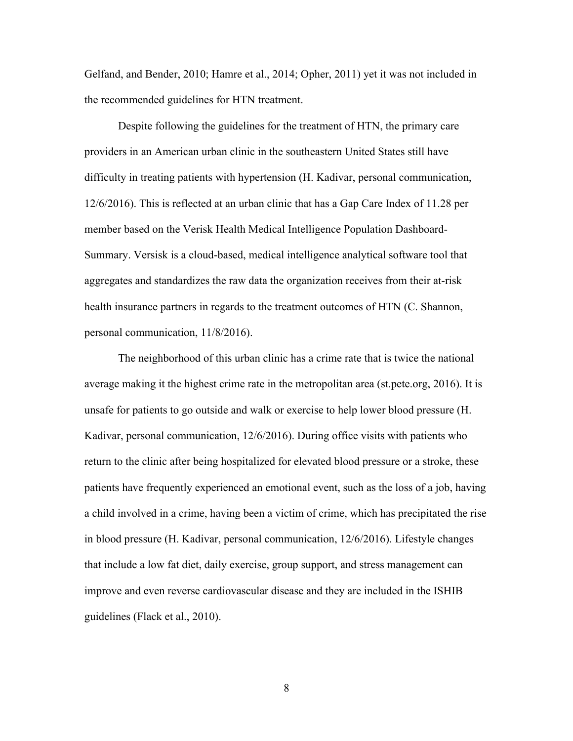Gelfand, and Bender, 2010; Hamre et al., 2014; Opher, 2011) yet it was not included in the recommended guidelines for HTN treatment.

Despite following the guidelines for the treatment of HTN, the primary care providers in an American urban clinic in the southeastern United States still have difficulty in treating patients with hypertension (H. Kadivar, personal communication, 12/6/2016). This is reflected at an urban clinic that has a Gap Care Index of 11.28 per member based on the Verisk Health Medical Intelligence Population Dashboard-Summary. Versisk is a cloud-based, medical intelligence analytical software tool that aggregates and standardizes the raw data the organization receives from their at-risk health insurance partners in regards to the treatment outcomes of HTN (C. Shannon, personal communication, 11/8/2016).

The neighborhood of this urban clinic has a crime rate that is twice the national average making it the highest crime rate in the metropolitan area (st.pete.org, 2016). It is unsafe for patients to go outside and walk or exercise to help lower blood pressure (H. Kadivar, personal communication, 12/6/2016). During office visits with patients who return to the clinic after being hospitalized for elevated blood pressure or a stroke, these patients have frequently experienced an emotional event, such as the loss of a job, having a child involved in a crime, having been a victim of crime, which has precipitated the rise in blood pressure (H. Kadivar, personal communication, 12/6/2016). Lifestyle changes that include a low fat diet, daily exercise, group support, and stress management can improve and even reverse cardiovascular disease and they are included in the ISHIB guidelines (Flack et al., 2010).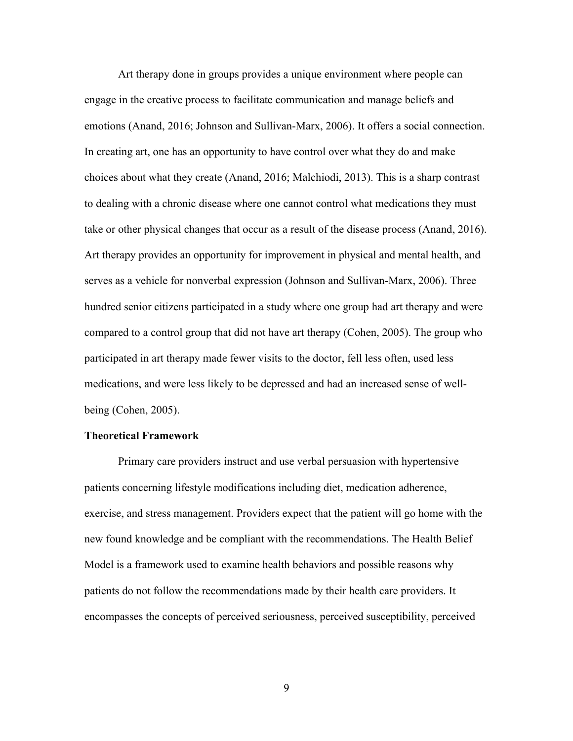Art therapy done in groups provides a unique environment where people can engage in the creative process to facilitate communication and manage beliefs and emotions (Anand, 2016; Johnson and Sullivan-Marx, 2006). It offers a social connection. In creating art, one has an opportunity to have control over what they do and make choices about what they create (Anand, 2016; Malchiodi, 2013). This is a sharp contrast to dealing with a chronic disease where one cannot control what medications they must take or other physical changes that occur as a result of the disease process (Anand, 2016). Art therapy provides an opportunity for improvement in physical and mental health, and serves as a vehicle for nonverbal expression (Johnson and Sullivan-Marx, 2006). Three hundred senior citizens participated in a study where one group had art therapy and were compared to a control group that did not have art therapy (Cohen, 2005). The group who participated in art therapy made fewer visits to the doctor, fell less often, used less medications, and were less likely to be depressed and had an increased sense of wellbeing (Cohen, 2005).

#### **Theoretical Framework**

Primary care providers instruct and use verbal persuasion with hypertensive patients concerning lifestyle modifications including diet, medication adherence, exercise, and stress management. Providers expect that the patient will go home with the new found knowledge and be compliant with the recommendations. The Health Belief Model is a framework used to examine health behaviors and possible reasons why patients do not follow the recommendations made by their health care providers. It encompasses the concepts of perceived seriousness, perceived susceptibility, perceived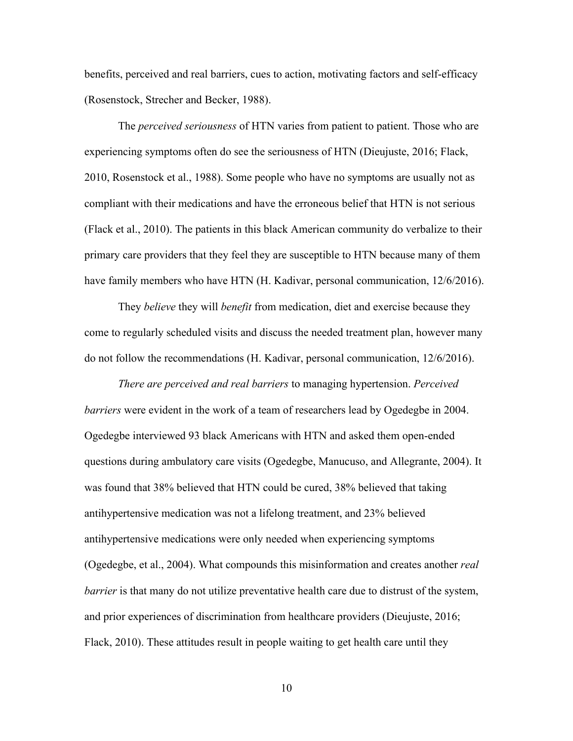benefits, perceived and real barriers, cues to action, motivating factors and self-efficacy (Rosenstock, Strecher and Becker, 1988).

The *perceived seriousness* of HTN varies from patient to patient. Those who are experiencing symptoms often do see the seriousness of HTN (Dieujuste, 2016; Flack, 2010, Rosenstock et al., 1988). Some people who have no symptoms are usually not as compliant with their medications and have the erroneous belief that HTN is not serious (Flack et al., 2010). The patients in this black American community do verbalize to their primary care providers that they feel they are susceptible to HTN because many of them have family members who have HTN (H. Kadivar, personal communication, 12/6/2016).

They *believe* they will *benefit* from medication, diet and exercise because they come to regularly scheduled visits and discuss the needed treatment plan, however many do not follow the recommendations (H. Kadivar, personal communication, 12/6/2016).

*There are perceived and real barriers* to managing hypertension. *Perceived barriers* were evident in the work of a team of researchers lead by Ogedegbe in 2004. Ogedegbe interviewed 93 black Americans with HTN and asked them open-ended questions during ambulatory care visits (Ogedegbe, Manucuso, and Allegrante, 2004). It was found that 38% believed that HTN could be cured, 38% believed that taking antihypertensive medication was not a lifelong treatment, and 23% believed antihypertensive medications were only needed when experiencing symptoms (Ogedegbe, et al., 2004). What compounds this misinformation and creates another *real barrier* is that many do not utilize preventative health care due to distrust of the system, and prior experiences of discrimination from healthcare providers (Dieujuste, 2016; Flack, 2010). These attitudes result in people waiting to get health care until they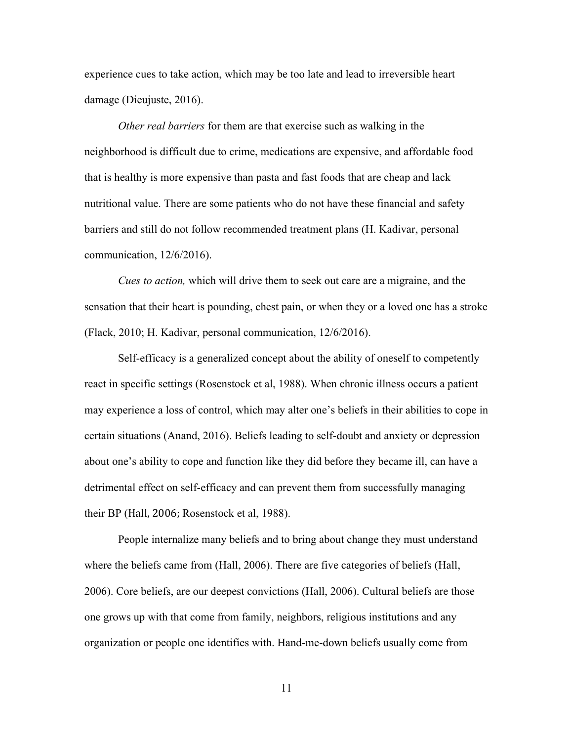experience cues to take action, which may be too late and lead to irreversible heart damage (Dieujuste, 2016).

*Other real barriers* for them are that exercise such as walking in the neighborhood is difficult due to crime, medications are expensive, and affordable food that is healthy is more expensive than pasta and fast foods that are cheap and lack nutritional value. There are some patients who do not have these financial and safety barriers and still do not follow recommended treatment plans (H. Kadivar, personal communication, 12/6/2016).

*Cues to action,* which will drive them to seek out care are a migraine, and the sensation that their heart is pounding, chest pain, or when they or a loved one has a stroke (Flack, 2010; H. Kadivar, personal communication, 12/6/2016).

Self-efficacy is a generalized concept about the ability of oneself to competently react in specific settings (Rosenstock et al, 1988). When chronic illness occurs a patient may experience a loss of control, which may alter one's beliefs in their abilities to cope in certain situations (Anand, 2016). Beliefs leading to self-doubt and anxiety or depression about one's ability to cope and function like they did before they became ill, can have a detrimental effect on self-efficacy and can prevent them from successfully managing their BP (Hall, 2006; Rosenstock et al, 1988).

People internalize many beliefs and to bring about change they must understand where the beliefs came from (Hall, 2006). There are five categories of beliefs (Hall, 2006). Core beliefs, are our deepest convictions (Hall, 2006). Cultural beliefs are those one grows up with that come from family, neighbors, religious institutions and any organization or people one identifies with. Hand-me-down beliefs usually come from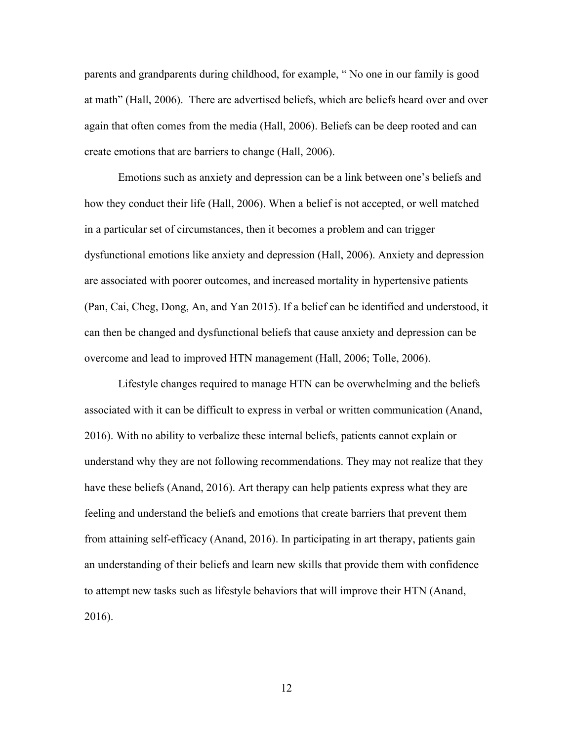parents and grandparents during childhood, for example, " No one in our family is good at math" (Hall, 2006). There are advertised beliefs, which are beliefs heard over and over again that often comes from the media (Hall, 2006). Beliefs can be deep rooted and can create emotions that are barriers to change (Hall, 2006).

Emotions such as anxiety and depression can be a link between one's beliefs and how they conduct their life (Hall, 2006). When a belief is not accepted, or well matched in a particular set of circumstances, then it becomes a problem and can trigger dysfunctional emotions like anxiety and depression (Hall, 2006). Anxiety and depression are associated with poorer outcomes, and increased mortality in hypertensive patients (Pan, Cai, Cheg, Dong, An, and Yan 2015). If a belief can be identified and understood, it can then be changed and dysfunctional beliefs that cause anxiety and depression can be overcome and lead to improved HTN management (Hall, 2006; Tolle, 2006).

Lifestyle changes required to manage HTN can be overwhelming and the beliefs associated with it can be difficult to express in verbal or written communication (Anand, 2016). With no ability to verbalize these internal beliefs, patients cannot explain or understand why they are not following recommendations. They may not realize that they have these beliefs (Anand, 2016). Art therapy can help patients express what they are feeling and understand the beliefs and emotions that create barriers that prevent them from attaining self-efficacy (Anand, 2016). In participating in art therapy, patients gain an understanding of their beliefs and learn new skills that provide them with confidence to attempt new tasks such as lifestyle behaviors that will improve their HTN (Anand, 2016).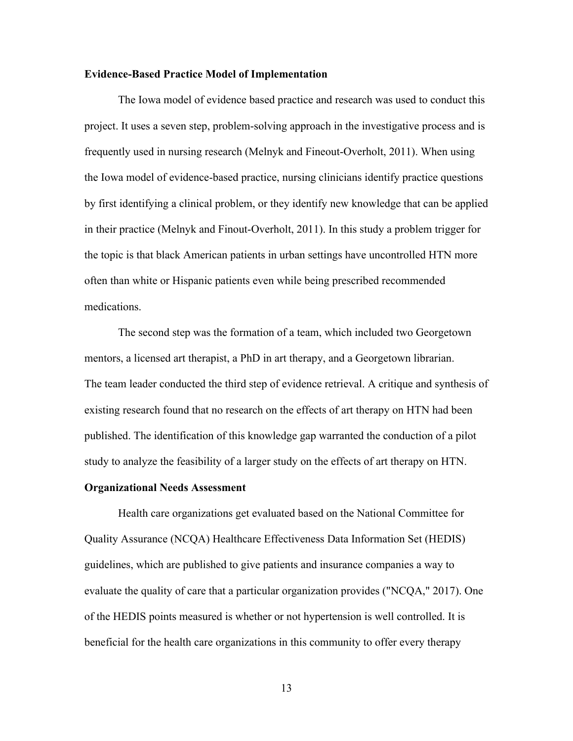#### **Evidence-Based Practice Model of Implementation**

The Iowa model of evidence based practice and research was used to conduct this project. It uses a seven step, problem-solving approach in the investigative process and is frequently used in nursing research (Melnyk and Fineout-Overholt, 2011). When using the Iowa model of evidence-based practice, nursing clinicians identify practice questions by first identifying a clinical problem, or they identify new knowledge that can be applied in their practice (Melnyk and Finout-Overholt, 2011). In this study a problem trigger for the topic is that black American patients in urban settings have uncontrolled HTN more often than white or Hispanic patients even while being prescribed recommended medications.

The second step was the formation of a team, which included two Georgetown mentors, a licensed art therapist, a PhD in art therapy, and a Georgetown librarian. The team leader conducted the third step of evidence retrieval. A critique and synthesis of existing research found that no research on the effects of art therapy on HTN had been published. The identification of this knowledge gap warranted the conduction of a pilot study to analyze the feasibility of a larger study on the effects of art therapy on HTN.

#### **Organizational Needs Assessment**

Health care organizations get evaluated based on the National Committee for Quality Assurance (NCQA) Healthcare Effectiveness Data Information Set (HEDIS) guidelines, which are published to give patients and insurance companies a way to evaluate the quality of care that a particular organization provides ("NCQA," 2017). One of the HEDIS points measured is whether or not hypertension is well controlled. It is beneficial for the health care organizations in this community to offer every therapy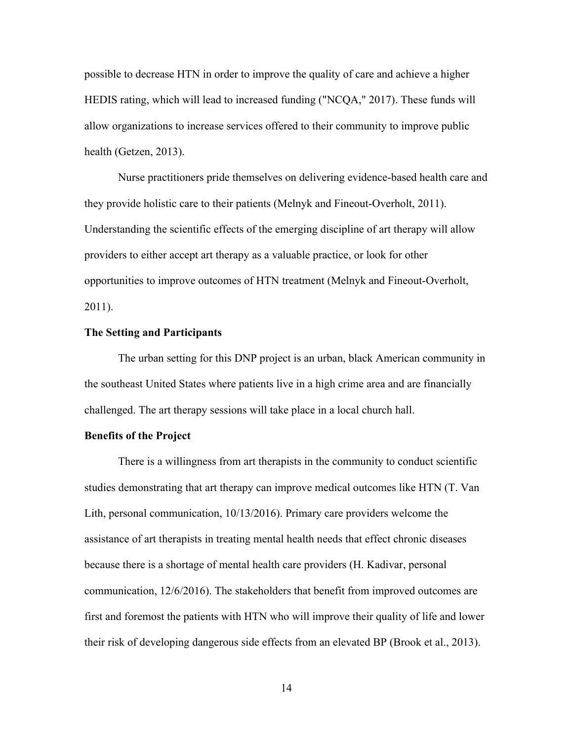possible to decrease HTN in order to improve the quality of care and achieve a higher HEDIS rating, which will lead to increased funding ("NCQA," 2017). These funds will allow organizations to increase services offered to their community to improve public health (Getzen, 2013).

Nurse practitioners pride themselves on delivering evidence-based health care and they provide holistic care to their patients (Melnyk and Fineout-Overholt, 2011). Understanding the scientific effects of the emerging discipline of art therapy will allow providers to either accept art therapy as a valuable practice, or look for other opportunities to improve outcomes of HTN treatment (Melnyk and Fineout-Overholt, 2011).

#### **The Setting and Participants**

The urban setting for this DNP project is an urban, black American community in the southeast United States where patients live in a high crime area and are financially challenged. The art therapy sessions will take place in a local church hall.

#### **Benefits of the Project**

There is a willingness from art therapists in the community to conduct scientific studies demonstrating that art therapy can improve medical outcomes like HTN (T. Van Lith, personal communication, 10/13/2016). Primary care providers welcome the assistance of art therapists in treating mental health needs that effect chronic diseases because there is a shortage of mental health care providers (H. Kadivar, personal communication, 12/6/2016). The stakeholders that benefit from improved outcomes are first and foremost the patients with HTN who will improve their quality of life and lower their risk of developing dangerous side effects from an elevated BP (Brook et al., 2013).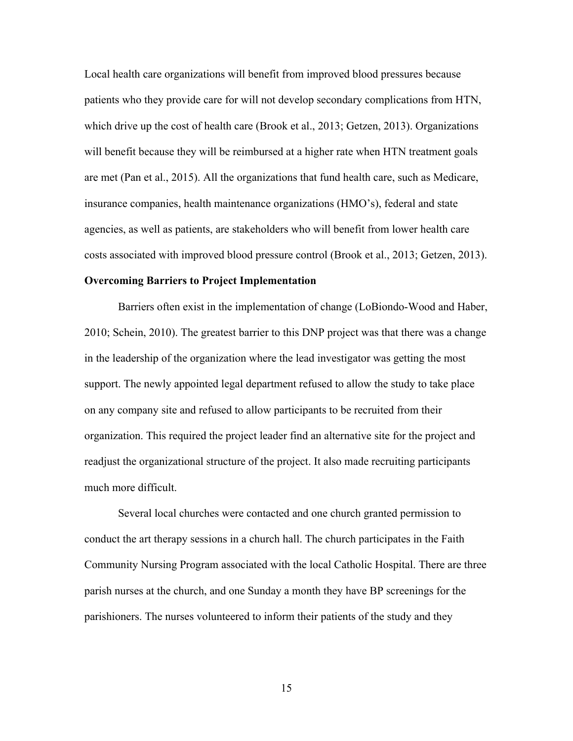Local health care organizations will benefit from improved blood pressures because patients who they provide care for will not develop secondary complications from HTN, which drive up the cost of health care (Brook et al., 2013; Getzen, 2013). Organizations will benefit because they will be reimbursed at a higher rate when HTN treatment goals are met (Pan et al., 2015). All the organizations that fund health care, such as Medicare, insurance companies, health maintenance organizations (HMO's), federal and state agencies, as well as patients, are stakeholders who will benefit from lower health care costs associated with improved blood pressure control (Brook et al., 2013; Getzen, 2013).

#### **Overcoming Barriers to Project Implementation**

Barriers often exist in the implementation of change (LoBiondo-Wood and Haber, 2010; Schein, 2010). The greatest barrier to this DNP project was that there was a change in the leadership of the organization where the lead investigator was getting the most support. The newly appointed legal department refused to allow the study to take place on any company site and refused to allow participants to be recruited from their organization. This required the project leader find an alternative site for the project and readjust the organizational structure of the project. It also made recruiting participants much more difficult.

Several local churches were contacted and one church granted permission to conduct the art therapy sessions in a church hall. The church participates in the Faith Community Nursing Program associated with the local Catholic Hospital. There are three parish nurses at the church, and one Sunday a month they have BP screenings for the parishioners. The nurses volunteered to inform their patients of the study and they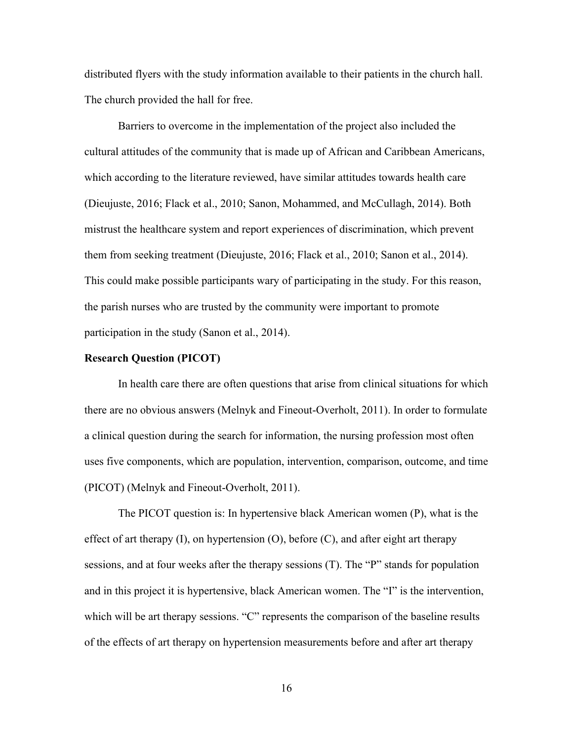distributed flyers with the study information available to their patients in the church hall. The church provided the hall for free.

Barriers to overcome in the implementation of the project also included the cultural attitudes of the community that is made up of African and Caribbean Americans, which according to the literature reviewed, have similar attitudes towards health care (Dieujuste, 2016; Flack et al., 2010; Sanon, Mohammed, and McCullagh, 2014). Both mistrust the healthcare system and report experiences of discrimination, which prevent them from seeking treatment (Dieujuste, 2016; Flack et al., 2010; Sanon et al., 2014). This could make possible participants wary of participating in the study. For this reason, the parish nurses who are trusted by the community were important to promote participation in the study (Sanon et al., 2014).

#### **Research Question (PICOT)**

In health care there are often questions that arise from clinical situations for which there are no obvious answers (Melnyk and Fineout-Overholt, 2011). In order to formulate a clinical question during the search for information, the nursing profession most often uses five components, which are population, intervention, comparison, outcome, and time (PICOT) (Melnyk and Fineout-Overholt, 2011).

The PICOT question is: In hypertensive black American women (P), what is the effect of art therapy  $(I)$ , on hypertension  $(O)$ , before  $(C)$ , and after eight art therapy sessions, and at four weeks after the therapy sessions (T). The "P" stands for population and in this project it is hypertensive, black American women. The "I" is the intervention, which will be art therapy sessions. "C" represents the comparison of the baseline results of the effects of art therapy on hypertension measurements before and after art therapy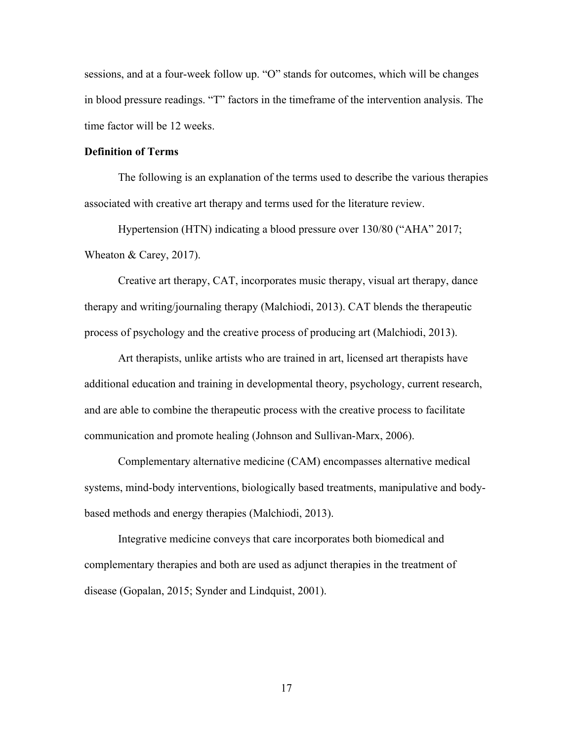sessions, and at a four-week follow up. "O" stands for outcomes, which will be changes in blood pressure readings. "T" factors in the timeframe of the intervention analysis. The time factor will be 12 weeks.

#### **Definition of Terms**

The following is an explanation of the terms used to describe the various therapies associated with creative art therapy and terms used for the literature review.

Hypertension (HTN) indicating a blood pressure over 130/80 ("AHA" 2017; Wheaton & Carey, 2017).

Creative art therapy, CAT, incorporates music therapy, visual art therapy, dance therapy and writing/journaling therapy (Malchiodi, 2013). CAT blends the therapeutic process of psychology and the creative process of producing art (Malchiodi, 2013).

Art therapists, unlike artists who are trained in art, licensed art therapists have additional education and training in developmental theory, psychology, current research, and are able to combine the therapeutic process with the creative process to facilitate communication and promote healing (Johnson and Sullivan-Marx, 2006).

Complementary alternative medicine (CAM) encompasses alternative medical systems, mind-body interventions, biologically based treatments, manipulative and bodybased methods and energy therapies (Malchiodi, 2013).

Integrative medicine conveys that care incorporates both biomedical and complementary therapies and both are used as adjunct therapies in the treatment of disease (Gopalan, 2015; Synder and Lindquist, 2001).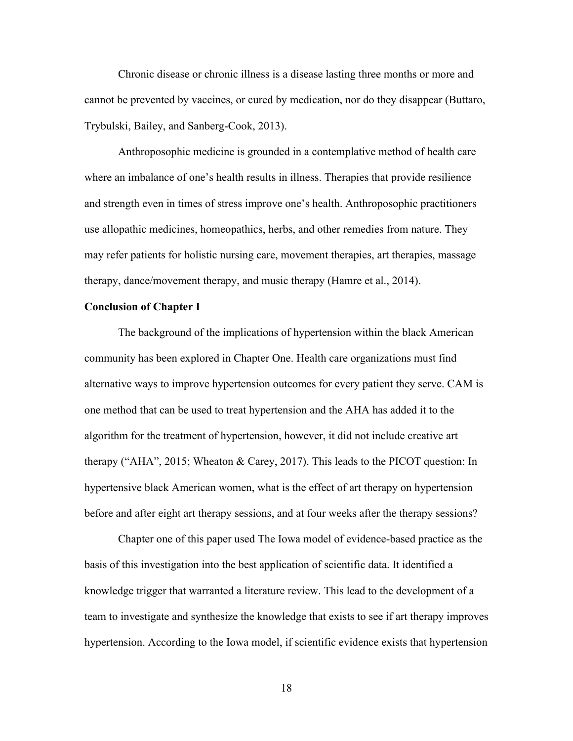Chronic disease or chronic illness is a disease lasting three months or more and cannot be prevented by vaccines, or cured by medication, nor do they disappear (Buttaro, Trybulski, Bailey, and Sanberg-Cook, 2013).

Anthroposophic medicine is grounded in a contemplative method of health care where an imbalance of one's health results in illness. Therapies that provide resilience and strength even in times of stress improve one's health. Anthroposophic practitioners use allopathic medicines, homeopathics, herbs, and other remedies from nature. They may refer patients for holistic nursing care, movement therapies, art therapies, massage therapy, dance/movement therapy, and music therapy (Hamre et al., 2014).

#### **Conclusion of Chapter I**

The background of the implications of hypertension within the black American community has been explored in Chapter One. Health care organizations must find alternative ways to improve hypertension outcomes for every patient they serve. CAM is one method that can be used to treat hypertension and the AHA has added it to the algorithm for the treatment of hypertension, however, it did not include creative art therapy ("AHA", 2015; Wheaton & Carey, 2017). This leads to the PICOT question: In hypertensive black American women, what is the effect of art therapy on hypertension before and after eight art therapy sessions, and at four weeks after the therapy sessions?

Chapter one of this paper used The Iowa model of evidence-based practice as the basis of this investigation into the best application of scientific data. It identified a knowledge trigger that warranted a literature review. This lead to the development of a team to investigate and synthesize the knowledge that exists to see if art therapy improves hypertension. According to the Iowa model, if scientific evidence exists that hypertension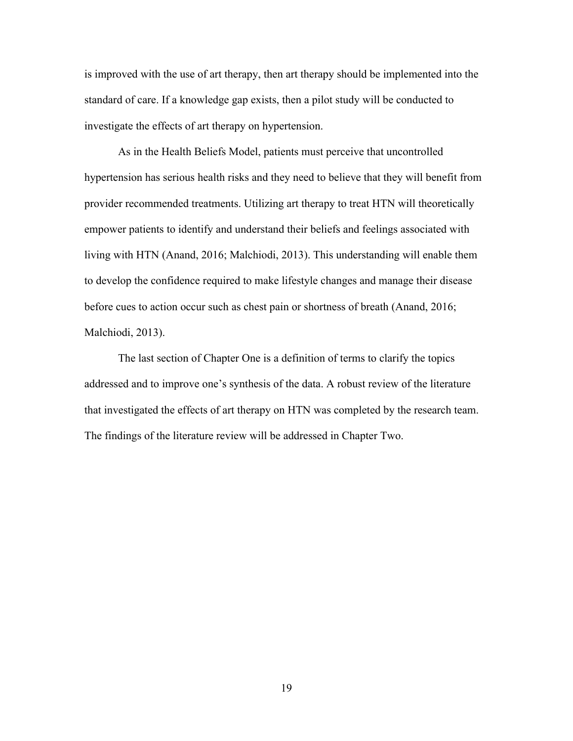is improved with the use of art therapy, then art therapy should be implemented into the standard of care. If a knowledge gap exists, then a pilot study will be conducted to investigate the effects of art therapy on hypertension.

As in the Health Beliefs Model, patients must perceive that uncontrolled hypertension has serious health risks and they need to believe that they will benefit from provider recommended treatments. Utilizing art therapy to treat HTN will theoretically empower patients to identify and understand their beliefs and feelings associated with living with HTN (Anand, 2016; Malchiodi, 2013). This understanding will enable them to develop the confidence required to make lifestyle changes and manage their disease before cues to action occur such as chest pain or shortness of breath (Anand, 2016; Malchiodi, 2013).

The last section of Chapter One is a definition of terms to clarify the topics addressed and to improve one's synthesis of the data. A robust review of the literature that investigated the effects of art therapy on HTN was completed by the research team. The findings of the literature review will be addressed in Chapter Two.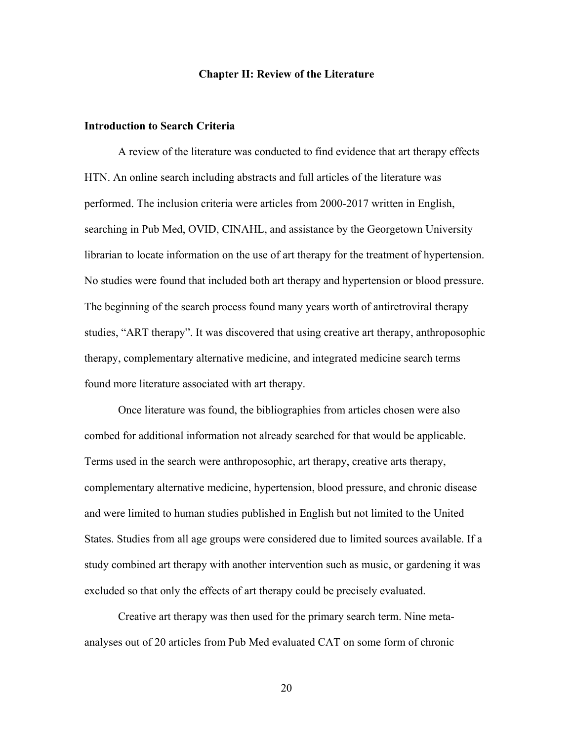#### **Chapter II: Review of the Literature**

## **Introduction to Search Criteria**

A review of the literature was conducted to find evidence that art therapy effects HTN. An online search including abstracts and full articles of the literature was performed. The inclusion criteria were articles from 2000-2017 written in English, searching in Pub Med, OVID, CINAHL, and assistance by the Georgetown University librarian to locate information on the use of art therapy for the treatment of hypertension. No studies were found that included both art therapy and hypertension or blood pressure. The beginning of the search process found many years worth of antiretroviral therapy studies, "ART therapy". It was discovered that using creative art therapy, anthroposophic therapy, complementary alternative medicine, and integrated medicine search terms found more literature associated with art therapy.

Once literature was found, the bibliographies from articles chosen were also combed for additional information not already searched for that would be applicable. Terms used in the search were anthroposophic, art therapy, creative arts therapy, complementary alternative medicine, hypertension, blood pressure, and chronic disease and were limited to human studies published in English but not limited to the United States. Studies from all age groups were considered due to limited sources available. If a study combined art therapy with another intervention such as music, or gardening it was excluded so that only the effects of art therapy could be precisely evaluated.

Creative art therapy was then used for the primary search term. Nine metaanalyses out of 20 articles from Pub Med evaluated CAT on some form of chronic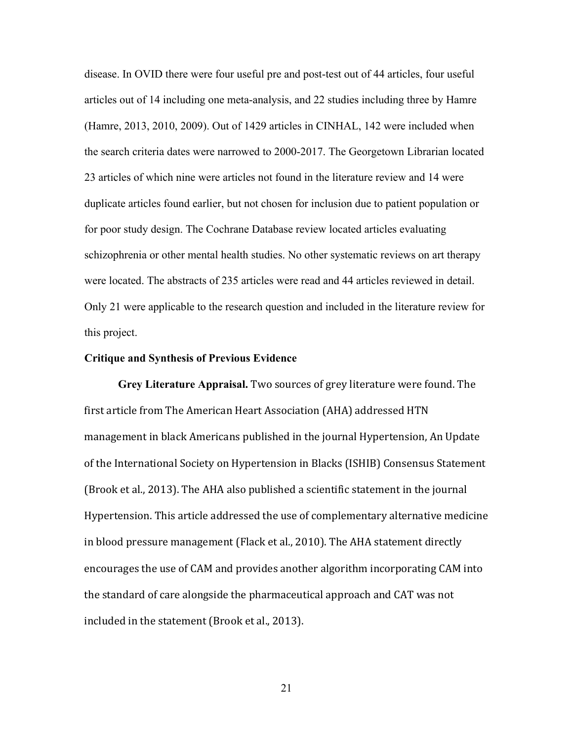disease. In OVID there were four useful pre and post-test out of 44 articles, four useful articles out of 14 including one meta-analysis, and 22 studies including three by Hamre (Hamre, 2013, 2010, 2009). Out of 1429 articles in CINHAL, 142 were included when the search criteria dates were narrowed to 2000-2017. The Georgetown Librarian located 23 articles of which nine were articles not found in the literature review and 14 were duplicate articles found earlier, but not chosen for inclusion due to patient population or for poor study design. The Cochrane Database review located articles evaluating schizophrenia or other mental health studies. No other systematic reviews on art therapy were located. The abstracts of 235 articles were read and 44 articles reviewed in detail. Only 21 were applicable to the research question and included in the literature review for this project.

#### **Critique and Synthesis of Previous Evidence**

**Grey Literature Appraisal.** Two sources of grey literature were found. The first article from The American Heart Association (AHA) addressed HTN management in black Americans published in the journal Hypertension, An Update of the International Society on Hypertension in Blacks (ISHIB) Consensus Statement (Brook et al., 2013). The AHA also published a scientific statement in the journal Hypertension. This article addressed the use of complementary alternative medicine in blood pressure management (Flack et al., 2010). The AHA statement directly encourages the use of CAM and provides another algorithm incorporating CAM into the standard of care alongside the pharmaceutical approach and CAT was not included in the statement (Brook et al., 2013).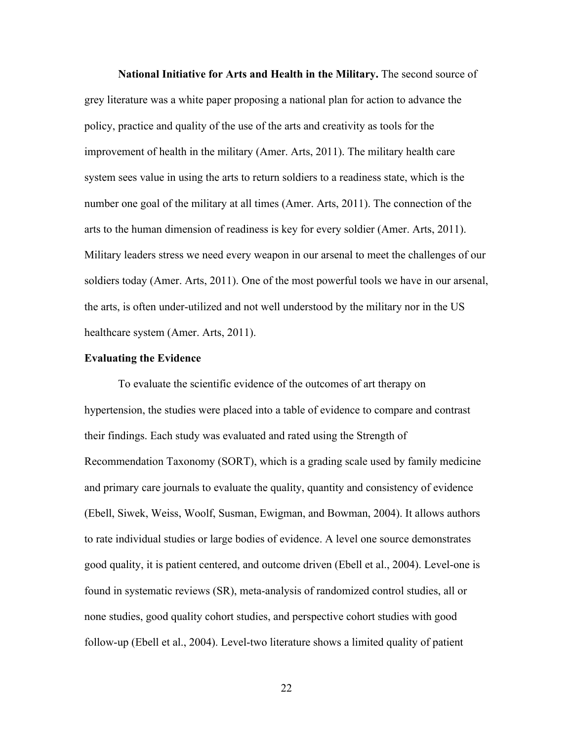**National Initiative for Arts and Health in the Military.** The second source of grey literature was a white paper proposing a national plan for action to advance the policy, practice and quality of the use of the arts and creativity as tools for the improvement of health in the military (Amer. Arts, 2011). The military health care system sees value in using the arts to return soldiers to a readiness state, which is the number one goal of the military at all times (Amer. Arts, 2011). The connection of the arts to the human dimension of readiness is key for every soldier (Amer. Arts, 2011). Military leaders stress we need every weapon in our arsenal to meet the challenges of our soldiers today (Amer. Arts, 2011). One of the most powerful tools we have in our arsenal, the arts, is often under-utilized and not well understood by the military nor in the US healthcare system (Amer. Arts, 2011).

#### **Evaluating the Evidence**

To evaluate the scientific evidence of the outcomes of art therapy on hypertension, the studies were placed into a table of evidence to compare and contrast their findings. Each study was evaluated and rated using the Strength of Recommendation Taxonomy (SORT), which is a grading scale used by family medicine and primary care journals to evaluate the quality, quantity and consistency of evidence (Ebell, Siwek, Weiss, Woolf, Susman, Ewigman, and Bowman, 2004). It allows authors to rate individual studies or large bodies of evidence. A level one source demonstrates good quality, it is patient centered, and outcome driven (Ebell et al., 2004). Level-one is found in systematic reviews (SR), meta-analysis of randomized control studies, all or none studies, good quality cohort studies, and perspective cohort studies with good follow-up (Ebell et al., 2004). Level-two literature shows a limited quality of patient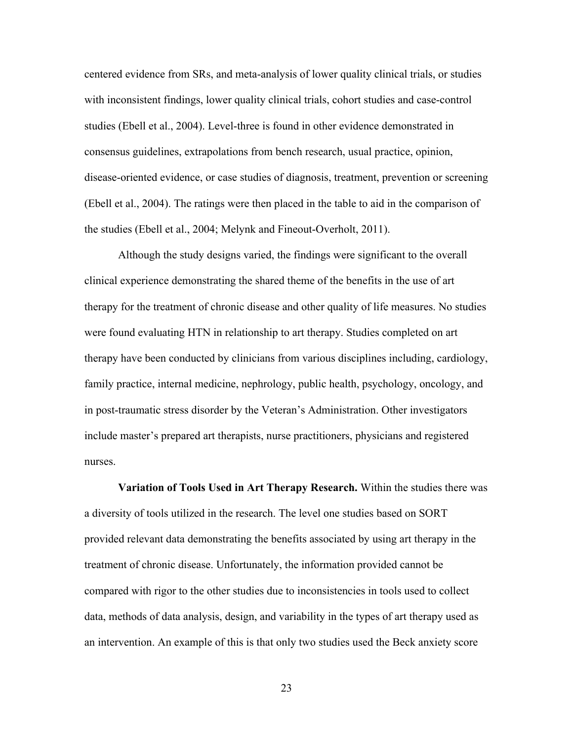centered evidence from SRs, and meta-analysis of lower quality clinical trials, or studies with inconsistent findings, lower quality clinical trials, cohort studies and case-control studies (Ebell et al., 2004). Level-three is found in other evidence demonstrated in consensus guidelines, extrapolations from bench research, usual practice, opinion, disease-oriented evidence, or case studies of diagnosis, treatment, prevention or screening (Ebell et al., 2004). The ratings were then placed in the table to aid in the comparison of the studies (Ebell et al., 2004; Melynk and Fineout-Overholt, 2011).

Although the study designs varied, the findings were significant to the overall clinical experience demonstrating the shared theme of the benefits in the use of art therapy for the treatment of chronic disease and other quality of life measures. No studies were found evaluating HTN in relationship to art therapy. Studies completed on art therapy have been conducted by clinicians from various disciplines including, cardiology, family practice, internal medicine, nephrology, public health, psychology, oncology, and in post-traumatic stress disorder by the Veteran's Administration. Other investigators include master's prepared art therapists, nurse practitioners, physicians and registered nurses.

**Variation of Tools Used in Art Therapy Research.** Within the studies there was a diversity of tools utilized in the research. The level one studies based on SORT provided relevant data demonstrating the benefits associated by using art therapy in the treatment of chronic disease. Unfortunately, the information provided cannot be compared with rigor to the other studies due to inconsistencies in tools used to collect data, methods of data analysis, design, and variability in the types of art therapy used as an intervention. An example of this is that only two studies used the Beck anxiety score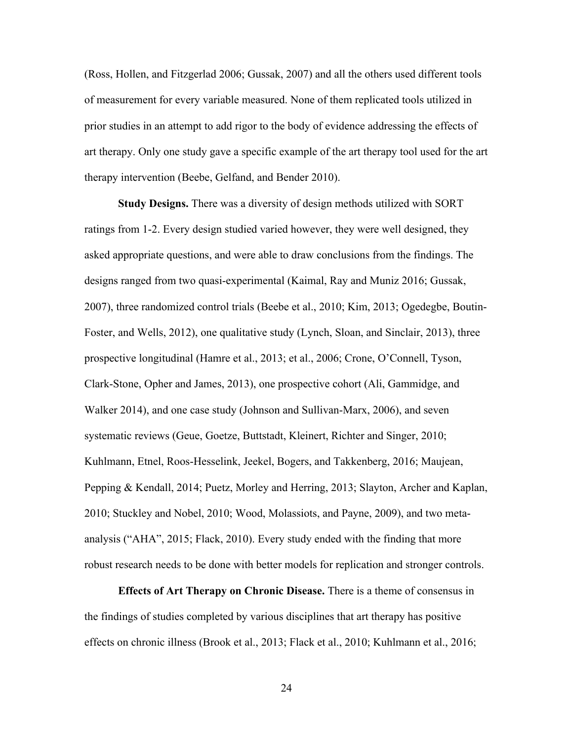(Ross, Hollen, and Fitzgerlad 2006; Gussak, 2007) and all the others used different tools of measurement for every variable measured. None of them replicated tools utilized in prior studies in an attempt to add rigor to the body of evidence addressing the effects of art therapy. Only one study gave a specific example of the art therapy tool used for the art therapy intervention (Beebe, Gelfand, and Bender 2010).

**Study Designs.** There was a diversity of design methods utilized with SORT ratings from 1-2. Every design studied varied however, they were well designed, they asked appropriate questions, and were able to draw conclusions from the findings. The designs ranged from two quasi-experimental (Kaimal, Ray and Muniz 2016; Gussak, 2007), three randomized control trials (Beebe et al., 2010; Kim, 2013; Ogedegbe, Boutin-Foster, and Wells, 2012), one qualitative study (Lynch, Sloan, and Sinclair, 2013), three prospective longitudinal (Hamre et al., 2013; et al., 2006; Crone, O'Connell, Tyson, Clark-Stone, Opher and James, 2013), one prospective cohort (Ali, Gammidge, and Walker 2014), and one case study (Johnson and Sullivan-Marx, 2006), and seven systematic reviews (Geue, Goetze, Buttstadt, Kleinert, Richter and Singer, 2010; Kuhlmann, Etnel, Roos-Hesselink, Jeekel, Bogers, and Takkenberg, 2016; Maujean, Pepping & Kendall, 2014; Puetz, Morley and Herring, 2013; Slayton, Archer and Kaplan, 2010; Stuckley and Nobel, 2010; Wood, Molassiots, and Payne, 2009), and two metaanalysis ("AHA", 2015; Flack, 2010). Every study ended with the finding that more robust research needs to be done with better models for replication and stronger controls.

**Effects of Art Therapy on Chronic Disease.** There is a theme of consensus in the findings of studies completed by various disciplines that art therapy has positive effects on chronic illness (Brook et al., 2013; Flack et al., 2010; Kuhlmann et al., 2016;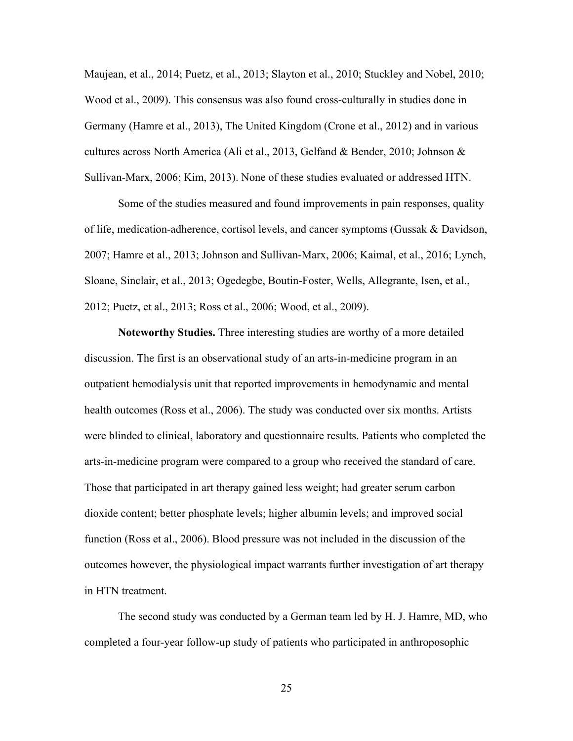Maujean, et al., 2014; Puetz, et al., 2013; Slayton et al., 2010; Stuckley and Nobel, 2010; Wood et al., 2009). This consensus was also found cross-culturally in studies done in Germany (Hamre et al., 2013), The United Kingdom (Crone et al., 2012) and in various cultures across North America (Ali et al., 2013, Gelfand & Bender, 2010; Johnson & Sullivan-Marx, 2006; Kim, 2013). None of these studies evaluated or addressed HTN.

Some of the studies measured and found improvements in pain responses, quality of life, medication-adherence, cortisol levels, and cancer symptoms (Gussak & Davidson, 2007; Hamre et al., 2013; Johnson and Sullivan-Marx, 2006; Kaimal, et al., 2016; Lynch, Sloane, Sinclair, et al., 2013; Ogedegbe, Boutin-Foster, Wells, Allegrante, Isen, et al., 2012; Puetz, et al., 2013; Ross et al., 2006; Wood, et al., 2009).

**Noteworthy Studies.** Three interesting studies are worthy of a more detailed discussion. The first is an observational study of an arts-in-medicine program in an outpatient hemodialysis unit that reported improvements in hemodynamic and mental health outcomes (Ross et al., 2006). The study was conducted over six months. Artists were blinded to clinical, laboratory and questionnaire results. Patients who completed the arts-in-medicine program were compared to a group who received the standard of care. Those that participated in art therapy gained less weight; had greater serum carbon dioxide content; better phosphate levels; higher albumin levels; and improved social function (Ross et al., 2006). Blood pressure was not included in the discussion of the outcomes however, the physiological impact warrants further investigation of art therapy in HTN treatment.

The second study was conducted by a German team led by H. J. Hamre, MD, who completed a four-year follow-up study of patients who participated in anthroposophic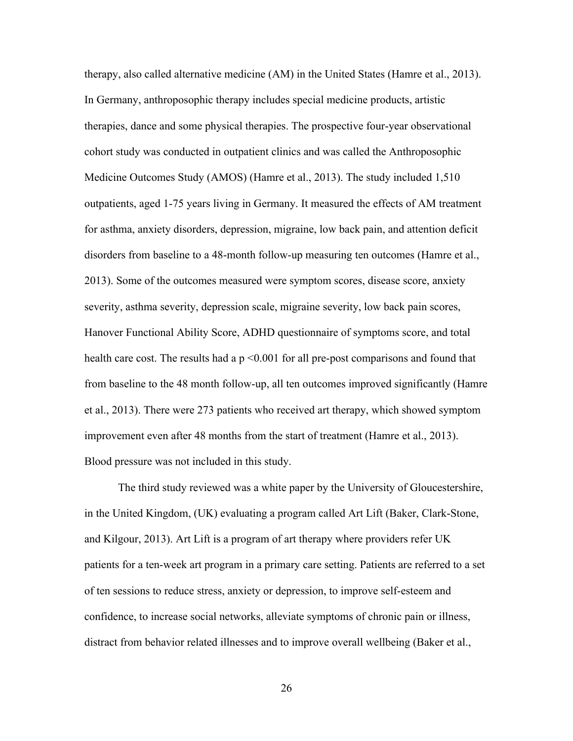therapy, also called alternative medicine (AM) in the United States (Hamre et al., 2013). In Germany, anthroposophic therapy includes special medicine products, artistic therapies, dance and some physical therapies. The prospective four-year observational cohort study was conducted in outpatient clinics and was called the Anthroposophic Medicine Outcomes Study (AMOS) (Hamre et al., 2013). The study included 1,510 outpatients, aged 1-75 years living in Germany. It measured the effects of AM treatment for asthma, anxiety disorders, depression, migraine, low back pain, and attention deficit disorders from baseline to a 48-month follow-up measuring ten outcomes (Hamre et al., 2013). Some of the outcomes measured were symptom scores, disease score, anxiety severity, asthma severity, depression scale, migraine severity, low back pain scores, Hanover Functional Ability Score, ADHD questionnaire of symptoms score, and total health care cost. The results had a  $p \le 0.001$  for all pre-post comparisons and found that from baseline to the 48 month follow-up, all ten outcomes improved significantly (Hamre et al., 2013). There were 273 patients who received art therapy, which showed symptom improvement even after 48 months from the start of treatment (Hamre et al., 2013). Blood pressure was not included in this study.

The third study reviewed was a white paper by the University of Gloucestershire, in the United Kingdom, (UK) evaluating a program called Art Lift (Baker, Clark-Stone, and Kilgour, 2013). Art Lift is a program of art therapy where providers refer UK patients for a ten-week art program in a primary care setting. Patients are referred to a set of ten sessions to reduce stress, anxiety or depression, to improve self-esteem and confidence, to increase social networks, alleviate symptoms of chronic pain or illness, distract from behavior related illnesses and to improve overall wellbeing (Baker et al.,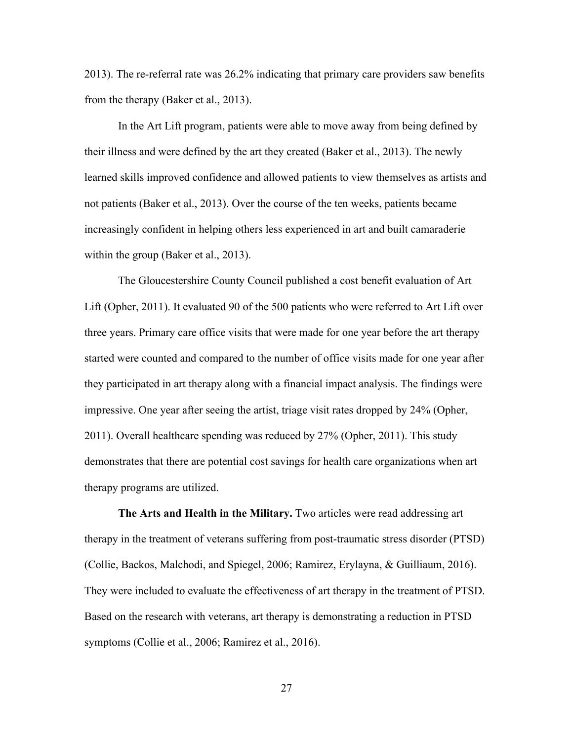2013). The re-referral rate was 26.2% indicating that primary care providers saw benefits from the therapy (Baker et al., 2013).

In the Art Lift program, patients were able to move away from being defined by their illness and were defined by the art they created (Baker et al., 2013). The newly learned skills improved confidence and allowed patients to view themselves as artists and not patients (Baker et al., 2013). Over the course of the ten weeks, patients became increasingly confident in helping others less experienced in art and built camaraderie within the group (Baker et al., 2013).

The Gloucestershire County Council published a cost benefit evaluation of Art Lift (Opher, 2011). It evaluated 90 of the 500 patients who were referred to Art Lift over three years. Primary care office visits that were made for one year before the art therapy started were counted and compared to the number of office visits made for one year after they participated in art therapy along with a financial impact analysis. The findings were impressive. One year after seeing the artist, triage visit rates dropped by 24% (Opher, 2011). Overall healthcare spending was reduced by 27% (Opher, 2011). This study demonstrates that there are potential cost savings for health care organizations when art therapy programs are utilized.

**The Arts and Health in the Military.** Two articles were read addressing art therapy in the treatment of veterans suffering from post-traumatic stress disorder (PTSD) (Collie, Backos, Malchodi, and Spiegel, 2006; Ramirez, Erylayna, & Guilliaum, 2016). They were included to evaluate the effectiveness of art therapy in the treatment of PTSD. Based on the research with veterans, art therapy is demonstrating a reduction in PTSD symptoms (Collie et al., 2006; Ramirez et al., 2016).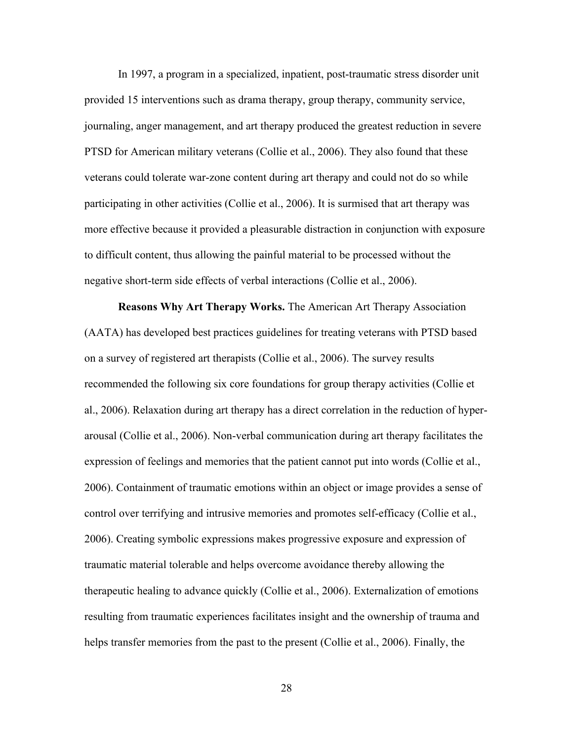In 1997, a program in a specialized, inpatient, post-traumatic stress disorder unit provided 15 interventions such as drama therapy, group therapy, community service, journaling, anger management, and art therapy produced the greatest reduction in severe PTSD for American military veterans (Collie et al., 2006). They also found that these veterans could tolerate war-zone content during art therapy and could not do so while participating in other activities (Collie et al., 2006). It is surmised that art therapy was more effective because it provided a pleasurable distraction in conjunction with exposure to difficult content, thus allowing the painful material to be processed without the negative short-term side effects of verbal interactions (Collie et al., 2006).

**Reasons Why Art Therapy Works.** The American Art Therapy Association (AATA) has developed best practices guidelines for treating veterans with PTSD based on a survey of registered art therapists (Collie et al., 2006). The survey results recommended the following six core foundations for group therapy activities (Collie et al., 2006). Relaxation during art therapy has a direct correlation in the reduction of hyperarousal (Collie et al., 2006). Non-verbal communication during art therapy facilitates the expression of feelings and memories that the patient cannot put into words (Collie et al., 2006). Containment of traumatic emotions within an object or image provides a sense of control over terrifying and intrusive memories and promotes self-efficacy (Collie et al., 2006). Creating symbolic expressions makes progressive exposure and expression of traumatic material tolerable and helps overcome avoidance thereby allowing the therapeutic healing to advance quickly (Collie et al., 2006). Externalization of emotions resulting from traumatic experiences facilitates insight and the ownership of trauma and helps transfer memories from the past to the present (Collie et al., 2006). Finally, the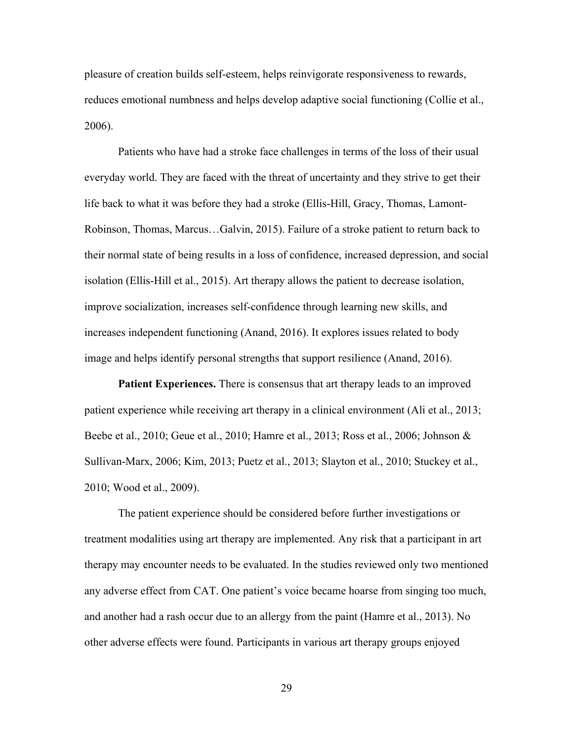pleasure of creation builds self-esteem, helps reinvigorate responsiveness to rewards, reduces emotional numbness and helps develop adaptive social functioning (Collie et al., 2006).

Patients who have had a stroke face challenges in terms of the loss of their usual everyday world. They are faced with the threat of uncertainty and they strive to get their life back to what it was before they had a stroke (Ellis-Hill, Gracy, Thomas, Lamont-Robinson, Thomas, Marcus…Galvin, 2015). Failure of a stroke patient to return back to their normal state of being results in a loss of confidence, increased depression, and social isolation (Ellis-Hill et al., 2015). Art therapy allows the patient to decrease isolation, improve socialization, increases self-confidence through learning new skills, and increases independent functioning (Anand, 2016). It explores issues related to body image and helps identify personal strengths that support resilience (Anand, 2016).

**Patient Experiences.** There is consensus that art therapy leads to an improved patient experience while receiving art therapy in a clinical environment (Ali et al., 2013; Beebe et al., 2010; Geue et al., 2010; Hamre et al., 2013; Ross et al., 2006; Johnson & Sullivan-Marx, 2006; Kim, 2013; Puetz et al., 2013; Slayton et al., 2010; Stuckey et al., 2010; Wood et al., 2009).

The patient experience should be considered before further investigations or treatment modalities using art therapy are implemented. Any risk that a participant in art therapy may encounter needs to be evaluated. In the studies reviewed only two mentioned any adverse effect from CAT. One patient's voice became hoarse from singing too much, and another had a rash occur due to an allergy from the paint (Hamre et al., 2013). No other adverse effects were found. Participants in various art therapy groups enjoyed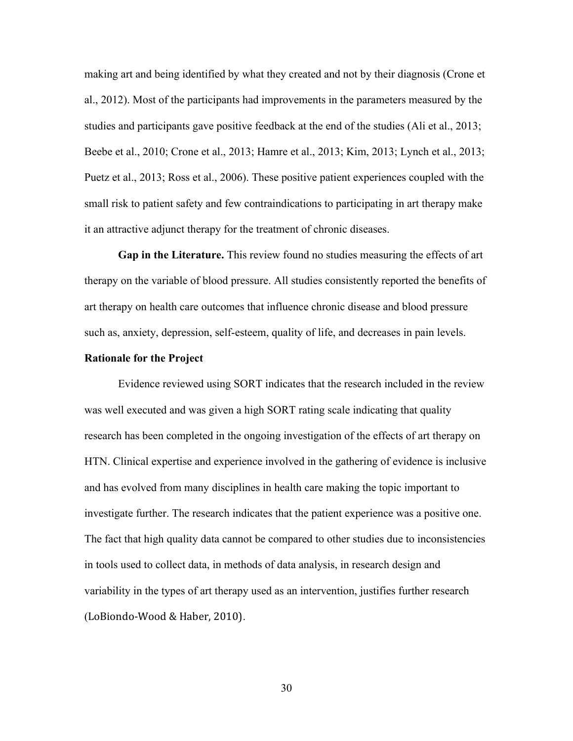making art and being identified by what they created and not by their diagnosis (Crone et al., 2012). Most of the participants had improvements in the parameters measured by the studies and participants gave positive feedback at the end of the studies (Ali et al., 2013; Beebe et al., 2010; Crone et al., 2013; Hamre et al., 2013; Kim, 2013; Lynch et al., 2013; Puetz et al., 2013; Ross et al., 2006). These positive patient experiences coupled with the small risk to patient safety and few contraindications to participating in art therapy make it an attractive adjunct therapy for the treatment of chronic diseases.

**Gap in the Literature.** This review found no studies measuring the effects of art therapy on the variable of blood pressure. All studies consistently reported the benefits of art therapy on health care outcomes that influence chronic disease and blood pressure such as, anxiety, depression, self-esteem, quality of life, and decreases in pain levels.

# **Rationale for the Project**

Evidence reviewed using SORT indicates that the research included in the review was well executed and was given a high SORT rating scale indicating that quality research has been completed in the ongoing investigation of the effects of art therapy on HTN. Clinical expertise and experience involved in the gathering of evidence is inclusive and has evolved from many disciplines in health care making the topic important to investigate further. The research indicates that the patient experience was a positive one. The fact that high quality data cannot be compared to other studies due to inconsistencies in tools used to collect data, in methods of data analysis, in research design and variability in the types of art therapy used as an intervention, justifies further research (LoBiondo-Wood & Haber, 2010).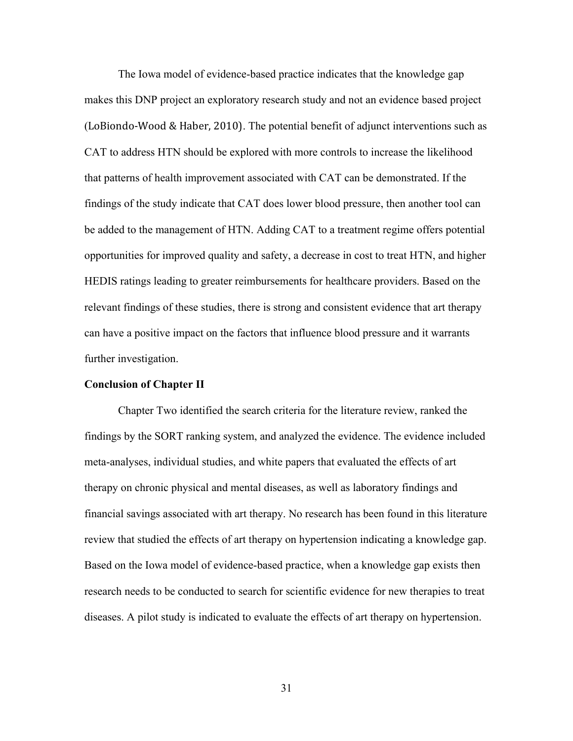The Iowa model of evidence-based practice indicates that the knowledge gap makes this DNP project an exploratory research study and not an evidence based project (LoBiondo-Wood & Haber, 2010). The potential benefit of adjunct interventions such as CAT to address HTN should be explored with more controls to increase the likelihood that patterns of health improvement associated with CAT can be demonstrated. If the findings of the study indicate that CAT does lower blood pressure, then another tool can be added to the management of HTN. Adding CAT to a treatment regime offers potential opportunities for improved quality and safety, a decrease in cost to treat HTN, and higher HEDIS ratings leading to greater reimbursements for healthcare providers. Based on the relevant findings of these studies, there is strong and consistent evidence that art therapy can have a positive impact on the factors that influence blood pressure and it warrants further investigation.

#### **Conclusion of Chapter II**

Chapter Two identified the search criteria for the literature review, ranked the findings by the SORT ranking system, and analyzed the evidence. The evidence included meta-analyses, individual studies, and white papers that evaluated the effects of art therapy on chronic physical and mental diseases, as well as laboratory findings and financial savings associated with art therapy. No research has been found in this literature review that studied the effects of art therapy on hypertension indicating a knowledge gap. Based on the Iowa model of evidence-based practice, when a knowledge gap exists then research needs to be conducted to search for scientific evidence for new therapies to treat diseases. A pilot study is indicated to evaluate the effects of art therapy on hypertension.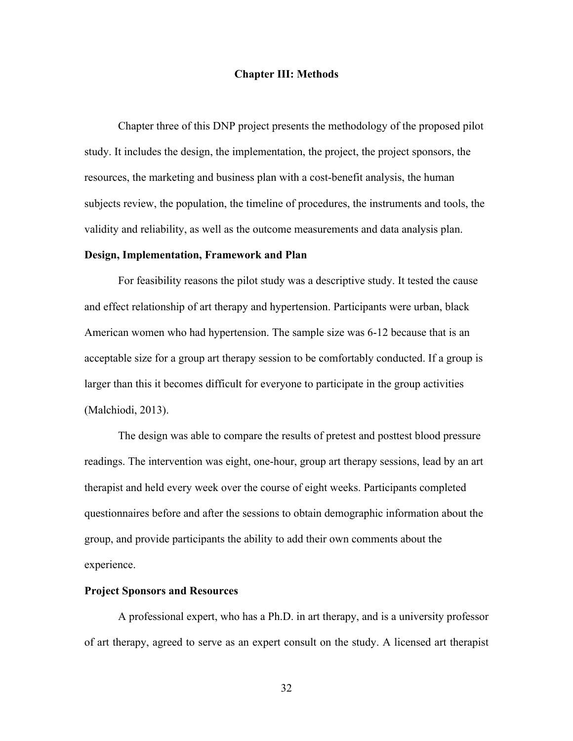#### **Chapter III: Methods**

Chapter three of this DNP project presents the methodology of the proposed pilot study. It includes the design, the implementation, the project, the project sponsors, the resources, the marketing and business plan with a cost-benefit analysis, the human subjects review, the population, the timeline of procedures, the instruments and tools, the validity and reliability, as well as the outcome measurements and data analysis plan.

## **Design, Implementation, Framework and Plan**

For feasibility reasons the pilot study was a descriptive study. It tested the cause and effect relationship of art therapy and hypertension. Participants were urban, black American women who had hypertension. The sample size was 6-12 because that is an acceptable size for a group art therapy session to be comfortably conducted. If a group is larger than this it becomes difficult for everyone to participate in the group activities (Malchiodi, 2013).

The design was able to compare the results of pretest and posttest blood pressure readings. The intervention was eight, one-hour, group art therapy sessions, lead by an art therapist and held every week over the course of eight weeks. Participants completed questionnaires before and after the sessions to obtain demographic information about the group, and provide participants the ability to add their own comments about the experience.

#### **Project Sponsors and Resources**

A professional expert, who has a Ph.D. in art therapy, and is a university professor of art therapy, agreed to serve as an expert consult on the study. A licensed art therapist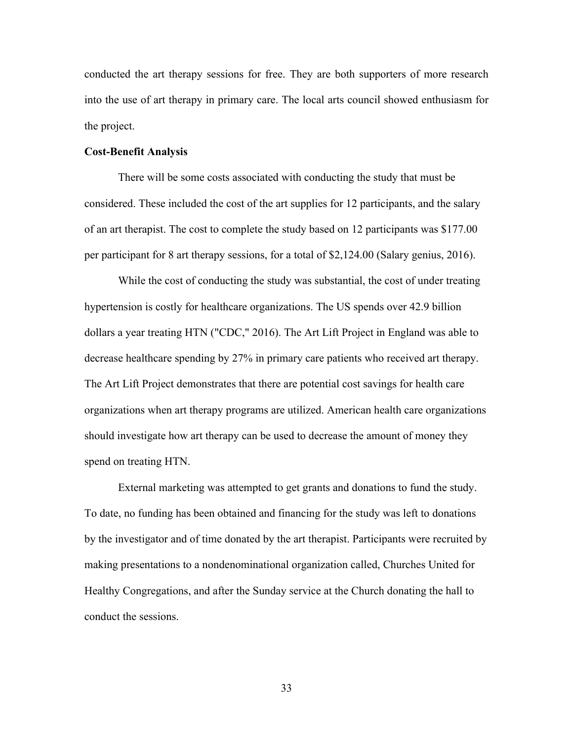conducted the art therapy sessions for free. They are both supporters of more research into the use of art therapy in primary care. The local arts council showed enthusiasm for the project.

## **Cost-Benefit Analysis**

There will be some costs associated with conducting the study that must be considered. These included the cost of the art supplies for 12 participants, and the salary of an art therapist. The cost to complete the study based on 12 participants was \$177.00 per participant for 8 art therapy sessions, for a total of \$2,124.00 (Salary genius, 2016).

While the cost of conducting the study was substantial, the cost of under treating hypertension is costly for healthcare organizations. The US spends over 42.9 billion dollars a year treating HTN ("CDC," 2016). The Art Lift Project in England was able to decrease healthcare spending by 27% in primary care patients who received art therapy. The Art Lift Project demonstrates that there are potential cost savings for health care organizations when art therapy programs are utilized. American health care organizations should investigate how art therapy can be used to decrease the amount of money they spend on treating HTN.

External marketing was attempted to get grants and donations to fund the study. To date, no funding has been obtained and financing for the study was left to donations by the investigator and of time donated by the art therapist. Participants were recruited by making presentations to a nondenominational organization called, Churches United for Healthy Congregations, and after the Sunday service at the Church donating the hall to conduct the sessions.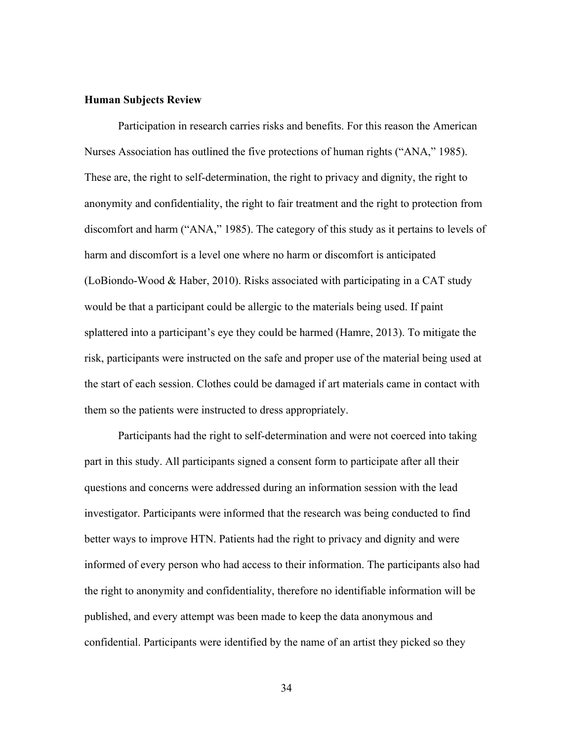## **Human Subjects Review**

Participation in research carries risks and benefits. For this reason the American Nurses Association has outlined the five protections of human rights ("ANA," 1985). These are, the right to self-determination, the right to privacy and dignity, the right to anonymity and confidentiality, the right to fair treatment and the right to protection from discomfort and harm ("ANA," 1985). The category of this study as it pertains to levels of harm and discomfort is a level one where no harm or discomfort is anticipated (LoBiondo-Wood & Haber, 2010). Risks associated with participating in a CAT study would be that a participant could be allergic to the materials being used. If paint splattered into a participant's eye they could be harmed (Hamre, 2013). To mitigate the risk, participants were instructed on the safe and proper use of the material being used at the start of each session. Clothes could be damaged if art materials came in contact with them so the patients were instructed to dress appropriately.

Participants had the right to self-determination and were not coerced into taking part in this study. All participants signed a consent form to participate after all their questions and concerns were addressed during an information session with the lead investigator. Participants were informed that the research was being conducted to find better ways to improve HTN. Patients had the right to privacy and dignity and were informed of every person who had access to their information. The participants also had the right to anonymity and confidentiality, therefore no identifiable information will be published, and every attempt was been made to keep the data anonymous and confidential. Participants were identified by the name of an artist they picked so they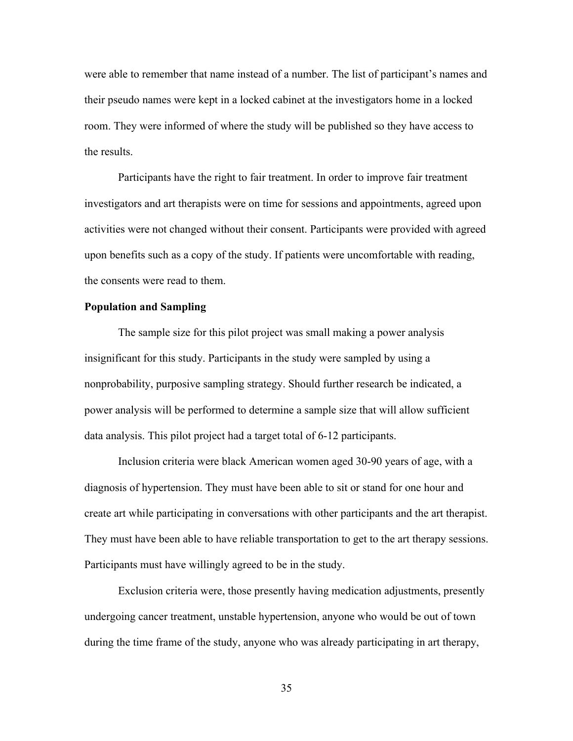were able to remember that name instead of a number. The list of participant's names and their pseudo names were kept in a locked cabinet at the investigators home in a locked room. They were informed of where the study will be published so they have access to the results.

Participants have the right to fair treatment. In order to improve fair treatment investigators and art therapists were on time for sessions and appointments, agreed upon activities were not changed without their consent. Participants were provided with agreed upon benefits such as a copy of the study. If patients were uncomfortable with reading, the consents were read to them.

#### **Population and Sampling**

The sample size for this pilot project was small making a power analysis insignificant for this study. Participants in the study were sampled by using a nonprobability, purposive sampling strategy. Should further research be indicated, a power analysis will be performed to determine a sample size that will allow sufficient data analysis. This pilot project had a target total of 6-12 participants.

Inclusion criteria were black American women aged 30-90 years of age, with a diagnosis of hypertension. They must have been able to sit or stand for one hour and create art while participating in conversations with other participants and the art therapist. They must have been able to have reliable transportation to get to the art therapy sessions. Participants must have willingly agreed to be in the study.

Exclusion criteria were, those presently having medication adjustments, presently undergoing cancer treatment, unstable hypertension, anyone who would be out of town during the time frame of the study, anyone who was already participating in art therapy,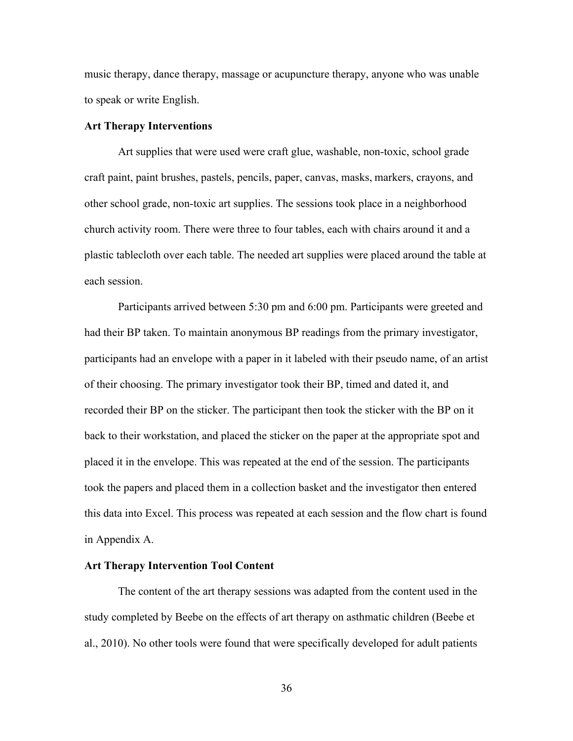music therapy, dance therapy, massage or acupuncture therapy, anyone who was unable to speak or write English.

# **Art Therapy Interventions**

Art supplies that were used were craft glue, washable, non-toxic, school grade craft paint, paint brushes, pastels, pencils, paper, canvas, masks, markers, crayons, and other school grade, non-toxic art supplies. The sessions took place in a neighborhood church activity room. There were three to four tables, each with chairs around it and a plastic tablecloth over each table. The needed art supplies were placed around the table at each session.

Participants arrived between 5:30 pm and 6:00 pm. Participants were greeted and had their BP taken. To maintain anonymous BP readings from the primary investigator, participants had an envelope with a paper in it labeled with their pseudo name, of an artist of their choosing. The primary investigator took their BP, timed and dated it, and recorded their BP on the sticker. The participant then took the sticker with the BP on it back to their workstation, and placed the sticker on the paper at the appropriate spot and placed it in the envelope. This was repeated at the end of the session. The participants took the papers and placed them in a collection basket and the investigator then entered this data into Excel. This process was repeated at each session and the flow chart is found in Appendix A.

# **Art Therapy Intervention Tool Content**

The content of the art therapy sessions was adapted from the content used in the study completed by Beebe on the effects of art therapy on asthmatic children (Beebe et al., 2010). No other tools were found that were specifically developed for adult patients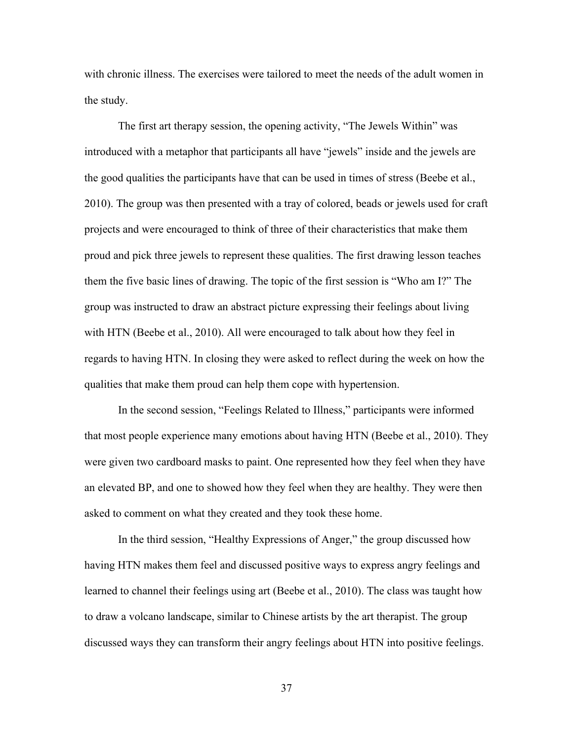with chronic illness. The exercises were tailored to meet the needs of the adult women in the study.

The first art therapy session, the opening activity, "The Jewels Within" was introduced with a metaphor that participants all have "jewels" inside and the jewels are the good qualities the participants have that can be used in times of stress (Beebe et al., 2010). The group was then presented with a tray of colored, beads or jewels used for craft projects and were encouraged to think of three of their characteristics that make them proud and pick three jewels to represent these qualities. The first drawing lesson teaches them the five basic lines of drawing. The topic of the first session is "Who am I?" The group was instructed to draw an abstract picture expressing their feelings about living with HTN (Beebe et al., 2010). All were encouraged to talk about how they feel in regards to having HTN. In closing they were asked to reflect during the week on how the qualities that make them proud can help them cope with hypertension.

In the second session, "Feelings Related to Illness," participants were informed that most people experience many emotions about having HTN (Beebe et al., 2010). They were given two cardboard masks to paint. One represented how they feel when they have an elevated BP, and one to showed how they feel when they are healthy. They were then asked to comment on what they created and they took these home.

In the third session, "Healthy Expressions of Anger," the group discussed how having HTN makes them feel and discussed positive ways to express angry feelings and learned to channel their feelings using art (Beebe et al., 2010). The class was taught how to draw a volcano landscape, similar to Chinese artists by the art therapist. The group discussed ways they can transform their angry feelings about HTN into positive feelings.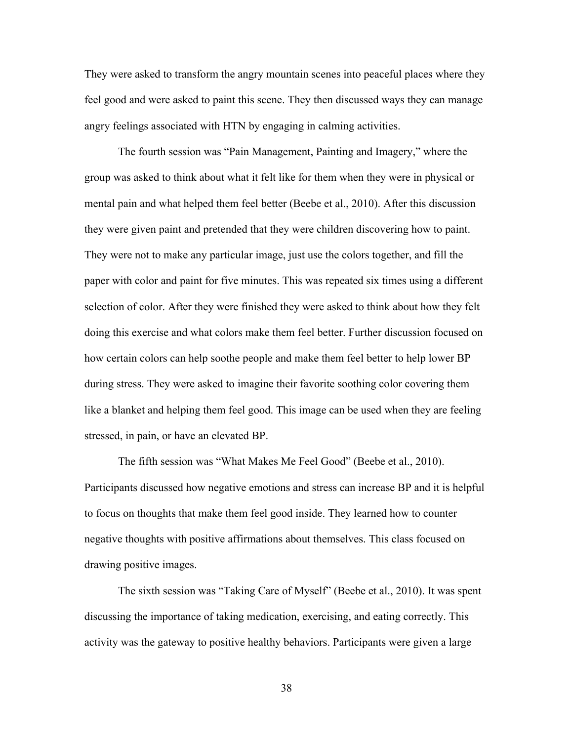They were asked to transform the angry mountain scenes into peaceful places where they feel good and were asked to paint this scene. They then discussed ways they can manage angry feelings associated with HTN by engaging in calming activities.

The fourth session was "Pain Management, Painting and Imagery," where the group was asked to think about what it felt like for them when they were in physical or mental pain and what helped them feel better (Beebe et al., 2010). After this discussion they were given paint and pretended that they were children discovering how to paint. They were not to make any particular image, just use the colors together, and fill the paper with color and paint for five minutes. This was repeated six times using a different selection of color. After they were finished they were asked to think about how they felt doing this exercise and what colors make them feel better. Further discussion focused on how certain colors can help soothe people and make them feel better to help lower BP during stress. They were asked to imagine their favorite soothing color covering them like a blanket and helping them feel good. This image can be used when they are feeling stressed, in pain, or have an elevated BP.

The fifth session was "What Makes Me Feel Good" (Beebe et al., 2010). Participants discussed how negative emotions and stress can increase BP and it is helpful to focus on thoughts that make them feel good inside. They learned how to counter negative thoughts with positive affirmations about themselves. This class focused on drawing positive images.

The sixth session was "Taking Care of Myself" (Beebe et al., 2010). It was spent discussing the importance of taking medication, exercising, and eating correctly. This activity was the gateway to positive healthy behaviors. Participants were given a large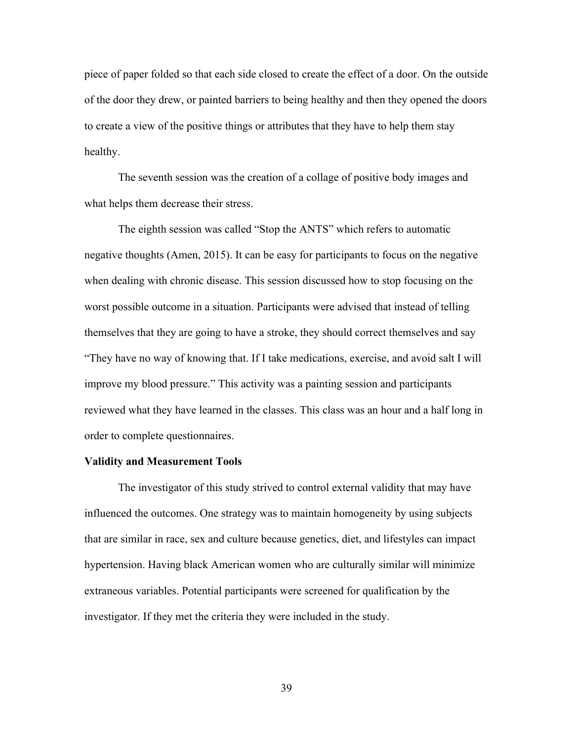piece of paper folded so that each side closed to create the effect of a door. On the outside of the door they drew, or painted barriers to being healthy and then they opened the doors to create a view of the positive things or attributes that they have to help them stay healthy.

The seventh session was the creation of a collage of positive body images and what helps them decrease their stress.

The eighth session was called "Stop the ANTS" which refers to automatic negative thoughts (Amen, 2015). It can be easy for participants to focus on the negative when dealing with chronic disease. This session discussed how to stop focusing on the worst possible outcome in a situation. Participants were advised that instead of telling themselves that they are going to have a stroke, they should correct themselves and say "They have no way of knowing that. If I take medications, exercise, and avoid salt I will improve my blood pressure." This activity was a painting session and participants reviewed what they have learned in the classes. This class was an hour and a half long in order to complete questionnaires.

#### **Validity and Measurement Tools**

The investigator of this study strived to control external validity that may have influenced the outcomes. One strategy was to maintain homogeneity by using subjects that are similar in race, sex and culture because genetics, diet, and lifestyles can impact hypertension. Having black American women who are culturally similar will minimize extraneous variables. Potential participants were screened for qualification by the investigator. If they met the criteria they were included in the study.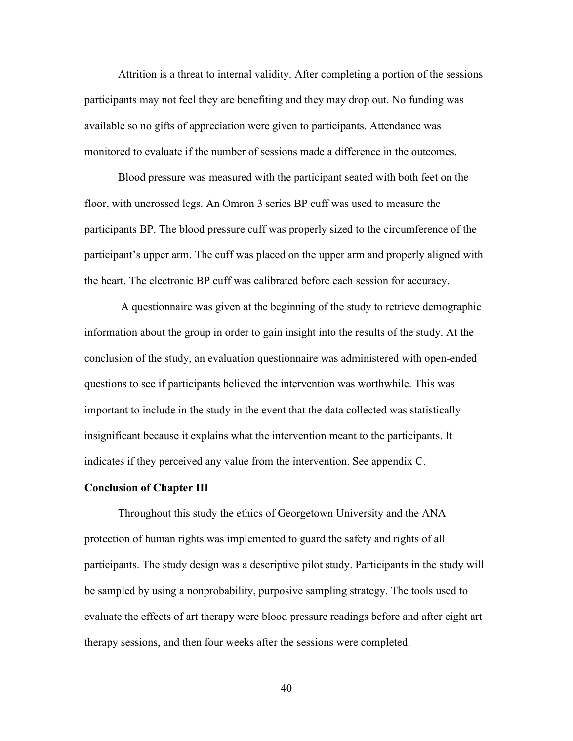Attrition is a threat to internal validity. After completing a portion of the sessions participants may not feel they are benefiting and they may drop out. No funding was available so no gifts of appreciation were given to participants. Attendance was monitored to evaluate if the number of sessions made a difference in the outcomes.

Blood pressure was measured with the participant seated with both feet on the floor, with uncrossed legs. An Omron 3 series BP cuff was used to measure the participants BP. The blood pressure cuff was properly sized to the circumference of the participant's upper arm. The cuff was placed on the upper arm and properly aligned with the heart. The electronic BP cuff was calibrated before each session for accuracy.

A questionnaire was given at the beginning of the study to retrieve demographic information about the group in order to gain insight into the results of the study. At the conclusion of the study, an evaluation questionnaire was administered with open-ended questions to see if participants believed the intervention was worthwhile. This was important to include in the study in the event that the data collected was statistically insignificant because it explains what the intervention meant to the participants. It indicates if they perceived any value from the intervention. See appendix C.

#### **Conclusion of Chapter III**

Throughout this study the ethics of Georgetown University and the ANA protection of human rights was implemented to guard the safety and rights of all participants. The study design was a descriptive pilot study. Participants in the study will be sampled by using a nonprobability, purposive sampling strategy. The tools used to evaluate the effects of art therapy were blood pressure readings before and after eight art therapy sessions, and then four weeks after the sessions were completed.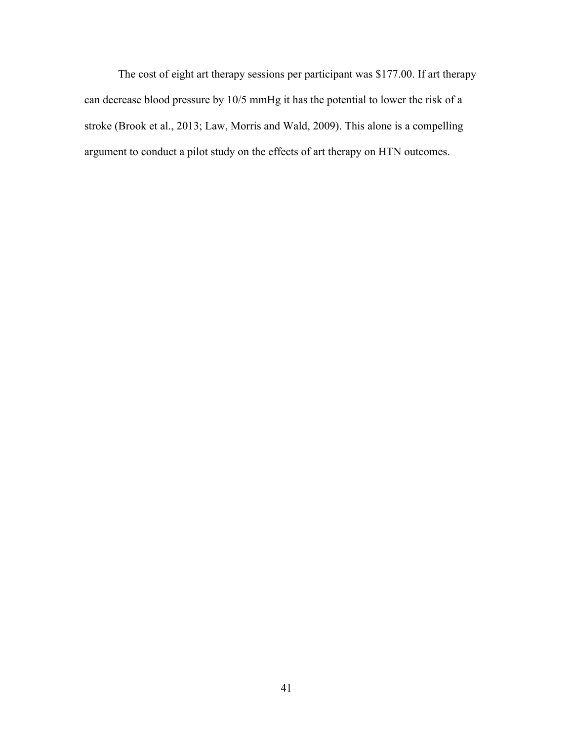The cost of eight art therapy sessions per participant was \$177.00. If art therapy can decrease blood pressure by 10/5 mmHg it has the potential to lower the risk of a stroke (Brook et al., 2013; Law, Morris and Wald, 2009). This alone is a compelling argument to conduct a pilot study on the effects of art therapy on HTN outcomes.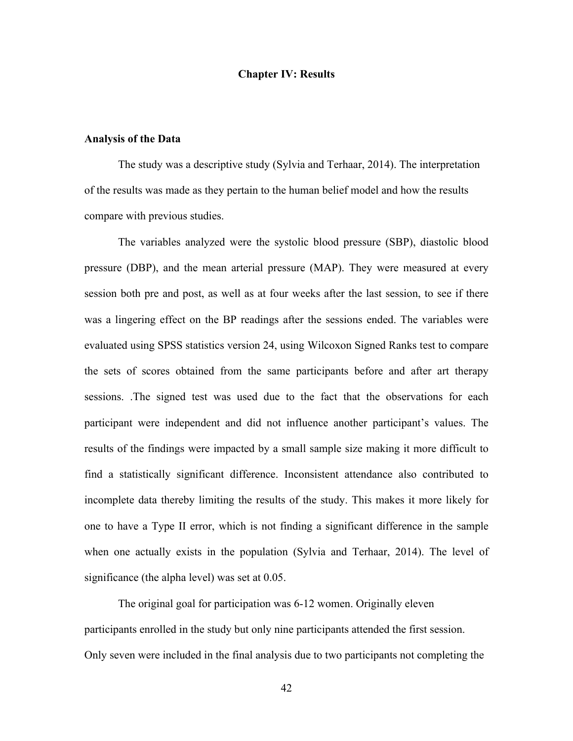#### **Chapter IV: Results**

# **Analysis of the Data**

The study was a descriptive study (Sylvia and Terhaar, 2014). The interpretation of the results was made as they pertain to the human belief model and how the results compare with previous studies.

The variables analyzed were the systolic blood pressure (SBP), diastolic blood pressure (DBP), and the mean arterial pressure (MAP). They were measured at every session both pre and post, as well as at four weeks after the last session, to see if there was a lingering effect on the BP readings after the sessions ended. The variables were evaluated using SPSS statistics version 24, using Wilcoxon Signed Ranks test to compare the sets of scores obtained from the same participants before and after art therapy sessions. .The signed test was used due to the fact that the observations for each participant were independent and did not influence another participant's values. The results of the findings were impacted by a small sample size making it more difficult to find a statistically significant difference. Inconsistent attendance also contributed to incomplete data thereby limiting the results of the study. This makes it more likely for one to have a Type II error, which is not finding a significant difference in the sample when one actually exists in the population (Sylvia and Terhaar, 2014). The level of significance (the alpha level) was set at 0.05.

The original goal for participation was 6-12 women. Originally eleven participants enrolled in the study but only nine participants attended the first session. Only seven were included in the final analysis due to two participants not completing the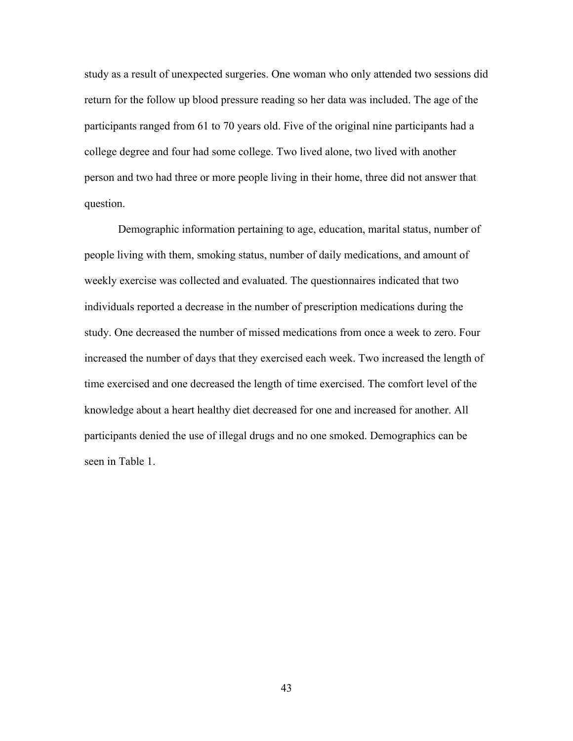study as a result of unexpected surgeries. One woman who only attended two sessions did return for the follow up blood pressure reading so her data was included. The age of the participants ranged from 61 to 70 years old. Five of the original nine participants had a college degree and four had some college. Two lived alone, two lived with another person and two had three or more people living in their home, three did not answer that question.

Demographic information pertaining to age, education, marital status, number of people living with them, smoking status, number of daily medications, and amount of weekly exercise was collected and evaluated. The questionnaires indicated that two individuals reported a decrease in the number of prescription medications during the study. One decreased the number of missed medications from once a week to zero. Four increased the number of days that they exercised each week. Two increased the length of time exercised and one decreased the length of time exercised. The comfort level of the knowledge about a heart healthy diet decreased for one and increased for another. All participants denied the use of illegal drugs and no one smoked. Demographics can be seen in Table 1.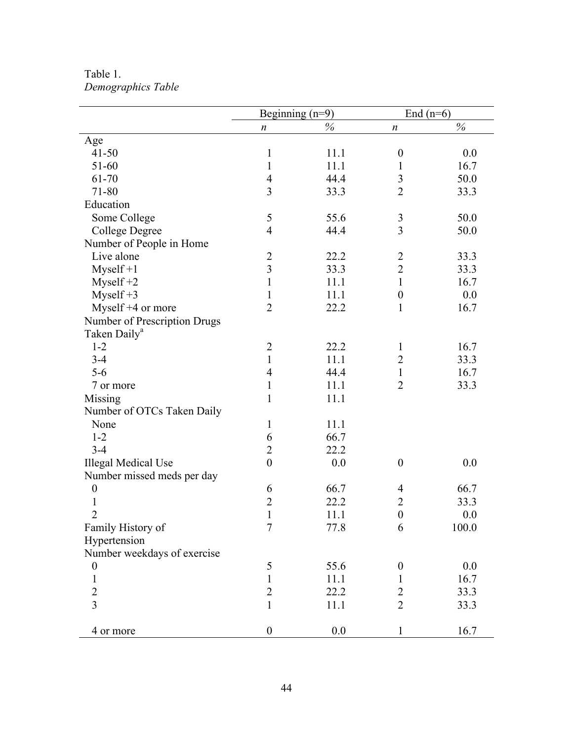| Table 1.           |
|--------------------|
| Demographics Table |

|                              | Beginning $(n=9)$       |      | End $(n=6)$      |       |
|------------------------------|-------------------------|------|------------------|-------|
|                              | n                       | %    | $\boldsymbol{n}$ | $\%$  |
| Age                          |                         |      |                  |       |
| $41 - 50$                    | 1                       | 11.1 | $\boldsymbol{0}$ | 0.0   |
| 51-60                        | 1                       | 11.1 | 1                | 16.7  |
| 61-70                        | $\overline{4}$          | 44.4 | 3                | 50.0  |
| 71-80                        | 3                       | 33.3 | $\overline{2}$   | 33.3  |
| Education                    |                         |      |                  |       |
| Some College                 | 5                       | 55.6 | $\mathfrak{Z}$   | 50.0  |
| <b>College Degree</b>        | $\overline{4}$          | 44.4 | $\overline{3}$   | 50.0  |
| Number of People in Home     |                         |      |                  |       |
| Live alone                   | $\overline{2}$          | 22.2 | $\overline{2}$   | 33.3  |
| $Myself +1$                  | $\overline{\mathbf{3}}$ | 33.3 | $\overline{2}$   | 33.3  |
| $Myself+2$                   | $\mathbf{1}$            | 11.1 | $\mathbf{1}$     | 16.7  |
| $Myself+3$                   | 1                       | 11.1 | $\boldsymbol{0}$ | 0.0   |
| Myself +4 or more            | $\overline{2}$          | 22.2 | $\mathbf{1}$     | 16.7  |
| Number of Prescription Drugs |                         |      |                  |       |
| Taken Daily <sup>a</sup>     |                         |      |                  |       |
| $1 - 2$                      | $\overline{2}$          | 22.2 | 1                | 16.7  |
| $3 - 4$                      | $\mathbf{1}$            | 11.1 | $\overline{2}$   | 33.3  |
| $5-6$                        | $\overline{4}$          | 44.4 | $\mathbf{1}$     | 16.7  |
| 7 or more                    | $\mathbf{1}$            | 11.1 | $\overline{2}$   | 33.3  |
| Missing                      | $\mathbf{1}$            | 11.1 |                  |       |
| Number of OTCs Taken Daily   |                         |      |                  |       |
| None                         | 1                       | 11.1 |                  |       |
| $1 - 2$                      | 6                       | 66.7 |                  |       |
| $3 - 4$                      | $\overline{2}$          | 22.2 |                  |       |
| <b>Illegal Medical Use</b>   | $\boldsymbol{0}$        | 0.0  | $\boldsymbol{0}$ | 0.0   |
| Number missed meds per day   |                         |      |                  |       |
| $\boldsymbol{0}$             | 6                       | 66.7 | $\overline{4}$   | 66.7  |
| 1                            | $\overline{2}$          | 22.2 | $\overline{2}$   | 33.3  |
| $\overline{2}$               | $\mathbf{1}$            | 11.1 | $\boldsymbol{0}$ | 0.0   |
| Family History of            | 7                       | 77.8 | 6                | 100.0 |
| Hypertension                 |                         |      |                  |       |
| Number weekdays of exercise  |                         |      |                  |       |
| $\boldsymbol{0}$             | 5                       | 55.6 | $\theta$         | 0.0   |
| $\mathbf{1}$                 | $\mathbf{1}$            | 11.1 | 1                | 16.7  |
| $\overline{c}$               | $\overline{2}$          | 22.2 | $\overline{2}$   | 33.3  |
| $\overline{3}$               | $\mathbf{1}$            | 11.1 | $\overline{2}$   | 33.3  |
|                              |                         |      |                  |       |
| 4 or more                    | $\boldsymbol{0}$        | 0.0  |                  | 16.7  |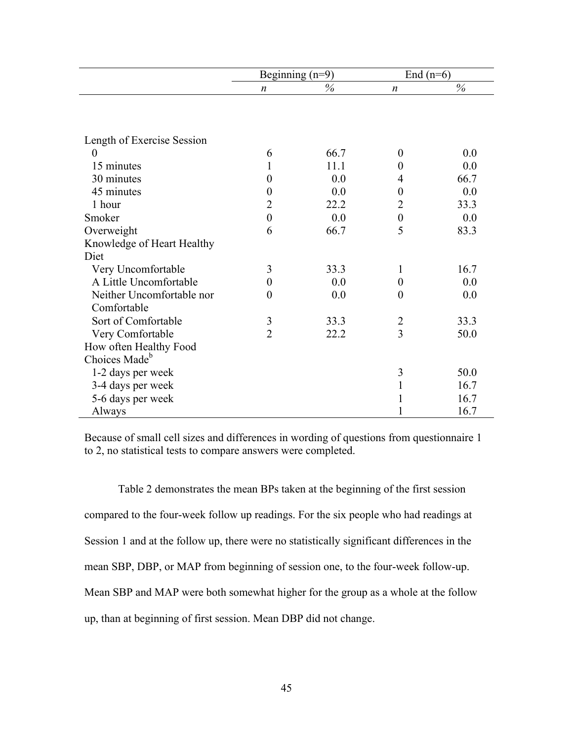|      |                                            | End $(n=6)$                                                                         |
|------|--------------------------------------------|-------------------------------------------------------------------------------------|
|      | $\boldsymbol{n}$                           | $\%$                                                                                |
|      |                                            |                                                                                     |
|      |                                            |                                                                                     |
|      |                                            |                                                                                     |
|      |                                            |                                                                                     |
|      | $\theta$                                   | 0.0                                                                                 |
| 11.1 | 0                                          | 0.0                                                                                 |
| 0.0  | 4                                          | 66.7                                                                                |
| 0.0  | $\boldsymbol{0}$                           | 0.0                                                                                 |
| 22.2 | $\overline{2}$                             | 33.3                                                                                |
| 0.0  | $\boldsymbol{0}$                           | 0.0                                                                                 |
| 66.7 | 5                                          | 83.3                                                                                |
|      |                                            |                                                                                     |
|      |                                            |                                                                                     |
| 33.3 | 1                                          | 16.7                                                                                |
|      |                                            | 0.0                                                                                 |
|      | $\theta$                                   | 0.0                                                                                 |
|      |                                            |                                                                                     |
|      |                                            | 33.3                                                                                |
|      |                                            | 50.0                                                                                |
|      |                                            |                                                                                     |
|      |                                            |                                                                                     |
|      |                                            | 50.0                                                                                |
|      |                                            | 16.7                                                                                |
|      |                                            | 16.7                                                                                |
|      |                                            | 16.7                                                                                |
|      | $\%$<br>66.7<br>0.0<br>0.0<br>33.3<br>22.2 | $\boldsymbol{0}$<br>$\overline{c}$<br>$\overline{3}$<br>3<br>$\mathbf{1}$<br>1<br>1 |

Because of small cell sizes and differences in wording of questions from questionnaire 1 to 2, no statistical tests to compare answers were completed.

Table 2 demonstrates the mean BPs taken at the beginning of the first session compared to the four-week follow up readings. For the six people who had readings at Session 1 and at the follow up, there were no statistically significant differences in the mean SBP, DBP, or MAP from beginning of session one, to the four-week follow-up. Mean SBP and MAP were both somewhat higher for the group as a whole at the follow up, than at beginning of first session. Mean DBP did not change.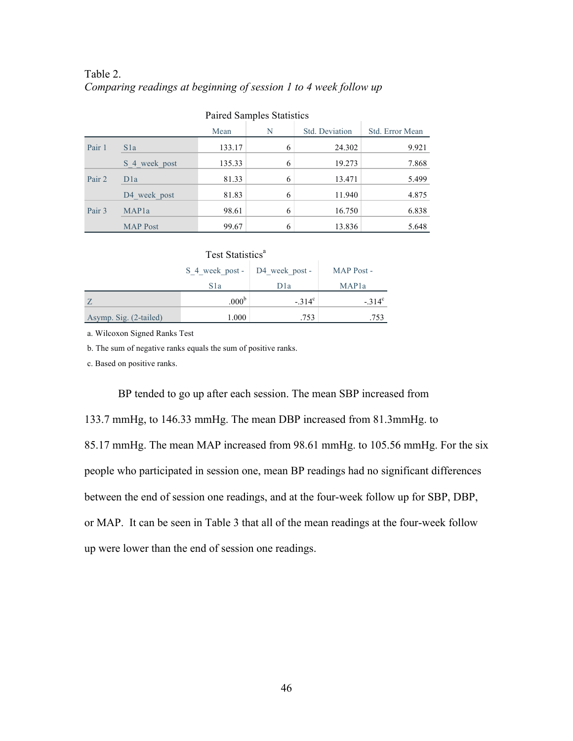| <b>Paired Samples Statistics</b>               |                    |        |   |        |       |  |  |  |  |
|------------------------------------------------|--------------------|--------|---|--------|-------|--|--|--|--|
| Std. Deviation<br>N<br>Std. Error Mean<br>Mean |                    |        |   |        |       |  |  |  |  |
| Pair 1                                         | S <sub>1</sub> a   | 133.17 | 6 | 24.302 | 9.921 |  |  |  |  |
|                                                | S 4 week post      | 135.33 | 6 | 19.273 | 7.868 |  |  |  |  |
| Pair 2                                         | D <sub>1</sub> a   | 81.33  | 6 | 13.471 | 5.499 |  |  |  |  |
|                                                | D4 week post       | 81.83  | 6 | 11.940 | 4.875 |  |  |  |  |
| Pair 3                                         | MAP <sub>1</sub> a | 98.61  | 6 | 16.750 | 6.838 |  |  |  |  |
|                                                | <b>MAP</b> Post    | 99.67  | 6 | 13.836 | 5.648 |  |  |  |  |

# Table 2. *Comparing readings at beginning of session 1 to 4 week follow up*

# Test Statistics<sup>a</sup>

|                        | S 4 week post -   D4 week post - |                | MAP Post -         |
|------------------------|----------------------------------|----------------|--------------------|
|                        | S1a                              | D1a            | MAP <sub>1</sub> a |
|                        | .000 <sup>b</sup>                | $-314^{\circ}$ | $-.314^{\circ}$    |
| Asymp. Sig. (2-tailed) | 1.000                            | .753           | .753               |

a. Wilcoxon Signed Ranks Test

b. The sum of negative ranks equals the sum of positive ranks.

c. Based on positive ranks.

BP tended to go up after each session. The mean SBP increased from

133.7 mmHg, to 146.33 mmHg. The mean DBP increased from 81.3mmHg. to 85.17 mmHg. The mean MAP increased from 98.61 mmHg. to 105.56 mmHg. For the six people who participated in session one, mean BP readings had no significant differences between the end of session one readings, and at the four-week follow up for SBP, DBP, or MAP. It can be seen in Table 3 that all of the mean readings at the four-week follow up were lower than the end of session one readings.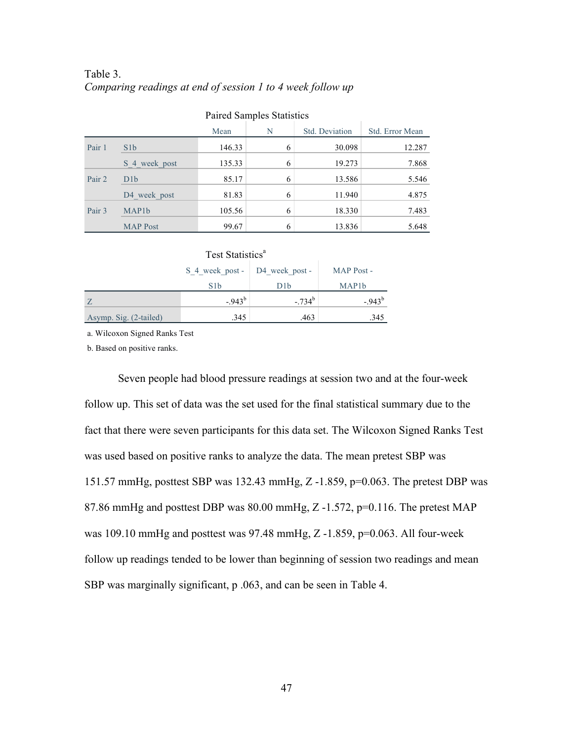| <b>Paired Samples Statistics</b>               |                    |        |   |        |        |  |  |  |  |  |
|------------------------------------------------|--------------------|--------|---|--------|--------|--|--|--|--|--|
| Std. Deviation<br>Std. Error Mean<br>N<br>Mean |                    |        |   |        |        |  |  |  |  |  |
| Pair 1                                         | S1b                | 146.33 | 6 | 30.098 | 12.287 |  |  |  |  |  |
|                                                | S 4 week post      | 135.33 | 6 | 19.273 | 7.868  |  |  |  |  |  |
| Pair 2                                         | D <sub>1</sub> b   | 85.17  | 6 | 13.586 | 5.546  |  |  |  |  |  |
|                                                | D4 week post       | 81.83  | 6 | 11.940 | 4.875  |  |  |  |  |  |
| Pair 3                                         | MAP <sub>1</sub> b | 105.56 | 6 | 18.330 | 7.483  |  |  |  |  |  |
|                                                | <b>MAP</b> Post    | 99.67  | 6 | 13.836 | 5.648  |  |  |  |  |  |

# Table 3. *Comparing readings at end of session 1 to 4 week follow up*

## Test Statistics<sup>a</sup>

|                        | S 4 week post -   D4 week post - |          | MAP Post -         |
|------------------------|----------------------------------|----------|--------------------|
|                        | S1b                              | D1b      | MAP <sub>1</sub> b |
|                        | $-0.943^b$                       | $-734^b$ | $-0.943^{b}$       |
| Asymp. Sig. (2-tailed) | .345                             | .463     | .345               |

a. Wilcoxon Signed Ranks Test

b. Based on positive ranks.

Seven people had blood pressure readings at session two and at the four-week follow up. This set of data was the set used for the final statistical summary due to the fact that there were seven participants for this data set. The Wilcoxon Signed Ranks Test was used based on positive ranks to analyze the data. The mean pretest SBP was 151.57 mmHg, posttest SBP was 132.43 mmHg, Z -1.859, p=0.063. The pretest DBP was 87.86 mmHg and posttest DBP was 80.00 mmHg, Z -1.572, p=0.116. The pretest MAP was 109.10 mmHg and posttest was 97.48 mmHg, Z -1.859, p=0.063. All four-week follow up readings tended to be lower than beginning of session two readings and mean SBP was marginally significant, p .063, and can be seen in Table 4.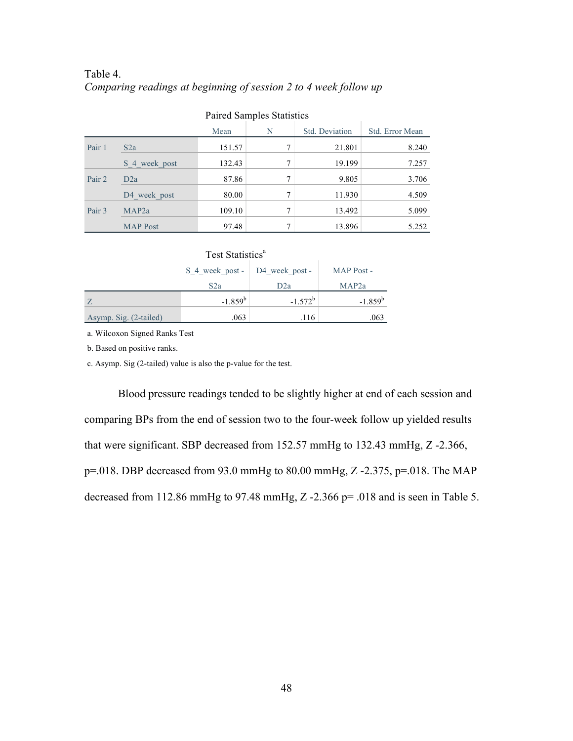| <b>Paired Samples Statistics</b>               |                 |        |   |        |       |  |  |  |  |  |
|------------------------------------------------|-----------------|--------|---|--------|-------|--|--|--|--|--|
| Std. Deviation<br>Std. Error Mean<br>N<br>Mean |                 |        |   |        |       |  |  |  |  |  |
| Pair 1                                         | S <sub>2a</sub> | 151.57 | 7 | 21.801 | 8.240 |  |  |  |  |  |
|                                                | S 4 week post   | 132.43 | 7 | 19.199 | 7.257 |  |  |  |  |  |
| Pair 2                                         | D2a             | 87.86  | 7 | 9.805  | 3.706 |  |  |  |  |  |
|                                                | D4 week post    | 80.00  | 7 | 11.930 | 4.509 |  |  |  |  |  |
| Pair 3                                         | MAP2a           | 109.10 | 7 | 13.492 | 5.099 |  |  |  |  |  |
|                                                | <b>MAP</b> Post | 97.48  | 7 | 13.896 | 5.252 |  |  |  |  |  |

# Table 4. *Comparing readings at beginning of session 2 to 4 week follow up*

# Test Statistics<sup>a</sup>

|                        | S 4 week post -   D4 week post - |            | MAP Post -         |
|------------------------|----------------------------------|------------|--------------------|
|                        | S2a                              | D2a        | MAP <sub>2</sub> a |
|                        | $-1.859^b$                       | $-1.572^b$ | $-1.859^{b}$       |
| Asymp. Sig. (2-tailed) | .063                             | .116       | .063               |

a. Wilcoxon Signed Ranks Test

b. Based on positive ranks.

c. Asymp. Sig (2-tailed) value is also the p-value for the test.

Blood pressure readings tended to be slightly higher at end of each session and comparing BPs from the end of session two to the four-week follow up yielded results that were significant. SBP decreased from 152.57 mmHg to 132.43 mmHg, Z -2.366, p=.018. DBP decreased from 93.0 mmHg to 80.00 mmHg, Z -2.375, p=.018. The MAP decreased from 112.86 mmHg to 97.48 mmHg,  $Z - 2.366$  p= .018 and is seen in Table 5.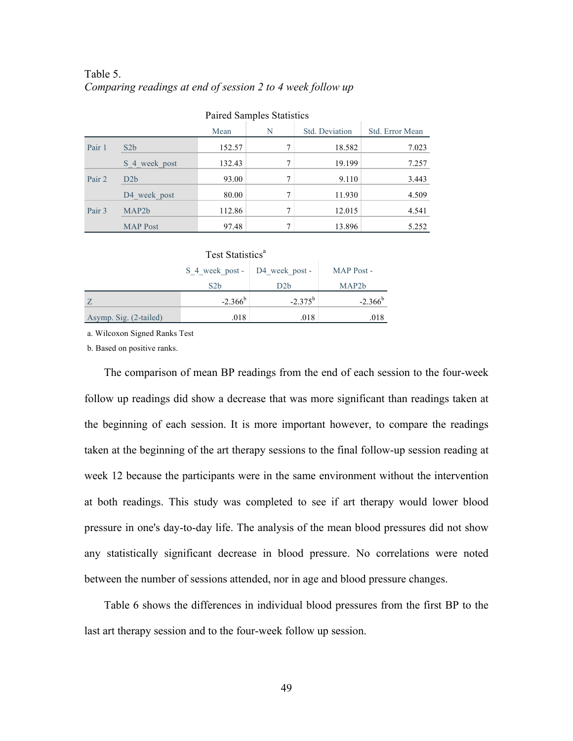| <b>Paired Samples Statistics</b>               |                    |        |   |        |       |  |  |  |  |
|------------------------------------------------|--------------------|--------|---|--------|-------|--|--|--|--|
| Std. Deviation<br>N<br>Std. Error Mean<br>Mean |                    |        |   |        |       |  |  |  |  |
| Pair 1                                         | S2b                | 152.57 | 7 | 18.582 | 7.023 |  |  |  |  |
|                                                | S 4 week post      | 132.43 | 7 | 19.199 | 7.257 |  |  |  |  |
| Pair 2                                         | D2b                | 93.00  | 7 | 9.110  | 3.443 |  |  |  |  |
|                                                | D4 week post       | 80.00  | 7 | 11.930 | 4.509 |  |  |  |  |
| Pair 3                                         | MAP <sub>2</sub> b | 112.86 | 7 | 12.015 | 4.541 |  |  |  |  |
|                                                | <b>MAP</b> Post    | 97.48  | 7 | 13.896 | 5.252 |  |  |  |  |

# Table 5. *Comparing readings at end of session 2 to 4 week follow up*

## Test Statistics<sup>a</sup>

|                        | S 4 week post -   D4 week post - |              | MAP Post -         |
|------------------------|----------------------------------|--------------|--------------------|
|                        | S <sub>2</sub> b                 | D2b          | MAP <sub>2</sub> b |
| 7.                     | $-2.366^b$                       | $-2.375^{b}$ | $-2.366^b$         |
| Asymp. Sig. (2-tailed) | .018                             | .018         | .018               |

a. Wilcoxon Signed Ranks Test

b. Based on positive ranks.

 The comparison of mean BP readings from the end of each session to the four-week follow up readings did show a decrease that was more significant than readings taken at the beginning of each session. It is more important however, to compare the readings taken at the beginning of the art therapy sessions to the final follow-up session reading at week 12 because the participants were in the same environment without the intervention at both readings. This study was completed to see if art therapy would lower blood pressure in one's day-to-day life. The analysis of the mean blood pressures did not show any statistically significant decrease in blood pressure. No correlations were noted between the number of sessions attended, nor in age and blood pressure changes.

 Table 6 shows the differences in individual blood pressures from the first BP to the last art therapy session and to the four-week follow up session.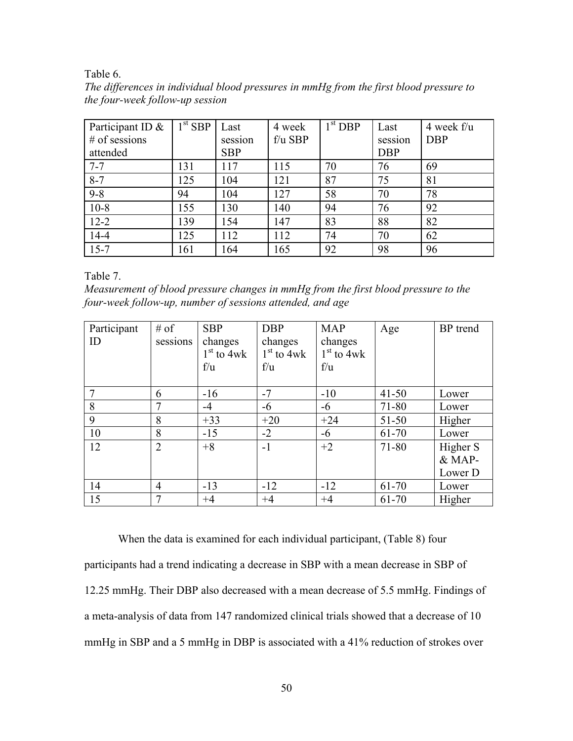Table 6.

|                                 |  |  |  |  | The differences in individual blood pressures in mmHg from the first blood pressure to |  |
|---------------------------------|--|--|--|--|----------------------------------------------------------------------------------------|--|
| the four-week follow-up session |  |  |  |  |                                                                                        |  |

| Participant ID $\&$<br>$#$ of sessions | $1st$ SBP | Last<br>session | 4 week<br>$f/u$ SBP | 1 <sup>st</sup> DBP | Last<br>session | 4 week f/u<br><b>DBP</b> |
|----------------------------------------|-----------|-----------------|---------------------|---------------------|-----------------|--------------------------|
| attended                               |           | <b>SBP</b>      |                     |                     | <b>DBP</b>      |                          |
| $7 - 7$                                | 131       | 117             | 115                 | 70                  | 76              | 69                       |
| $8 - 7$                                | 125       | 104             | 121                 | 87                  | 75              | 81                       |
| $9 - 8$                                | 94        | 104             | 127                 | 58                  | 70              | 78                       |
| $10 - 8$                               | 155       | 130             | 140                 | 94                  | 76              | 92                       |
| $12 - 2$                               | 139       | 154             | 147                 | 83                  | 88              | 82                       |
| $14 - 4$                               | 125       | 112             | 112                 | 74                  | 70              | 62                       |
| $15 - 7$                               | 161       | 164             | 165                 | 92                  | 98              | 96                       |

Table 7.

*Measurement of blood pressure changes in mmHg from the first blood pressure to the four-week follow-up, number of sessions attended, and age*

| Participant<br>ID | $#$ of<br>sessions | <b>SBP</b><br>changes<br>$1st$ to 4wk<br>f/u | <b>DBP</b><br>changes<br>$1st$ to 4wk<br>f/u | <b>MAP</b><br>changes<br>$1st$ to 4wk<br>f/u | Age       | BP trend |
|-------------------|--------------------|----------------------------------------------|----------------------------------------------|----------------------------------------------|-----------|----------|
|                   | 6                  | $-16$                                        | $-7$                                         | $-10$                                        | $41 - 50$ | Lower    |
| 8                 | $\overline{7}$     | -4                                           | -6                                           | -6                                           | 71-80     | Lower    |
| 9                 | 8                  | $+33$                                        | $+20$                                        | $+24$                                        | $51 - 50$ | Higher   |
| 10                | 8                  | $-15$                                        | $-2$                                         | $-6$                                         | 61-70     | Lower    |
| 12                | $\overline{2}$     | $+8$                                         | $-1$                                         | $+2$                                         | 71-80     | Higher S |
|                   |                    |                                              |                                              |                                              |           | & MAP-   |
|                   |                    |                                              |                                              |                                              |           | Lower D  |
| 14                | $\overline{4}$     | $-13$                                        | $-12$                                        | $-12$                                        | 61-70     | Lower    |
| 15                |                    | $+4$                                         | $+4$                                         | $+4$                                         | 61-70     | Higher   |

When the data is examined for each individual participant, (Table 8) four

participants had a trend indicating a decrease in SBP with a mean decrease in SBP of 12.25 mmHg. Their DBP also decreased with a mean decrease of 5.5 mmHg. Findings of a meta-analysis of data from 147 randomized clinical trials showed that a decrease of 10 mmHg in SBP and a 5 mmHg in DBP is associated with a 41% reduction of strokes over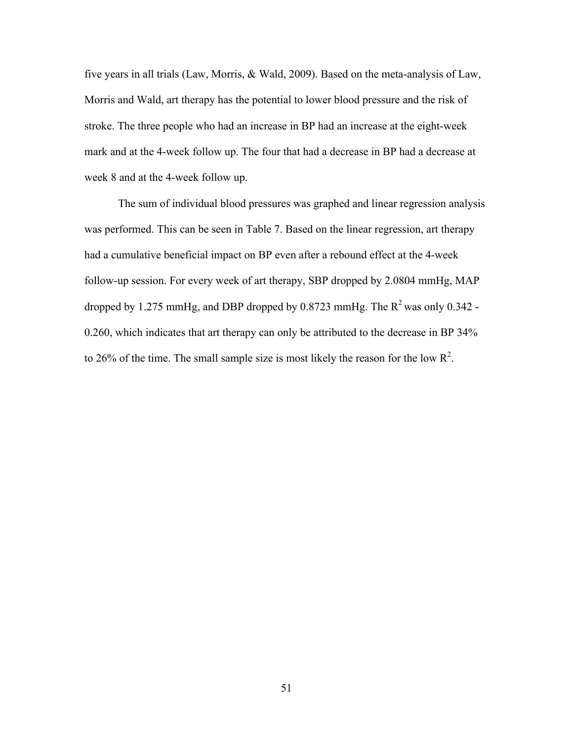five years in all trials (Law, Morris, & Wald, 2009). Based on the meta-analysis of Law, Morris and Wald, art therapy has the potential to lower blood pressure and the risk of stroke. The three people who had an increase in BP had an increase at the eight-week mark and at the 4-week follow up. The four that had a decrease in BP had a decrease at week 8 and at the 4-week follow up.

The sum of individual blood pressures was graphed and linear regression analysis was performed. This can be seen in Table 7. Based on the linear regression, art therapy had a cumulative beneficial impact on BP even after a rebound effect at the 4-week follow-up session. For every week of art therapy, SBP dropped by 2.0804 mmHg, MAP dropped by 1.275 mmHg, and DBP dropped by 0.8723 mmHg. The  $R^2$  was only 0.342 -0.260, which indicates that art therapy can only be attributed to the decrease in BP 34% to 26% of the time. The small sample size is most likely the reason for the low  $\mathbb{R}^2$ .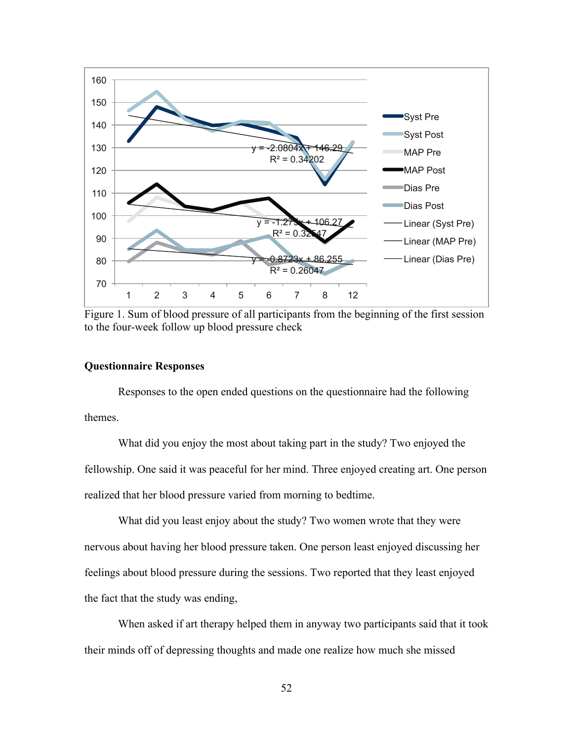

Figure 1. Sum of blood pressure of all participants from the beginning of the first session to the four-week follow up blood pressure check

## **Questionnaire Responses**

Responses to the open ended questions on the questionnaire had the following themes.

What did you enjoy the most about taking part in the study? Two enjoyed the fellowship. One said it was peaceful for her mind. Three enjoyed creating art. One person realized that her blood pressure varied from morning to bedtime.

What did you least enjoy about the study? Two women wrote that they were nervous about having her blood pressure taken. One person least enjoyed discussing her feelings about blood pressure during the sessions. Two reported that they least enjoyed the fact that the study was ending,

When asked if art therapy helped them in anyway two participants said that it took their minds off of depressing thoughts and made one realize how much she missed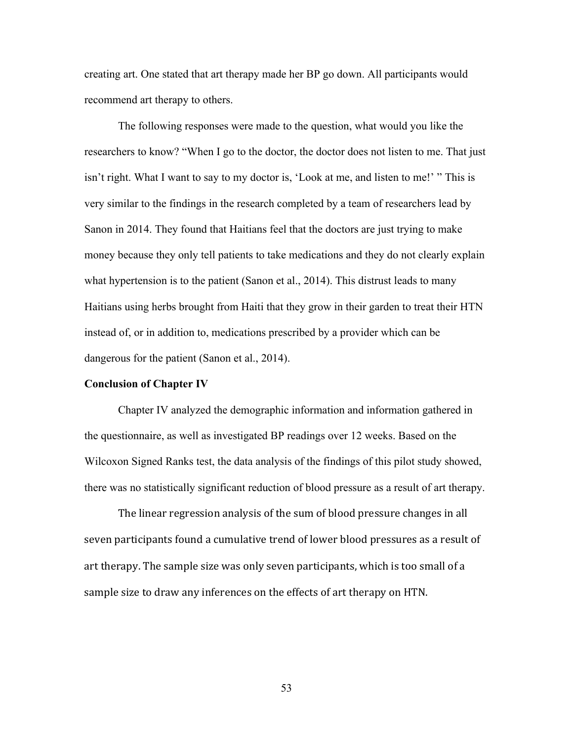creating art. One stated that art therapy made her BP go down. All participants would recommend art therapy to others.

The following responses were made to the question, what would you like the researchers to know? "When I go to the doctor, the doctor does not listen to me. That just isn't right. What I want to say to my doctor is, 'Look at me, and listen to me!' " This is very similar to the findings in the research completed by a team of researchers lead by Sanon in 2014. They found that Haitians feel that the doctors are just trying to make money because they only tell patients to take medications and they do not clearly explain what hypertension is to the patient (Sanon et al., 2014). This distrust leads to many Haitians using herbs brought from Haiti that they grow in their garden to treat their HTN instead of, or in addition to, medications prescribed by a provider which can be dangerous for the patient (Sanon et al., 2014).

#### **Conclusion of Chapter IV**

Chapter IV analyzed the demographic information and information gathered in the questionnaire, as well as investigated BP readings over 12 weeks. Based on the Wilcoxon Signed Ranks test, the data analysis of the findings of this pilot study showed, there was no statistically significant reduction of blood pressure as a result of art therapy.

The linear regression analysis of the sum of blood pressure changes in all seven participants found a cumulative trend of lower blood pressures as a result of art therapy. The sample size was only seven participants, which is too small of a sample size to draw any inferences on the effects of art therapy on HTN.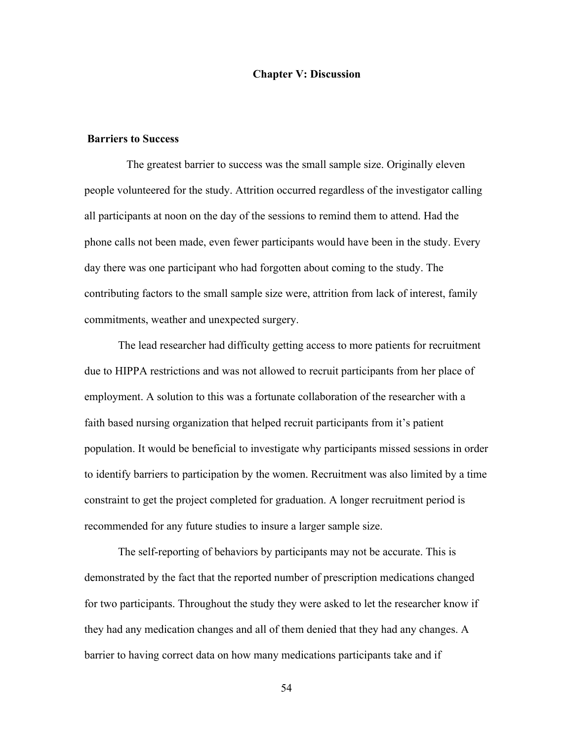## **Chapter V: Discussion**

# **Barriers to Success**

 The greatest barrier to success was the small sample size. Originally eleven people volunteered for the study. Attrition occurred regardless of the investigator calling all participants at noon on the day of the sessions to remind them to attend. Had the phone calls not been made, even fewer participants would have been in the study. Every day there was one participant who had forgotten about coming to the study. The contributing factors to the small sample size were, attrition from lack of interest, family commitments, weather and unexpected surgery.

The lead researcher had difficulty getting access to more patients for recruitment due to HIPPA restrictions and was not allowed to recruit participants from her place of employment. A solution to this was a fortunate collaboration of the researcher with a faith based nursing organization that helped recruit participants from it's patient population. It would be beneficial to investigate why participants missed sessions in order to identify barriers to participation by the women. Recruitment was also limited by a time constraint to get the project completed for graduation. A longer recruitment period is recommended for any future studies to insure a larger sample size.

The self-reporting of behaviors by participants may not be accurate. This is demonstrated by the fact that the reported number of prescription medications changed for two participants. Throughout the study they were asked to let the researcher know if they had any medication changes and all of them denied that they had any changes. A barrier to having correct data on how many medications participants take and if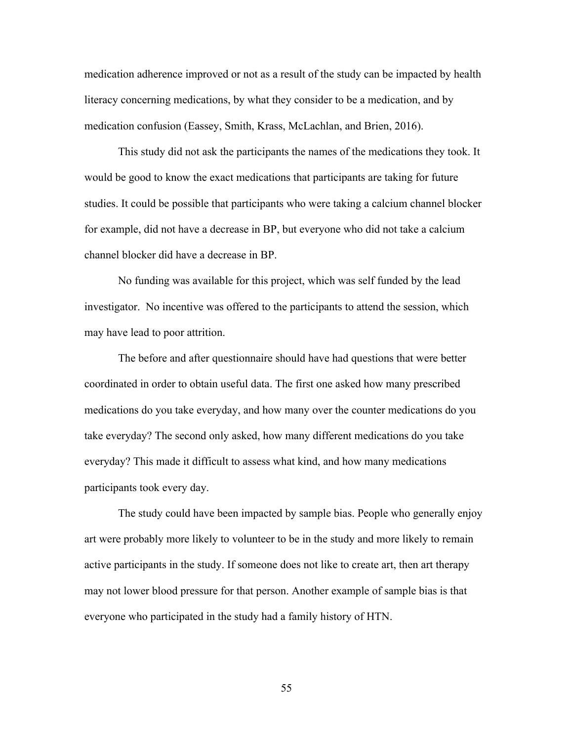medication adherence improved or not as a result of the study can be impacted by health literacy concerning medications, by what they consider to be a medication, and by medication confusion (Eassey, Smith, Krass, McLachlan, and Brien, 2016).

This study did not ask the participants the names of the medications they took. It would be good to know the exact medications that participants are taking for future studies. It could be possible that participants who were taking a calcium channel blocker for example, did not have a decrease in BP, but everyone who did not take a calcium channel blocker did have a decrease in BP.

No funding was available for this project, which was self funded by the lead investigator. No incentive was offered to the participants to attend the session, which may have lead to poor attrition.

The before and after questionnaire should have had questions that were better coordinated in order to obtain useful data. The first one asked how many prescribed medications do you take everyday, and how many over the counter medications do you take everyday? The second only asked, how many different medications do you take everyday? This made it difficult to assess what kind, and how many medications participants took every day.

The study could have been impacted by sample bias. People who generally enjoy art were probably more likely to volunteer to be in the study and more likely to remain active participants in the study. If someone does not like to create art, then art therapy may not lower blood pressure for that person. Another example of sample bias is that everyone who participated in the study had a family history of HTN.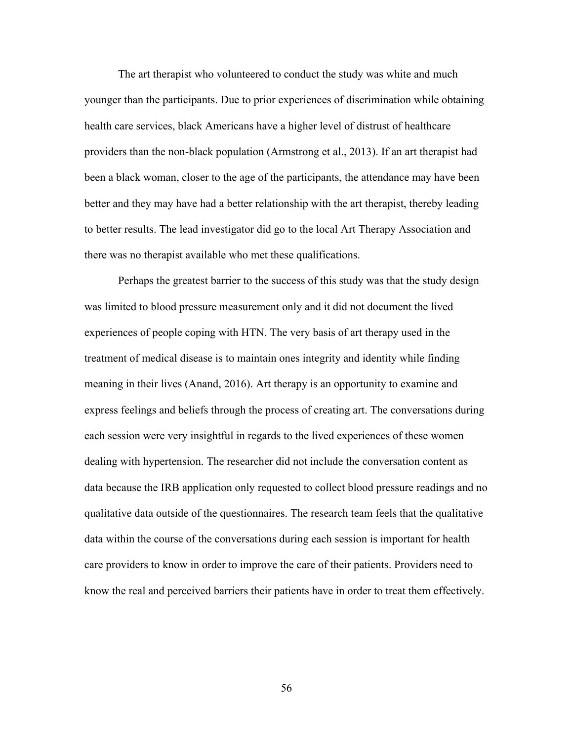The art therapist who volunteered to conduct the study was white and much younger than the participants. Due to prior experiences of discrimination while obtaining health care services, black Americans have a higher level of distrust of healthcare providers than the non-black population (Armstrong et al., 2013). If an art therapist had been a black woman, closer to the age of the participants, the attendance may have been better and they may have had a better relationship with the art therapist, thereby leading to better results. The lead investigator did go to the local Art Therapy Association and there was no therapist available who met these qualifications.

Perhaps the greatest barrier to the success of this study was that the study design was limited to blood pressure measurement only and it did not document the lived experiences of people coping with HTN. The very basis of art therapy used in the treatment of medical disease is to maintain ones integrity and identity while finding meaning in their lives (Anand, 2016). Art therapy is an opportunity to examine and express feelings and beliefs through the process of creating art. The conversations during each session were very insightful in regards to the lived experiences of these women dealing with hypertension. The researcher did not include the conversation content as data because the IRB application only requested to collect blood pressure readings and no qualitative data outside of the questionnaires. The research team feels that the qualitative data within the course of the conversations during each session is important for health care providers to know in order to improve the care of their patients. Providers need to know the real and perceived barriers their patients have in order to treat them effectively.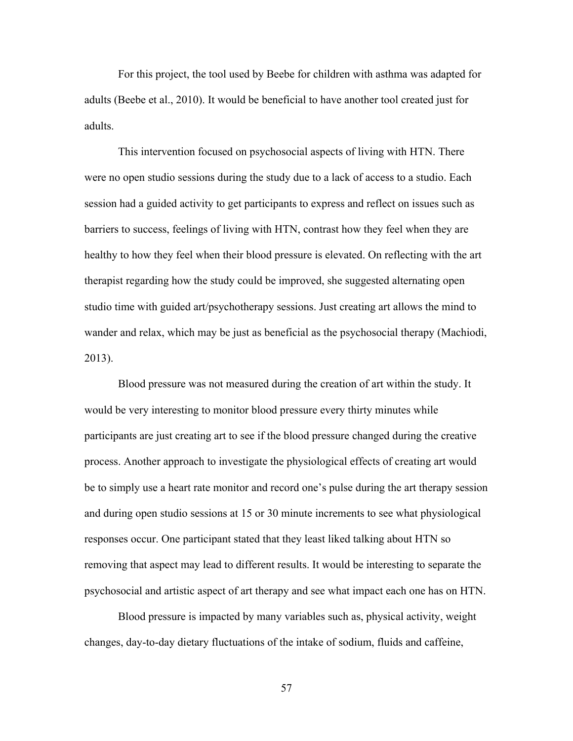For this project, the tool used by Beebe for children with asthma was adapted for adults (Beebe et al., 2010). It would be beneficial to have another tool created just for adults.

This intervention focused on psychosocial aspects of living with HTN. There were no open studio sessions during the study due to a lack of access to a studio. Each session had a guided activity to get participants to express and reflect on issues such as barriers to success, feelings of living with HTN, contrast how they feel when they are healthy to how they feel when their blood pressure is elevated. On reflecting with the art therapist regarding how the study could be improved, she suggested alternating open studio time with guided art/psychotherapy sessions. Just creating art allows the mind to wander and relax, which may be just as beneficial as the psychosocial therapy (Machiodi, 2013).

Blood pressure was not measured during the creation of art within the study. It would be very interesting to monitor blood pressure every thirty minutes while participants are just creating art to see if the blood pressure changed during the creative process. Another approach to investigate the physiological effects of creating art would be to simply use a heart rate monitor and record one's pulse during the art therapy session and during open studio sessions at 15 or 30 minute increments to see what physiological responses occur. One participant stated that they least liked talking about HTN so removing that aspect may lead to different results. It would be interesting to separate the psychosocial and artistic aspect of art therapy and see what impact each one has on HTN.

Blood pressure is impacted by many variables such as, physical activity, weight changes, day-to-day dietary fluctuations of the intake of sodium, fluids and caffeine,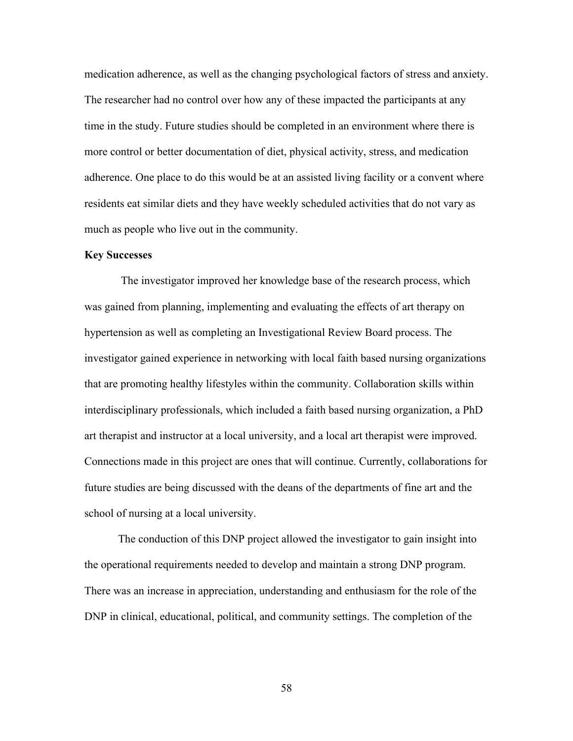medication adherence, as well as the changing psychological factors of stress and anxiety. The researcher had no control over how any of these impacted the participants at any time in the study. Future studies should be completed in an environment where there is more control or better documentation of diet, physical activity, stress, and medication adherence. One place to do this would be at an assisted living facility or a convent where residents eat similar diets and they have weekly scheduled activities that do not vary as much as people who live out in the community.

## **Key Successes**

The investigator improved her knowledge base of the research process, which was gained from planning, implementing and evaluating the effects of art therapy on hypertension as well as completing an Investigational Review Board process. The investigator gained experience in networking with local faith based nursing organizations that are promoting healthy lifestyles within the community. Collaboration skills within interdisciplinary professionals, which included a faith based nursing organization, a PhD art therapist and instructor at a local university, and a local art therapist were improved. Connections made in this project are ones that will continue. Currently, collaborations for future studies are being discussed with the deans of the departments of fine art and the school of nursing at a local university.

The conduction of this DNP project allowed the investigator to gain insight into the operational requirements needed to develop and maintain a strong DNP program. There was an increase in appreciation, understanding and enthusiasm for the role of the DNP in clinical, educational, political, and community settings. The completion of the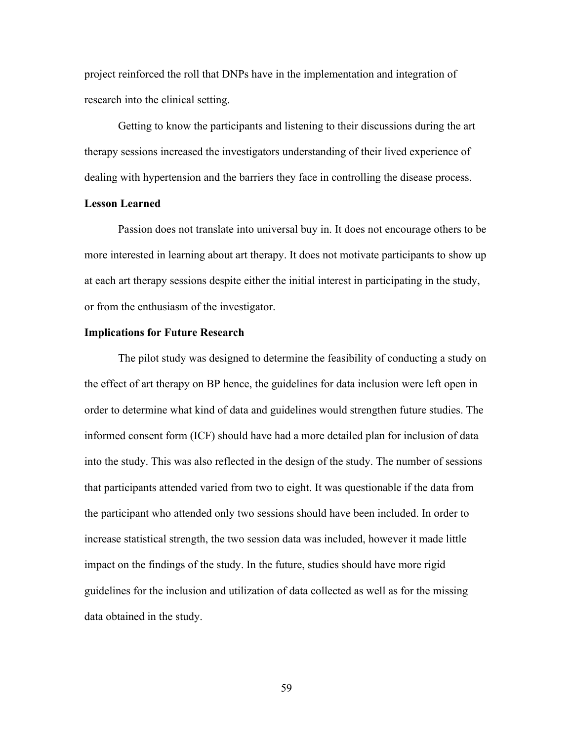project reinforced the roll that DNPs have in the implementation and integration of research into the clinical setting.

Getting to know the participants and listening to their discussions during the art therapy sessions increased the investigators understanding of their lived experience of dealing with hypertension and the barriers they face in controlling the disease process.

## **Lesson Learned**

Passion does not translate into universal buy in. It does not encourage others to be more interested in learning about art therapy. It does not motivate participants to show up at each art therapy sessions despite either the initial interest in participating in the study, or from the enthusiasm of the investigator.

#### **Implications for Future Research**

The pilot study was designed to determine the feasibility of conducting a study on the effect of art therapy on BP hence, the guidelines for data inclusion were left open in order to determine what kind of data and guidelines would strengthen future studies. The informed consent form (ICF) should have had a more detailed plan for inclusion of data into the study. This was also reflected in the design of the study. The number of sessions that participants attended varied from two to eight. It was questionable if the data from the participant who attended only two sessions should have been included. In order to increase statistical strength, the two session data was included, however it made little impact on the findings of the study. In the future, studies should have more rigid guidelines for the inclusion and utilization of data collected as well as for the missing data obtained in the study.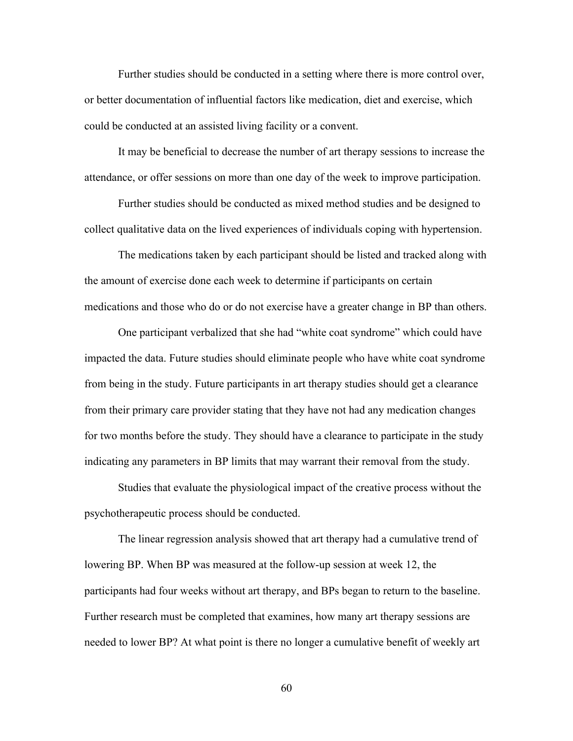Further studies should be conducted in a setting where there is more control over, or better documentation of influential factors like medication, diet and exercise, which could be conducted at an assisted living facility or a convent.

It may be beneficial to decrease the number of art therapy sessions to increase the attendance, or offer sessions on more than one day of the week to improve participation.

Further studies should be conducted as mixed method studies and be designed to collect qualitative data on the lived experiences of individuals coping with hypertension.

The medications taken by each participant should be listed and tracked along with the amount of exercise done each week to determine if participants on certain medications and those who do or do not exercise have a greater change in BP than others.

One participant verbalized that she had "white coat syndrome" which could have impacted the data. Future studies should eliminate people who have white coat syndrome from being in the study. Future participants in art therapy studies should get a clearance from their primary care provider stating that they have not had any medication changes for two months before the study. They should have a clearance to participate in the study indicating any parameters in BP limits that may warrant their removal from the study.

Studies that evaluate the physiological impact of the creative process without the psychotherapeutic process should be conducted.

The linear regression analysis showed that art therapy had a cumulative trend of lowering BP. When BP was measured at the follow-up session at week 12, the participants had four weeks without art therapy, and BPs began to return to the baseline. Further research must be completed that examines, how many art therapy sessions are needed to lower BP? At what point is there no longer a cumulative benefit of weekly art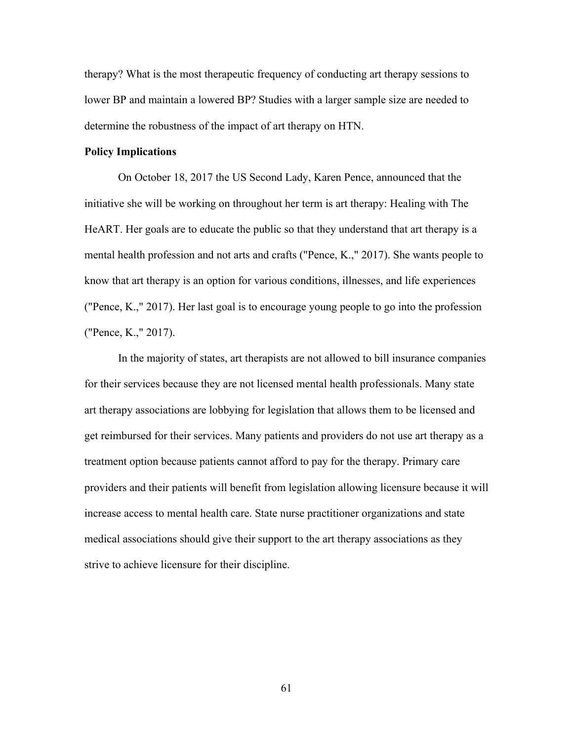therapy? What is the most therapeutic frequency of conducting art therapy sessions to lower BP and maintain a lowered BP? Studies with a larger sample size are needed to determine the robustness of the impact of art therapy on HTN.

# **Policy Implications**

On October 18, 2017 the US Second Lady, Karen Pence, announced that the initiative she will be working on throughout her term is art therapy: Healing with The HeART. Her goals are to educate the public so that they understand that art therapy is a mental health profession and not arts and crafts ("Pence, K.," 2017). She wants people to know that art therapy is an option for various conditions, illnesses, and life experiences ("Pence, K.," 2017). Her last goal is to encourage young people to go into the profession ("Pence, K.," 2017).

In the majority of states, art therapists are not allowed to bill insurance companies for their services because they are not licensed mental health professionals. Many state art therapy associations are lobbying for legislation that allows them to be licensed and get reimbursed for their services. Many patients and providers do not use art therapy as a treatment option because patients cannot afford to pay for the therapy. Primary care providers and their patients will benefit from legislation allowing licensure because it will increase access to mental health care. State nurse practitioner organizations and state medical associations should give their support to the art therapy associations as they strive to achieve licensure for their discipline.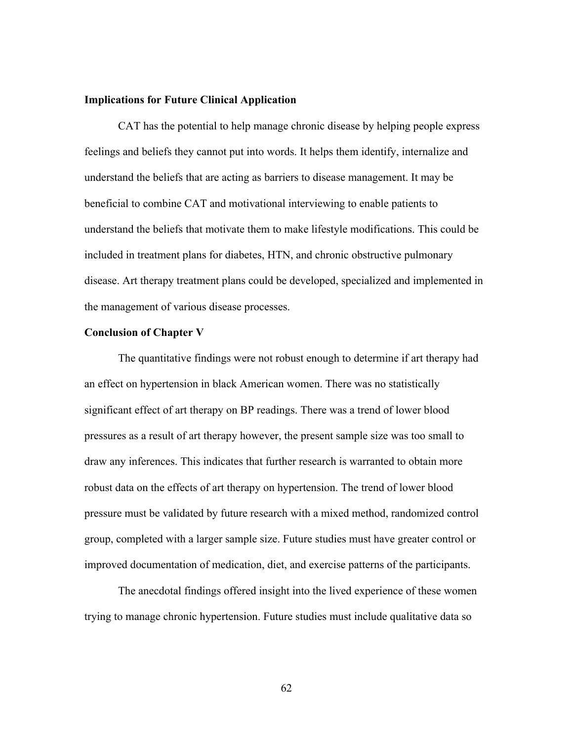## **Implications for Future Clinical Application**

CAT has the potential to help manage chronic disease by helping people express feelings and beliefs they cannot put into words. It helps them identify, internalize and understand the beliefs that are acting as barriers to disease management. It may be beneficial to combine CAT and motivational interviewing to enable patients to understand the beliefs that motivate them to make lifestyle modifications. This could be included in treatment plans for diabetes, HTN, and chronic obstructive pulmonary disease. Art therapy treatment plans could be developed, specialized and implemented in the management of various disease processes.

#### **Conclusion of Chapter V**

The quantitative findings were not robust enough to determine if art therapy had an effect on hypertension in black American women. There was no statistically significant effect of art therapy on BP readings. There was a trend of lower blood pressures as a result of art therapy however, the present sample size was too small to draw any inferences. This indicates that further research is warranted to obtain more robust data on the effects of art therapy on hypertension. The trend of lower blood pressure must be validated by future research with a mixed method, randomized control group, completed with a larger sample size. Future studies must have greater control or improved documentation of medication, diet, and exercise patterns of the participants.

The anecdotal findings offered insight into the lived experience of these women trying to manage chronic hypertension. Future studies must include qualitative data so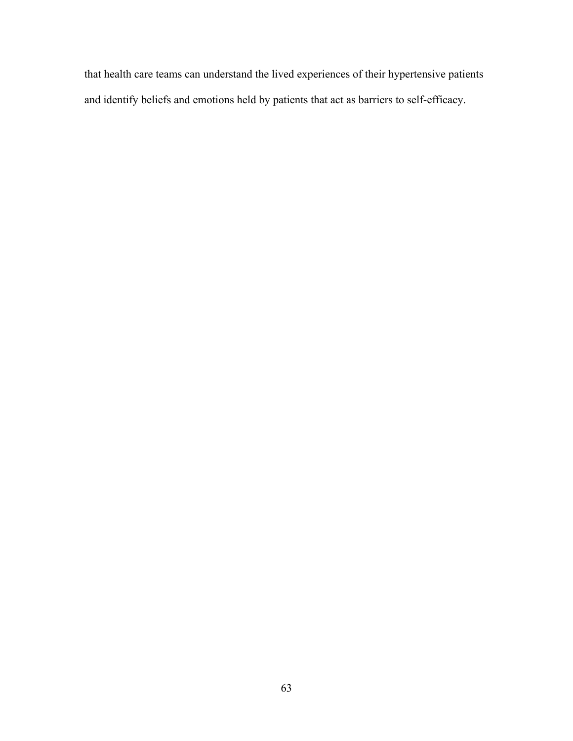that health care teams can understand the lived experiences of their hypertensive patients and identify beliefs and emotions held by patients that act as barriers to self-efficacy.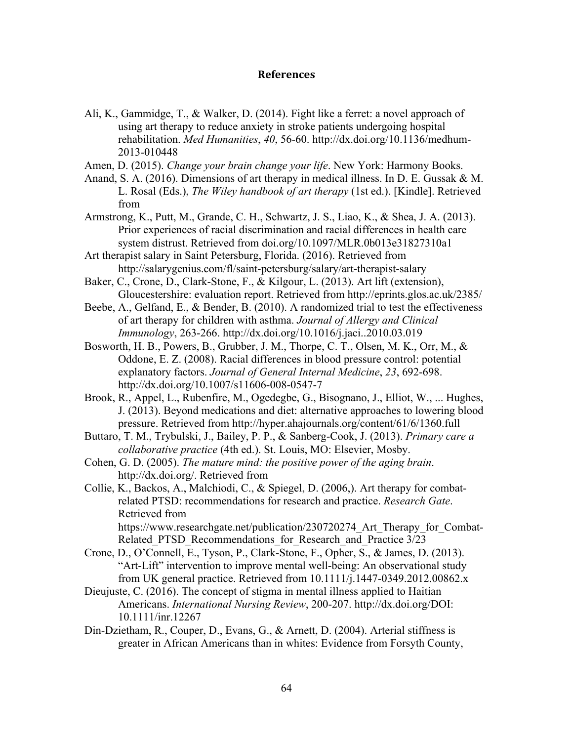#### **References**

- Ali, K., Gammidge, T., & Walker, D. (2014). Fight like a ferret: a novel approach of using art therapy to reduce anxiety in stroke patients undergoing hospital rehabilitation. *Med Humanities*, *40*, 56-60. http://dx.doi.org/10.1136/medhum-2013-010448
- Amen, D. (2015). *Change your brain change your life*. New York: Harmony Books.
- Anand, S. A. (2016). Dimensions of art therapy in medical illness. In D. E. Gussak & M. L. Rosal (Eds.), *The Wiley handbook of art therapy* (1st ed.). [Kindle]. Retrieved from
- Armstrong, K., Putt, M., Grande, C. H., Schwartz, J. S., Liao, K., & Shea, J. A. (2013). Prior experiences of racial discrimination and racial differences in health care system distrust. Retrieved from doi.org/10.1097/MLR.0b013e31827310a1
- Art therapist salary in Saint Petersburg, Florida. (2016). Retrieved from http://salarygenius.com/fl/saint-petersburg/salary/art-therapist-salary
- Baker, C., Crone, D., Clark-Stone, F., & Kilgour, L. (2013). Art lift (extension), Gloucestershire: evaluation report. Retrieved from http://eprints.glos.ac.uk/2385/
- Beebe, A., Gelfand, E., & Bender, B. (2010). A randomized trial to test the effectiveness of art therapy for children with asthma. *Journal of Allergy and Clinical Immunology*, 263-266. http://dx.doi.org/10.1016/j.jaci..2010.03.019
- Bosworth, H. B., Powers, B., Grubber, J. M., Thorpe, C. T., Olsen, M. K., Orr, M., & Oddone, E. Z. (2008). Racial differences in blood pressure control: potential explanatory factors. *Journal of General Internal Medicine*, *23*, 692-698. http://dx.doi.org/10.1007/s11606-008-0547-7
- Brook, R., Appel, L., Rubenfire, M., Ogedegbe, G., Bisognano, J., Elliot, W., ... Hughes, J. (2013). Beyond medications and diet: alternative approaches to lowering blood pressure. Retrieved from http://hyper.ahajournals.org/content/61/6/1360.full
- Buttaro, T. M., Trybulski, J., Bailey, P. P., & Sanberg-Cook, J. (2013). *Primary care a collaborative practice* (4th ed.). St. Louis, MO: Elsevier, Mosby.
- Cohen, G. D. (2005). *The mature mind: the positive power of the aging brain*. http://dx.doi.org/. Retrieved from

Collie, K., Backos, A., Malchiodi, C., & Spiegel, D. (2006,). Art therapy for combatrelated PTSD: recommendations for research and practice. *Research Gate*. Retrieved from https://www.researchgate.net/publication/230720274 Art Therapy for Combat-Related PTSD Recommendations for Research and Practice 3/23

- Crone, D., O'Connell, E., Tyson, P., Clark-Stone, F., Opher, S., & James, D. (2013). "Art-Lift" intervention to improve mental well-being: An observational study from UK general practice. Retrieved from 10.1111/j.1447-0349.2012.00862.x
- Dieujuste, C. (2016). The concept of stigma in mental illness applied to Haitian Americans. *International Nursing Review*, 200-207. http://dx.doi.org/DOI: 10.1111/inr.12267
- Din-Dzietham, R., Couper, D., Evans, G., & Arnett, D. (2004). Arterial stiffness is greater in African Americans than in whites: Evidence from Forsyth County,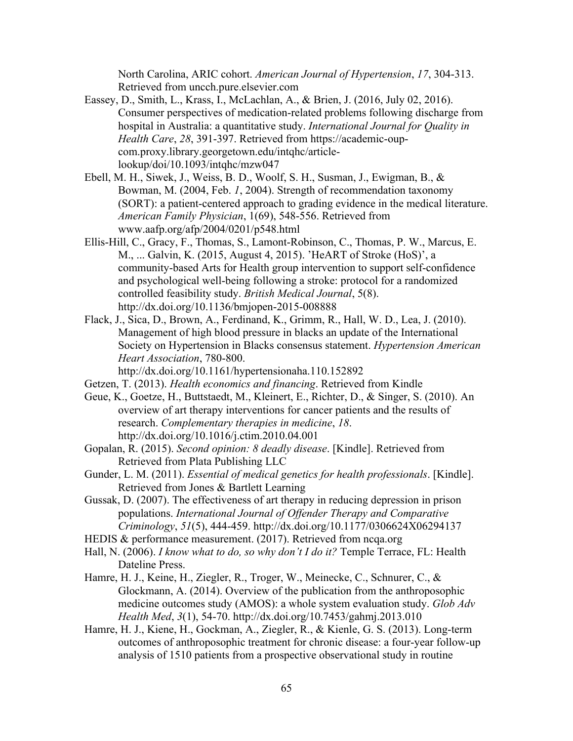North Carolina, ARIC cohort. *American Journal of Hypertension*, *17*, 304-313. Retrieved from uncch.pure.elsevier.com

- Eassey, D., Smith, L., Krass, I., McLachlan, A., & Brien, J. (2016, July 02, 2016). Consumer perspectives of medication-related problems following discharge from hospital in Australia: a quantitative study. *International Journal for Quality in Health Care*, *28*, 391-397. Retrieved from https://academic-oupcom.proxy.library.georgetown.edu/intqhc/articlelookup/doi/10.1093/intqhc/mzw047
- Ebell, M. H., Siwek, J., Weiss, B. D., Woolf, S. H., Susman, J., Ewigman, B., & Bowman, M. (2004, Feb. *1*, 2004). Strength of recommendation taxonomy (SORT): a patient-centered approach to grading evidence in the medical literature. *American Family Physician*, 1(69), 548-556. Retrieved from www.aafp.org/afp/2004/0201/p548.html
- Ellis-Hill, C., Gracy, F., Thomas, S., Lamont-Robinson, C., Thomas, P. W., Marcus, E. M., ... Galvin, K. (2015, August 4, 2015). 'HeART of Stroke (HoS)', a community-based Arts for Health group intervention to support self-confidence and psychological well-being following a stroke: protocol for a randomized controlled feasibility study. *British Medical Journal*, 5(8). http://dx.doi.org/10.1136/bmjopen-2015-008888
- Flack, J., Sica, D., Brown, A., Ferdinand, K., Grimm, R., Hall, W. D., Lea, J. (2010). Management of high blood pressure in blacks an update of the International Society on Hypertension in Blacks consensus statement. *Hypertension American Heart Association*, 780-800.

http://dx.doi.org/10.1161/hypertensionaha.110.152892

- Getzen, T. (2013). *Health economics and financing*. Retrieved from Kindle
- Geue, K., Goetze, H., Buttstaedt, M., Kleinert, E., Richter, D., & Singer, S. (2010). An overview of art therapy interventions for cancer patients and the results of research. *Complementary therapies in medicine*, *18*. http://dx.doi.org/10.1016/j.ctim.2010.04.001
- Gopalan, R. (2015). *Second opinion: 8 deadly disease*. [Kindle]. Retrieved from Retrieved from Plata Publishing LLC
- Gunder, L. M. (2011). *Essential of medical genetics for health professionals*. [Kindle]. Retrieved from Jones & Bartlett Learning
- Gussak, D. (2007). The effectiveness of art therapy in reducing depression in prison populations. *International Journal of Offender Therapy and Comparative Criminology*, *51*(5), 444-459. http://dx.doi.org/10.1177/0306624X06294137
- HEDIS & performance measurement. (2017). Retrieved from ncqa.org
- Hall, N. (2006). *I know what to do, so why don't I do it?* Temple Terrace, FL: Health Dateline Press.
- Hamre, H. J., Keine, H., Ziegler, R., Troger, W., Meinecke, C., Schnurer, C., & Glockmann, A. (2014). Overview of the publication from the anthroposophic medicine outcomes study (AMOS): a whole system evaluation study. *Glob Adv Health Med*, *3*(1), 54-70. http://dx.doi.org/10.7453/gahmj.2013.010
- Hamre, H. J., Kiene, H., Gockman, A., Ziegler, R., & Kienle, G. S. (2013). Long-term outcomes of anthroposophic treatment for chronic disease: a four-year follow-up analysis of 1510 patients from a prospective observational study in routine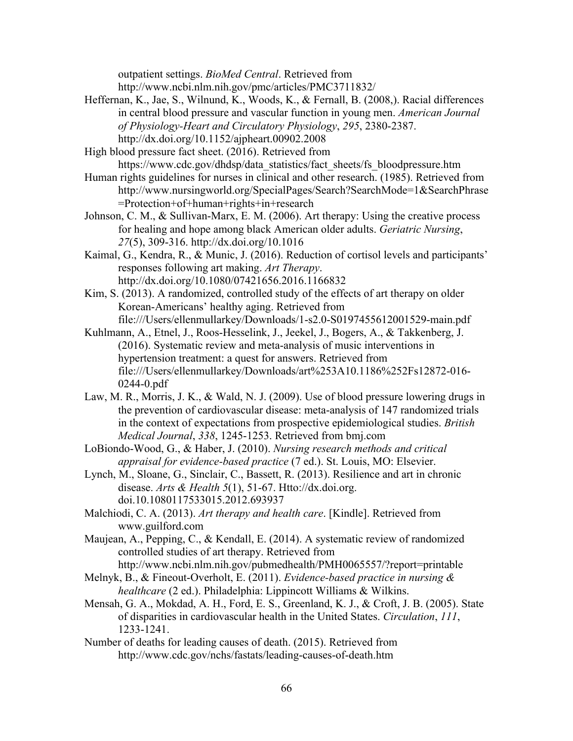outpatient settings. *BioMed Central*. Retrieved from http://www.ncbi.nlm.nih.gov/pmc/articles/PMC3711832/

- Heffernan, K., Jae, S., Wilnund, K., Woods, K., & Fernall, B. (2008,). Racial differences in central blood pressure and vascular function in young men. *American Journal of Physiology-Heart and Circulatory Physiology*, *295*, 2380-2387. http://dx.doi.org/10.1152/ajpheart.00902.2008
- High blood pressure fact sheet. (2016). Retrieved from

https://www.cdc.gov/dhdsp/data\_statistics/fact\_sheets/fs\_bloodpressure.htm Human rights guidelines for nurses in clinical and other research. (1985). Retrieved from http://www.nursingworld.org/SpecialPages/Search?SearchMode=1&SearchPhrase =Protection+of+human+rights+in+research

Johnson, C. M., & Sullivan-Marx, E. M. (2006). Art therapy: Using the creative process for healing and hope among black American older adults. *Geriatric Nursing*, *27*(5), 309-316. http://dx.doi.org/10.1016

Kaimal, G., Kendra, R., & Munic, J. (2016). Reduction of cortisol levels and participants' responses following art making. *Art Therapy*. http://dx.doi.org/10.1080/07421656.2016.1166832

Kim, S. (2013). A randomized, controlled study of the effects of art therapy on older Korean-Americans' healthy aging. Retrieved from file:///Users/ellenmullarkey/Downloads/1-s2.0-S0197455612001529-main.pdf

Kuhlmann, A., Etnel, J., Roos-Hesselink, J., Jeekel, J., Bogers, A., & Takkenberg, J. (2016). Systematic review and meta-analysis of music interventions in hypertension treatment: a quest for answers. Retrieved from file:///Users/ellenmullarkey/Downloads/art%253A10.1186%252Fs12872-016- 0244-0.pdf

Law, M. R., Morris, J. K., & Wald, N. J. (2009). Use of blood pressure lowering drugs in the prevention of cardiovascular disease: meta-analysis of 147 randomized trials in the context of expectations from prospective epidemiological studies. *British Medical Journal*, *338*, 1245-1253. Retrieved from bmj.com

LoBiondo-Wood, G., & Haber, J. (2010). *Nursing research methods and critical appraisal for evidence-based practice* (7 ed.). St. Louis, MO: Elsevier.

Lynch, M., Sloane, G., Sinclair, C., Bassett, R. (2013). Resilience and art in chronic disease. *Arts & Health 5*(1), 51-67. Htto://dx.doi.org. doi.10.1080117533015.2012.693937

Malchiodi, C. A. (2013). *Art therapy and health care*. [Kindle]. Retrieved from www.guilford.com

Maujean, A., Pepping, C., & Kendall, E. (2014). A systematic review of randomized controlled studies of art therapy. Retrieved from

http://www.ncbi.nlm.nih.gov/pubmedhealth/PMH0065557/?report=printable

Melnyk, B., & Fineout-Overholt, E. (2011). *Evidence-based practice in nursing & healthcare* (2 ed.). Philadelphia: Lippincott Williams & Wilkins.

Mensah, G. A., Mokdad, A. H., Ford, E. S., Greenland, K. J., & Croft, J. B. (2005). State of disparities in cardiovascular health in the United States. *Circulation*, *111*, 1233-1241.

Number of deaths for leading causes of death. (2015). Retrieved from http://www.cdc.gov/nchs/fastats/leading-causes-of-death.htm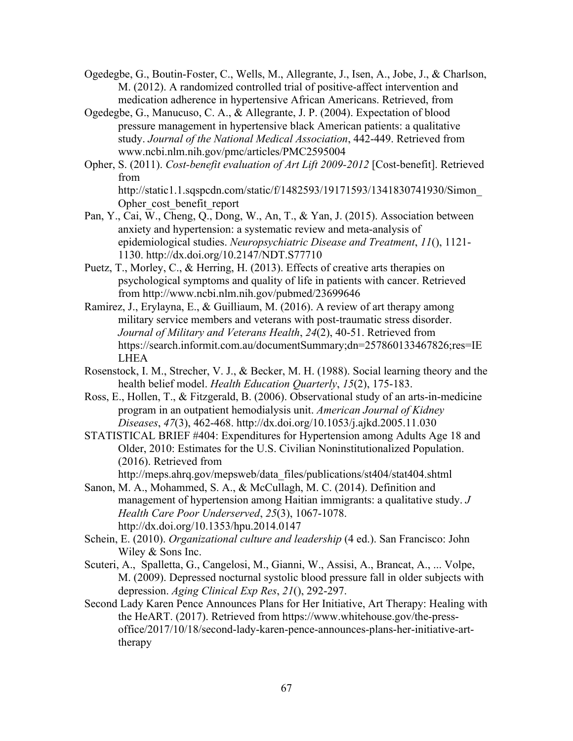- Ogedegbe, G., Boutin-Foster, C., Wells, M., Allegrante, J., Isen, A., Jobe, J., & Charlson, M. (2012). A randomized controlled trial of positive-affect intervention and medication adherence in hypertensive African Americans. Retrieved, from
- Ogedegbe, G., Manucuso, C. A., & Allegrante, J. P. (2004). Expectation of blood pressure management in hypertensive black American patients: a qualitative study. *Journal of the National Medical Association*, 442-449. Retrieved from www.ncbi.nlm.nih.gov/pmc/articles/PMC2595004
- Opher, S. (2011). *Cost-benefit evaluation of Art Lift 2009-2012* [Cost-benefit]. Retrieved from http://static1.1.sqspcdn.com/static/f/1482593/19171593/1341830741930/Simon\_ Opher cost benefit report
- Pan, Y., Cai, W., Cheng, Q., Dong, W., An, T., & Yan, J. (2015). Association between anxiety and hypertension: a systematic review and meta-analysis of epidemiological studies. *Neuropsychiatric Disease and Treatment*, *11*(), 1121- 1130. http://dx.doi.org/10.2147/NDT.S77710
- Puetz, T., Morley, C., & Herring, H. (2013). Effects of creative arts therapies on psychological symptoms and quality of life in patients with cancer. Retrieved from http://www.ncbi.nlm.nih.gov/pubmed/23699646
- Ramirez, J., Erylayna, E., & Guilliaum, M. (2016). A review of art therapy among military service members and veterans with post-traumatic stress disorder. *Journal of Military and Veterans Health*, *24*(2), 40-51. Retrieved from https://search.informit.com.au/documentSummary;dn=257860133467826;res=IE LHEA
- Rosenstock, I. M., Strecher, V. J., & Becker, M. H. (1988). Social learning theory and the health belief model. *Health Education Quarterly*, *15*(2), 175-183.
- Ross, E., Hollen, T., & Fitzgerald, B. (2006). Observational study of an arts-in-medicine program in an outpatient hemodialysis unit. *American Journal of Kidney Diseases*, *47*(3), 462-468. http://dx.doi.org/10.1053/j.ajkd.2005.11.030
- STATISTICAL BRIEF #404: Expenditures for Hypertension among Adults Age 18 and Older, 2010: Estimates for the U.S. Civilian Noninstitutionalized Population. (2016). Retrieved from

http://meps.ahrq.gov/mepsweb/data\_files/publications/st404/stat404.shtml

- Sanon, M. A., Mohammed, S. A., & McCullagh, M. C. (2014). Definition and management of hypertension among Haitian immigrants: a qualitative study. *J Health Care Poor Underserved*, *25*(3), 1067-1078. http://dx.doi.org/10.1353/hpu.2014.0147
- Schein, E. (2010). *Organizational culture and leadership* (4 ed.). San Francisco: John Wiley & Sons Inc.
- Scuteri, A., Spalletta, G., Cangelosi, M., Gianni, W., Assisi, A., Brancat, A., ... Volpe, M. (2009). Depressed nocturnal systolic blood pressure fall in older subjects with depression. *Aging Clinical Exp Res*, *21*(), 292-297.
- Second Lady Karen Pence Announces Plans for Her Initiative, Art Therapy: Healing with the HeART. (2017). Retrieved from https://www.whitehouse.gov/the-pressoffice/2017/10/18/second-lady-karen-pence-announces-plans-her-initiative-arttherapy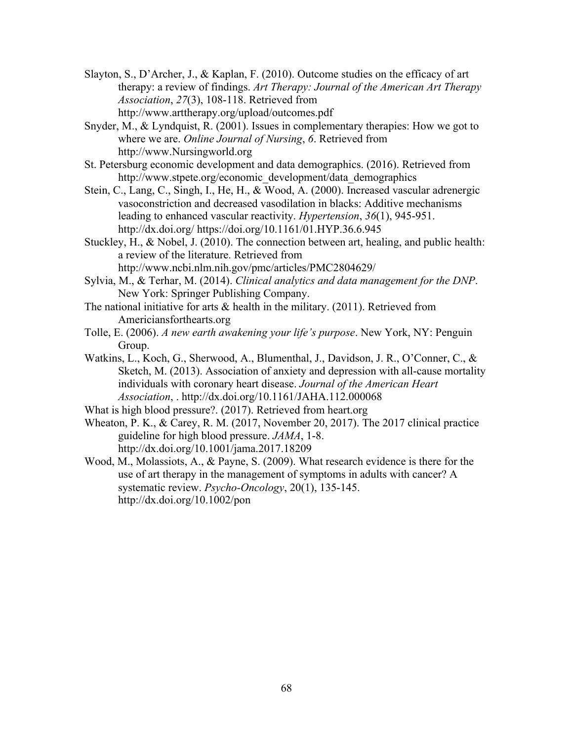- Slayton, S., D'Archer, J., & Kaplan, F. (2010). Outcome studies on the efficacy of art therapy: a review of findings. *Art Therapy: Journal of the American Art Therapy Association*, *27*(3), 108-118. Retrieved from http://www.arttherapy.org/upload/outcomes.pdf
- Snyder, M., & Lyndquist, R. (2001). Issues in complementary therapies: How we got to where we are. *Online Journal of Nursing*, *6*. Retrieved from http://www.Nursingworld.org
- St. Petersburg economic development and data demographics. (2016). Retrieved from http://www.stpete.org/economic\_development/data\_demographics
- Stein, C., Lang, C., Singh, I., He, H., & Wood, A. (2000). Increased vascular adrenergic vasoconstriction and decreased vasodilation in blacks: Additive mechanisms leading to enhanced vascular reactivity. *Hypertension*, *36*(1), 945-951. http://dx.doi.org/ https://doi.org/10.1161/01.HYP.36.6.945
- Stuckley, H., & Nobel, J. (2010). The connection between art, healing, and public health: a review of the literature. Retrieved from http://www.ncbi.nlm.nih.gov/pmc/articles/PMC2804629/
- Sylvia, M., & Terhar, M. (2014). *Clinical analytics and data management for the DNP*. New York: Springer Publishing Company.
- The national initiative for arts  $\&$  health in the military. (2011). Retrieved from Americiansforthearts.org
- Tolle, E. (2006). *A new earth awakening your life's purpose*. New York, NY: Penguin Group.
- Watkins, L., Koch, G., Sherwood, A., Blumenthal, J., Davidson, J. R., O'Conner, C., & Sketch, M. (2013). Association of anxiety and depression with all-cause mortality individuals with coronary heart disease. *Journal of the American Heart Association*, . http://dx.doi.org/10.1161/JAHA.112.000068
- What is high blood pressure?. (2017). Retrieved from heart.org
- Wheaton, P. K., & Carey, R. M. (2017, November 20, 2017). The 2017 clinical practice guideline for high blood pressure. *JAMA*, 1-8. http://dx.doi.org/10.1001/jama.2017.18209
- Wood, M., Molassiots, A., & Payne, S. (2009). What research evidence is there for the use of art therapy in the management of symptoms in adults with cancer? A systematic review. *Psycho-Oncology*, 20(1), 135-145. http://dx.doi.org/10.1002/pon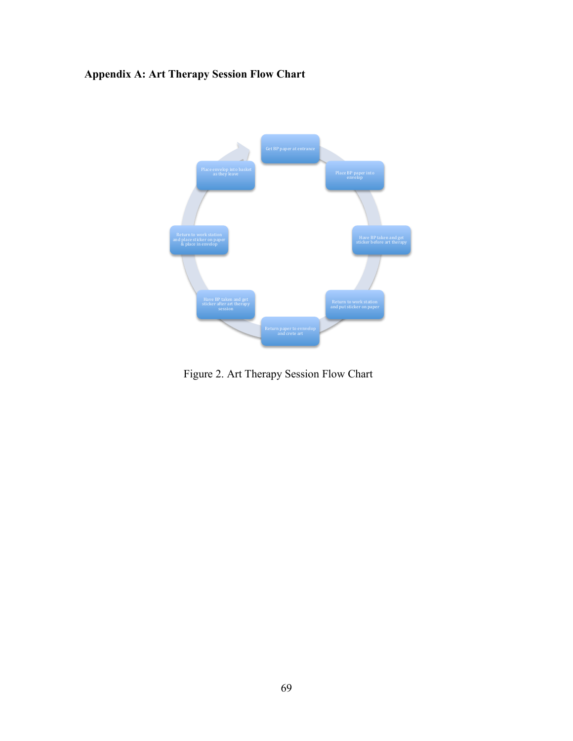# **Appendix A: Art Therapy Session Flow Chart**



Figure 2. Art Therapy Session Flow Chart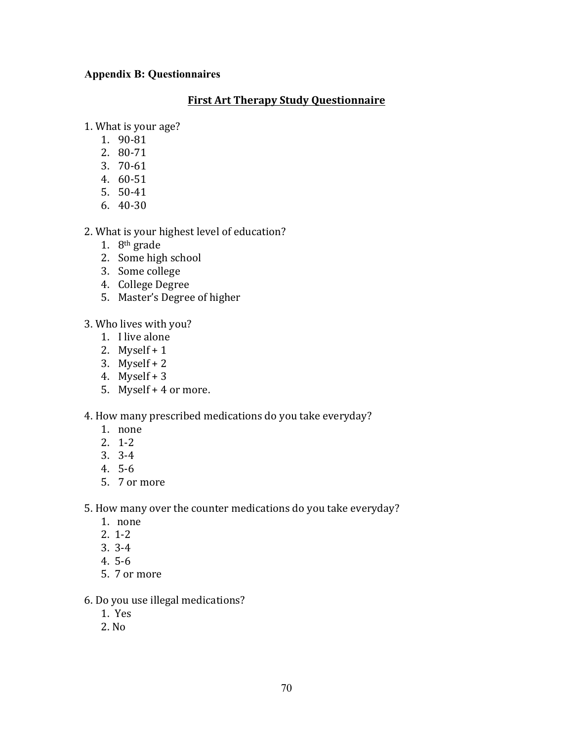#### **Appendix B: Questionnaires**

### **First Art Therapy Study Questionnaire**

1. What is your age?

- 1. 90-81
- 2. 80-71
- 3. 70-61
- 4. 60-51
- 5. 50-41
- 6. 40-30

2. What is your highest level of education?

- 1. 8th grade
- 2. Some high school
- 3. Some college
- 4. College Degree
- 5. Master's Degree of higher

3. Who lives with you?

- 1. I live alone
- 2. Myself +  $1$
- 3. Myself  $+2$
- 4. Myself +  $3$
- 5. Myself  $+$  4 or more.

#### 4. How many prescribed medications do you take everyday?

- 1. none
- 2. 1-2
- 3. 3-4
- 4. 5-6
- 5. 7 or more

#### 5. How many over the counter medications do you take everyday?

- 1. none
- $2.1 2$
- $3.3 4$
- $4.5 6$
- 5. 7 or more
- 6. Do you use illegal medications?
	- 1. Yes
	- 2. No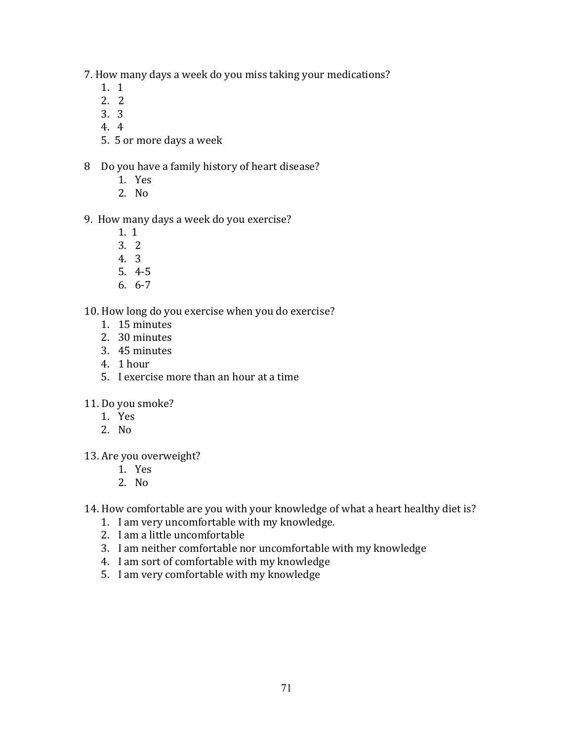7. How many days a week do you miss taking your medications?

- $1.1$
- 2. 2
- $3. \ 3$
- 4. 4
- 5. 5 or more days a week

### 8 Do you have a family history of heart disease?

- 1. Yes
- 2. No

### 9. How many days a week do you exercise?

- $1.1$
- 3. 2
- 4. 3
- 5. 4-5
- 6. 6-7

10. How long do you exercise when you do exercise?

- 1. 15 minutes
- 2. 30 minutes
- 3. 45 minutes
- 4. 1 hour
- 5. I exercise more than an hour at a time
- 11. Do you smoke?
	- 1. Yes
	- 2. No
- 13. Are you overweight?
	- 1. Yes
	- 2. No

## 14. How comfortable are you with your knowledge of what a heart healthy diet is?

- 1. I am very uncomfortable with my knowledge.
- 2. I am a little uncomfortable
- 3. I am neither comfortable nor uncomfortable with my knowledge
- 4. I am sort of comfortable with my knowledge
- 5. I am very comfortable with my knowledge